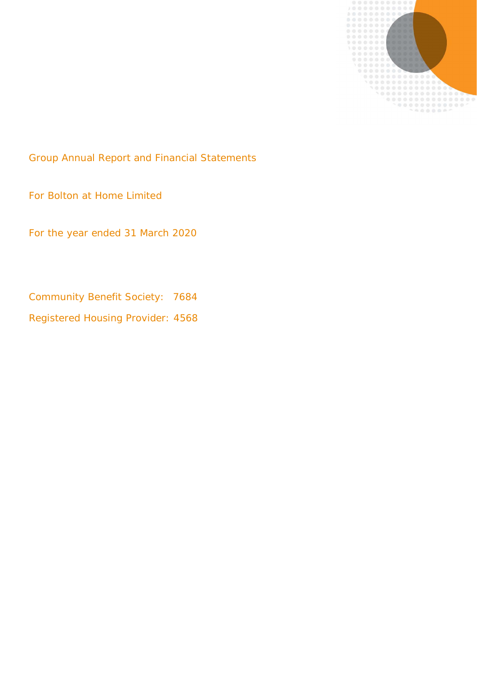

Group Annual Report and Financial Statements

For Bolton at Home Limited

For the year ended 31 March 2020

Community Benefit Society: 7684 Registered Housing Provider: 4568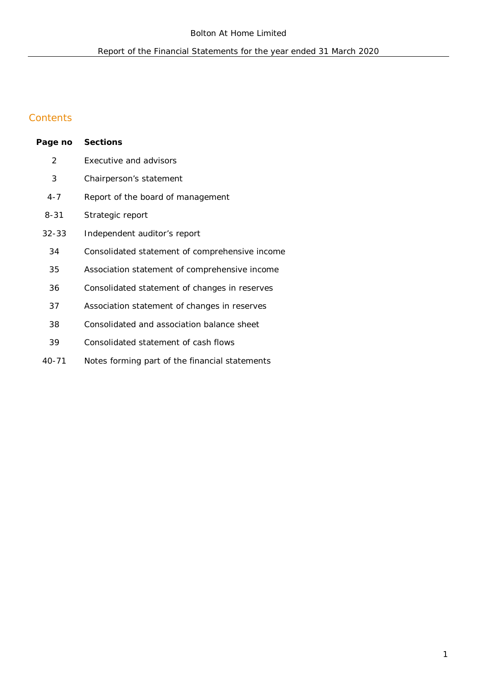## Report of the Financial Statements for the year ended 31 March 2020

## **Contents**

| Page no        | Sections                                       |
|----------------|------------------------------------------------|
| $\overline{2}$ | Executive and advisors                         |
| 3              | Chairperson's statement                        |
| $4 - 7$        | Report of the board of management              |
| $8 - 31$       | Strategic report                               |
| 32-33          | Independent auditor's report                   |
| 34             | Consolidated statement of comprehensive income |
| 35             | Association statement of comprehensive income  |
| 36             | Consolidated statement of changes in reserves  |
| 37             | Association statement of changes in reserves   |
| 38             | Consolidated and association balance sheet     |
| 39             | Consolidated statement of cash flows           |
| $40 - 71$      | Notes forming part of the financial statements |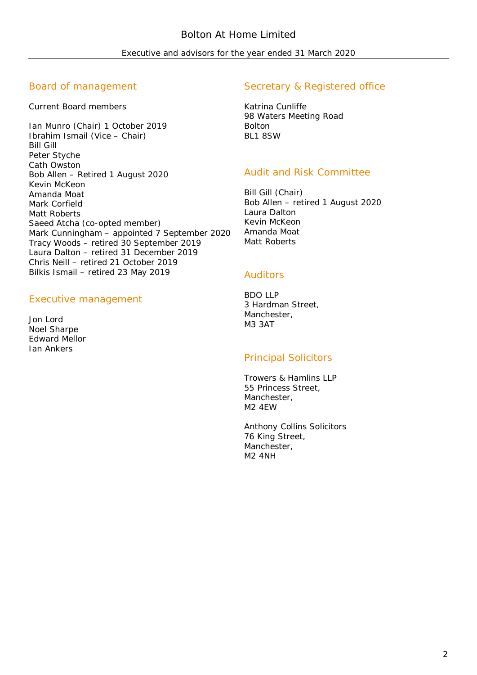#### Executive and advisors for the year ended 31 March 2020

## Board of management

Current Board members

Ian Munro (Chair) 1 October 2019 Ibrahim Ismail (Vice – Chair) Bill Gill Peter Styche Cath Owston Bob Allen – Retired 1 August 2020 Kevin McKeon Amanda Moat Mark Corfield Matt Roberts Saeed Atcha (co-opted member) Mark Cunningham – appointed 7 September 2020 Tracy Woods – retired 30 September 2019 Laura Dalton – retired 31 December 2019 Chris Neill – retired 21 October 2019 Bilkis Ismail – retired 23 May 2019

### Executive management

Jon Lord Noel Sharpe Edward Mellor Ian Ankers

## Secretary & Registered office

Katrina Cunliffe 98 Waters Meeting Road Bolton BL1 8SW

## Audit and Risk Committee

Bill Gill (Chair) Bob Allen – retired 1 August 2020 Laura Dalton Kevin McKeon Amanda Moat Matt Roberts

### Auditors

BDO LLP 3 Hardman Street, Manchester, M3 3AT

## Principal Solicitors

Trowers & Hamlins LLP 55 Princess Street, Manchester, M2 4EW

Anthony Collins Solicitors 76 King Street, Manchester, M2 4NH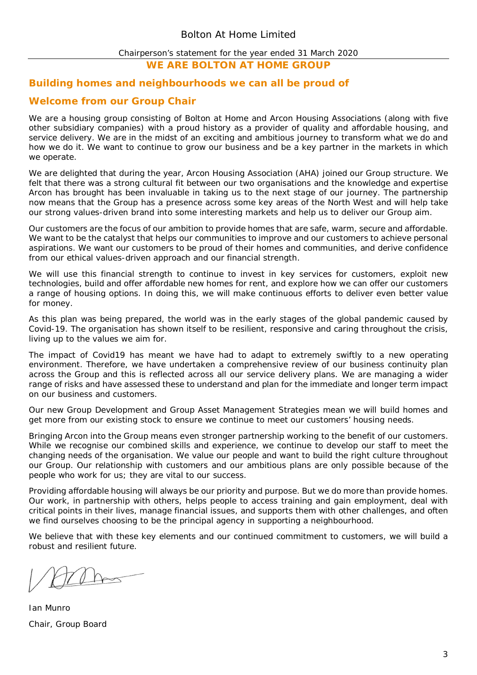#### Chairperson's statement for the year ended 31 March 2020

**WE ARE BOLTON AT HOME GROUP**

## **Building homes and neighbourhoods we can all be proud of**

## **Welcome from our Group Chair**

We are a housing group consisting of Bolton at Home and Arcon Housing Associations (along with five other subsidiary companies) with a proud history as a provider of quality and affordable housing, and service delivery. We are in the midst of an exciting and ambitious journey to transform what we do and how we do it. We want to continue to grow our business and be a key partner in the markets in which we operate.

We are delighted that during the year, Arcon Housing Association (AHA) joined our Group structure. We felt that there was a strong cultural fit between our two organisations and the knowledge and expertise Arcon has brought has been invaluable in taking us to the next stage of our journey. The partnership now means that the Group has a presence across some key areas of the North West and will help take our strong values-driven brand into some interesting markets and help us to deliver our Group aim.

Our customers are the focus of our ambition to provide homes that are safe, warm, secure and affordable. We want to be the catalyst that helps our communities to improve and our customers to achieve personal aspirations. We want our customers to be proud of their homes and communities, and derive confidence from our ethical values-driven approach and our financial strength.

We will use this financial strength to continue to invest in key services for customers, exploit new technologies, build and offer affordable new homes for rent, and explore how we can offer our customers a range of housing options. In doing this, we will make continuous efforts to deliver even better value for money.

As this plan was being prepared, the world was in the early stages of the global pandemic caused by Covid-19. The organisation has shown itself to be resilient, responsive and caring throughout the crisis, living up to the values we aim for.

The impact of Covid19 has meant we have had to adapt to extremely swiftly to a new operating environment. Therefore, we have undertaken a comprehensive review of our business continuity plan across the Group and this is reflected across all our service delivery plans. We are managing a wider range of risks and have assessed these to understand and plan for the immediate and longer term impact on our business and customers.

Our new Group Development and Group Asset Management Strategies mean we will build homes and get more from our existing stock to ensure we continue to meet our customers' housing needs.

Bringing Arcon into the Group means even stronger partnership working to the benefit of our customers. While we recognise our combined skills and experience, we continue to develop our staff to meet the changing needs of the organisation. We value our people and want to build the right culture throughout our Group. Our relationship with customers and our ambitious plans are only possible because of the people who work for us; they are vital to our success.

Providing affordable housing will always be our priority and purpose. But we do more than provide homes. Our work, in partnership with others, helps people to access training and gain employment, deal with critical points in their lives, manage financial issues, and supports them with other challenges, and often we find ourselves choosing to be the principal agency in supporting a neighbourhood.

We believe that with these key elements and our continued commitment to customers, we will build a robust and resilient future.

Ian Munro Chair, Group Board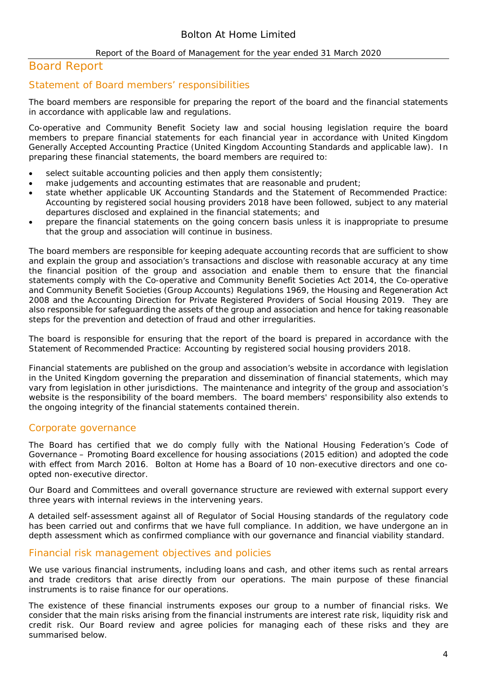#### Report of the Board of Management for the year ended 31 March 2020

## Board Report

## Statement of Board members' responsibilities

The board members are responsible for preparing the report of the board and the financial statements in accordance with applicable law and regulations.

Co-operative and Community Benefit Society law and social housing legislation require the board members to prepare financial statements for each financial year in accordance with United Kingdom Generally Accepted Accounting Practice (United Kingdom Accounting Standards and applicable law). In preparing these financial statements, the board members are required to:

- select suitable accounting policies and then apply them consistently;
- make judgements and accounting estimates that are reasonable and prudent;
- · state whether applicable UK Accounting Standards and the Statement of Recommended Practice: Accounting by registered social housing providers 2018 have been followed, subject to any material departures disclosed and explained in the financial statements; and
- · prepare the financial statements on the going concern basis unless it is inappropriate to presume that the group and association will continue in business.

The board members are responsible for keeping adequate accounting records that are sufficient to show and explain the group and association's transactions and disclose with reasonable accuracy at any time the financial position of the group and association and enable them to ensure that the financial statements comply with the Co-operative and Community Benefit Societies Act 2014, the Co-operative and Community Benefit Societies (Group Accounts) Regulations 1969, the Housing and Regeneration Act 2008 and the Accounting Direction for Private Registered Providers of Social Housing 2019. They are also responsible for safeguarding the assets of the group and association and hence for taking reasonable steps for the prevention and detection of fraud and other irregularities.

The board is responsible for ensuring that the report of the board is prepared in accordance with the Statement of Recommended Practice: Accounting by registered social housing providers 2018.

Financial statements are published on the group and association's website in accordance with legislation in the United Kingdom governing the preparation and dissemination of financial statements, which may vary from legislation in other jurisdictions. The maintenance and integrity of the group and association's website is the responsibility of the board members. The board members' responsibility also extends to the ongoing integrity of the financial statements contained therein.

#### Corporate governance

The Board has certified that we do comply fully with the National Housing Federation's Code of Governance – Promoting Board excellence for housing associations (2015 edition) and adopted the code with effect from March 2016. Bolton at Home has a Board of 10 non-executive directors and one coopted non-executive director.

Our Board and Committees and overall governance structure are reviewed with external support every three years with internal reviews in the intervening years.

A detailed self-assessment against all of Regulator of Social Housing standards of the regulatory code has been carried out and confirms that we have full compliance. In addition, we have undergone an in depth assessment which as confirmed compliance with our governance and financial viability standard.

## Financial risk management objectives and policies

We use various financial instruments, including loans and cash, and other items such as rental arrears and trade creditors that arise directly from our operations. The main purpose of these financial instruments is to raise finance for our operations.

The existence of these financial instruments exposes our group to a number of financial risks. We consider that the main risks arising from the financial instruments are interest rate risk, liquidity risk and credit risk. Our Board review and agree policies for managing each of these risks and they are summarised below.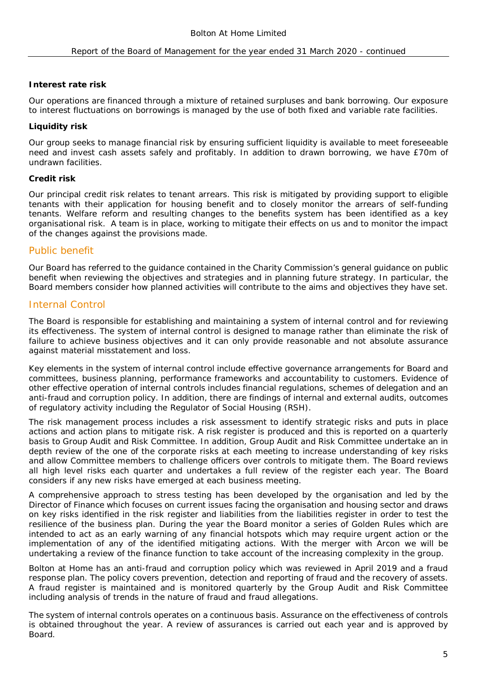#### **Interest rate risk**

Our operations are financed through a mixture of retained surpluses and bank borrowing. Our exposure to interest fluctuations on borrowings is managed by the use of both fixed and variable rate facilities.

#### **Liquidity risk**

Our group seeks to manage financial risk by ensuring sufficient liquidity is available to meet foreseeable need and invest cash assets safely and profitably. In addition to drawn borrowing, we have £70m of undrawn facilities.

#### **Credit risk**

Our principal credit risk relates to tenant arrears. This risk is mitigated by providing support to eligible tenants with their application for housing benefit and to closely monitor the arrears of self-funding tenants. Welfare reform and resulting changes to the benefits system has been identified as a key organisational risk. A team is in place, working to mitigate their effects on us and to monitor the impact of the changes against the provisions made.

### Public benefit

Our Board has referred to the guidance contained in the Charity Commission's general guidance on public benefit when reviewing the objectives and strategies and in planning future strategy. In particular, the Board members consider how planned activities will contribute to the aims and objectives they have set.

### Internal Control

The Board is responsible for establishing and maintaining a system of internal control and for reviewing its effectiveness. The system of internal control is designed to manage rather than eliminate the risk of failure to achieve business objectives and it can only provide reasonable and not absolute assurance against material misstatement and loss.

Key elements in the system of internal control include effective governance arrangements for Board and committees, business planning, performance frameworks and accountability to customers. Evidence of other effective operation of internal controls includes financial regulations, schemes of delegation and an anti-fraud and corruption policy. In addition, there are findings of internal and external audits, outcomes of regulatory activity including the Regulator of Social Housing (RSH).

The risk management process includes a risk assessment to identify strategic risks and puts in place actions and action plans to mitigate risk. A risk register is produced and this is reported on a quarterly basis to Group Audit and Risk Committee. In addition, Group Audit and Risk Committee undertake an in depth review of the one of the corporate risks at each meeting to increase understanding of key risks and allow Committee members to challenge officers over controls to mitigate them. The Board reviews all high level risks each quarter and undertakes a full review of the register each year. The Board considers if any new risks have emerged at each business meeting.

A comprehensive approach to stress testing has been developed by the organisation and led by the Director of Finance which focuses on current issues facing the organisation and housing sector and draws on key risks identified in the risk register and liabilities from the liabilities register in order to test the resilience of the business plan. During the year the Board monitor a series of Golden Rules which are intended to act as an early warning of any financial hotspots which may require urgent action or the implementation of any of the identified mitigating actions. With the merger with Arcon we will be undertaking a review of the finance function to take account of the increasing complexity in the group.

Bolton at Home has an anti-fraud and corruption policy which was reviewed in April 2019 and a fraud response plan. The policy covers prevention, detection and reporting of fraud and the recovery of assets. A fraud register is maintained and is monitored quarterly by the Group Audit and Risk Committee including analysis of trends in the nature of fraud and fraud allegations.

The system of internal controls operates on a continuous basis. Assurance on the effectiveness of controls is obtained throughout the year. A review of assurances is carried out each year and is approved by Board.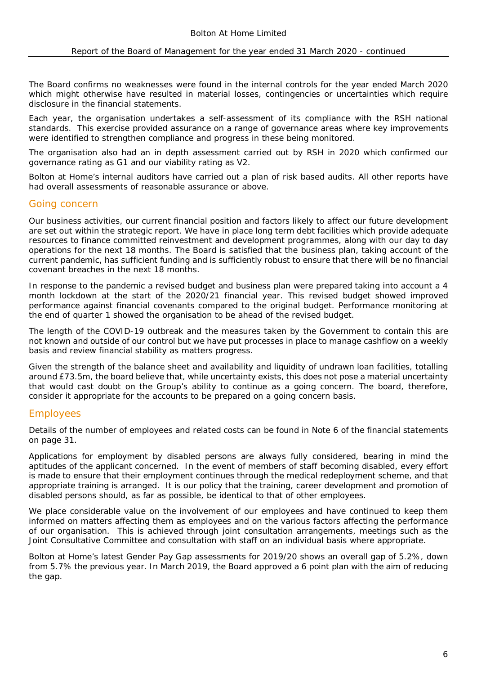The Board confirms no weaknesses were found in the internal controls for the year ended March 2020 which might otherwise have resulted in material losses, contingencies or uncertainties which require disclosure in the financial statements.

Each year, the organisation undertakes a self-assessment of its compliance with the RSH national standards. This exercise provided assurance on a range of governance areas where key improvements were identified to strengthen compliance and progress in these being monitored.

The organisation also had an in depth assessment carried out by RSH in 2020 which confirmed our governance rating as G1 and our viability rating as V2.

Bolton at Home's internal auditors have carried out a plan of risk based audits. All other reports have had overall assessments of reasonable assurance or above.

### Going concern

Our business activities, our current financial position and factors likely to affect our future development are set out within the strategic report. We have in place long term debt facilities which provide adequate resources to finance committed reinvestment and development programmes, along with our day to day operations for the next 18 months. The Board is satisfied that the business plan, taking account of the current pandemic, has sufficient funding and is sufficiently robust to ensure that there will be no financial covenant breaches in the next 18 months.

In response to the pandemic a revised budget and business plan were prepared taking into account a 4 month lockdown at the start of the 2020/21 financial year. This revised budget showed improved performance against financial covenants compared to the original budget. Performance monitoring at the end of quarter 1 showed the organisation to be ahead of the revised budget.

The length of the COVID-19 outbreak and the measures taken by the Government to contain this are not known and outside of our control but we have put processes in place to manage cashflow on a weekly basis and review financial stability as matters progress.

Given the strength of the balance sheet and availability and liquidity of undrawn loan facilities, totalling around £73.5m, the board believe that, while uncertainty exists, this does not pose a material uncertainty that would cast doubt on the Group's ability to continue as a going concern. The board, therefore, consider it appropriate for the accounts to be prepared on a going concern basis.

## Employees

Details of the number of employees and related costs can be found in Note 6 of the financial statements on page 31.

Applications for employment by disabled persons are always fully considered, bearing in mind the aptitudes of the applicant concerned. In the event of members of staff becoming disabled, every effort is made to ensure that their employment continues through the medical redeployment scheme, and that appropriate training is arranged. It is our policy that the training, career development and promotion of disabled persons should, as far as possible, be identical to that of other employees.

We place considerable value on the involvement of our employees and have continued to keep them informed on matters affecting them as employees and on the various factors affecting the performance of our organisation. This is achieved through joint consultation arrangements, meetings such as the Joint Consultative Committee and consultation with staff on an individual basis where appropriate.

Bolton at Home's latest Gender Pay Gap assessments for 2019/20 shows an overall gap of 5.2%, down from 5.7% the previous year. In March 2019, the Board approved a 6 point plan with the aim of reducing the gap.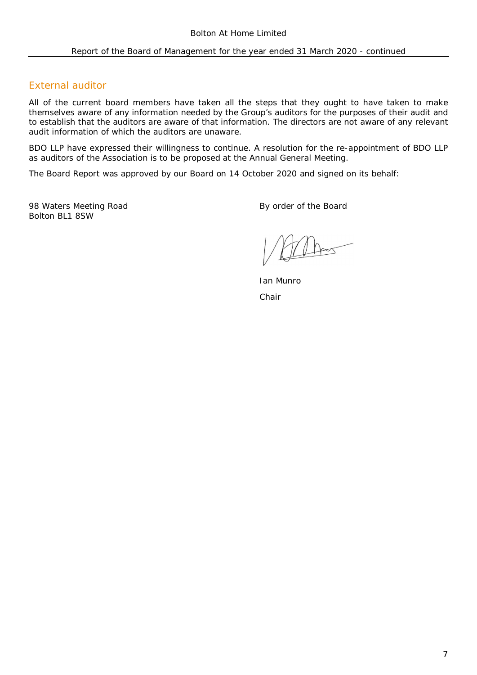Report of the Board of Management for the year ended 31 March 2020 - continued

## External auditor

All of the current board members have taken all the steps that they ought to have taken to make themselves aware of any information needed by the Group's auditors for the purposes of their audit and to establish that the auditors are aware of that information. The directors are not aware of any relevant audit information of which the auditors are unaware.

BDO LLP have expressed their willingness to continue. A resolution for the re-appointment of BDO LLP as auditors of the Association is to be proposed at the Annual General Meeting.

The Board Report was approved by our Board on 14 October 2020 and signed on its behalf:

98 Waters Meeting Road By order of the Board Bolton BL1 8SW

Ian Munro Chair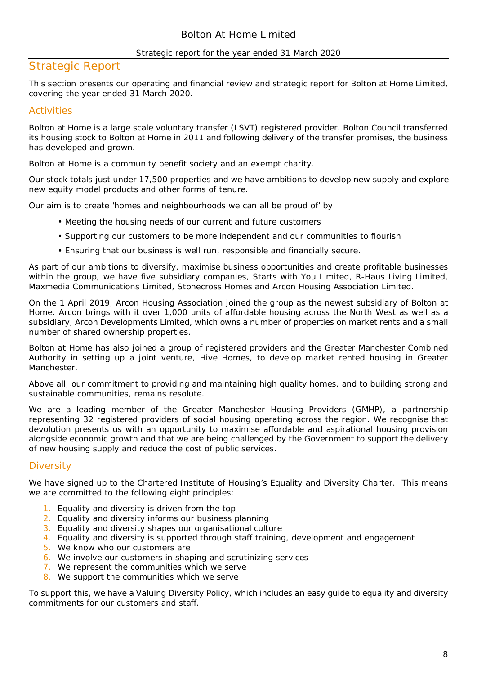#### Strategic report for the year ended 31 March 2020

## Strategic Report

*This section presents our operating and financial review and strategic report for Bolton at Home Limited, covering the year ended 31 March 2020.*

## **Activities**

Bolton at Home is a large scale voluntary transfer (LSVT) registered provider. Bolton Council transferred its housing stock to Bolton at Home in 2011 and following delivery of the transfer promises, the business has developed and grown.

Bolton at Home is a community benefit society and an exempt charity.

Our stock totals just under 17,500 properties and we have ambitions to develop new supply and explore new equity model products and other forms of tenure.

Our aim is to create 'homes and neighbourhoods we can all be proud of' by

- Meeting the housing needs of our current and future customers
- Supporting our customers to be more independent and our communities to flourish
- Ensuring that our business is well run, responsible and financially secure.

As part of our ambitions to diversify, maximise business opportunities and create profitable businesses within the group, we have five subsidiary companies, Starts with You Limited, R-Haus Living Limited, Maxmedia Communications Limited, Stonecross Homes and Arcon Housing Association Limited.

On the 1 April 2019, Arcon Housing Association joined the group as the newest subsidiary of Bolton at Home. Arcon brings with it over 1,000 units of affordable housing across the North West as well as a subsidiary, Arcon Developments Limited, which owns a number of properties on market rents and a small number of shared ownership properties.

Bolton at Home has also joined a group of registered providers and the Greater Manchester Combined Authority in setting up a joint venture, Hive Homes, to develop market rented housing in Greater Manchester.

Above all, our commitment to providing and maintaining high quality homes, and to building strong and sustainable communities, remains resolute.

We are a leading member of the Greater Manchester Housing Providers (GMHP), a partnership representing 32 registered providers of social housing operating across the region. We recognise that devolution presents us with an opportunity to maximise affordable and aspirational housing provision alongside economic growth and that we are being challenged by the Government to support the delivery of new housing supply and reduce the cost of public services.

## **Diversity**

We have signed up to the Chartered Institute of Housing's Equality and Diversity Charter. This means we are committed to the following eight principles:

- 1. Equality and diversity is driven from the top
- 2. Equality and diversity informs our business planning
- 3. Equality and diversity shapes our organisational culture
- 4. Equality and diversity is supported through staff training, development and engagement
- 5. We know who our customers are
- 6. We involve our customers in shaping and scrutinizing services
- 7. We represent the communities which we serve
- 8. We support the communities which we serve

To support this, we have a Valuing Diversity Policy, which includes an easy guide to equality and diversity commitments for our customers and staff.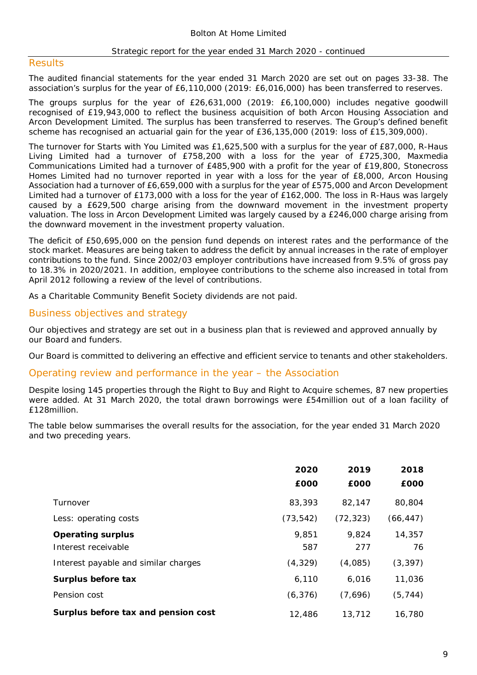#### **Results**

The audited financial statements for the year ended 31 March 2020 are set out on pages 33-38. The association's surplus for the year of £6,110,000 (2019: £6,016,000) has been transferred to reserves.

The groups surplus for the year of £26,631,000 (2019: £6,100,000) includes negative goodwill recognised of £19,943,000 to reflect the business acquisition of both Arcon Housing Association and Arcon Development Limited. The surplus has been transferred to reserves. The Group's defined benefit scheme has recognised an actuarial gain for the year of £36,135,000 (2019: loss of £15,309,000).

The turnover for Starts with You Limited was £1,625,500 with a surplus for the year of £87,000, R-Haus Living Limited had a turnover of £758,200 with a loss for the year of £725,300, Maxmedia Communications Limited had a turnover of £485,900 with a profit for the year of £19,800, Stonecross Homes Limited had no turnover reported in year with a loss for the year of £8,000, Arcon Housing Association had a turnover of £6,659,000 with a surplus for the year of £575,000 and Arcon Development Limited had a turnover of £173,000 with a loss for the year of £162,000. The loss in R-Haus was largely caused by a £629,500 charge arising from the downward movement in the investment property valuation. The loss in Arcon Development Limited was largely caused by a £246,000 charge arising from the downward movement in the investment property valuation.

The deficit of £50,695,000 on the pension fund depends on interest rates and the performance of the stock market. Measures are being taken to address the deficit by annual increases in the rate of employer contributions to the fund. Since 2002/03 employer contributions have increased from 9.5% of gross pay to 18.3% in 2020/2021. In addition, employee contributions to the scheme also increased in total from April 2012 following a review of the level of contributions.

As a Charitable Community Benefit Society dividends are not paid.

### Business objectives and strategy

Our objectives and strategy are set out in a business plan that is reviewed and approved annually by our Board and funders.

Our Board is committed to delivering an effective and efficient service to tenants and other stakeholders.

#### Operating review and performance in the year – the Association

Despite losing 145 properties through the Right to Buy and Right to Acquire schemes, 87 new properties were added. At 31 March 2020, the total drawn borrowings were £54million out of a loan facility of £128million.

The table below summarises the overall results for the association, for the year ended 31 March 2020 and two preceding years.

|                                      | 2020      | 2019      | 2018      |
|--------------------------------------|-----------|-----------|-----------|
|                                      | £000      | £000      | £000      |
| Turnover                             | 83,393    | 82,147    | 80,804    |
| Less: operating costs                | (73, 542) | (72, 323) | (66, 447) |
| Operating surplus                    | 9,851     | 9,824     | 14,357    |
| Interest receivable                  | 587       | 277       | 76        |
| Interest payable and similar charges | (4, 329)  | (4,085)   | (3, 397)  |
| Surplus before tax                   | 6,110     | 6.016     | 11,036    |
| Pension cost                         | (6, 376)  | (7,696)   | (5, 744)  |
| Surplus before tax and pension cost  | 12,486    | 13,712    | 16,780    |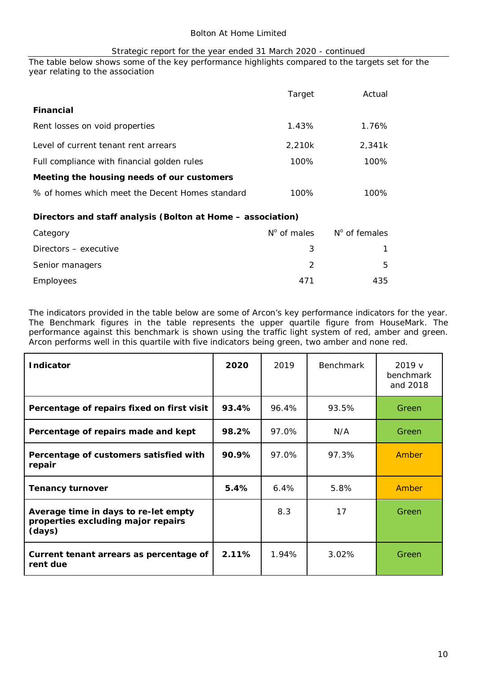The table below shows some of the key performance highlights compared to the targets set for the year relating to the association

|                                                             | Target               | Actual                 |
|-------------------------------------------------------------|----------------------|------------------------|
| Financial                                                   |                      |                        |
| Rent losses on void properties                              | 1.43%                | 1.76%                  |
| Level of current tenant rent arrears                        | 2,210k               | 2,341k                 |
| Full compliance with financial golden rules                 | 100%                 | 100%                   |
| Meeting the housing needs of our customers                  |                      |                        |
| % of homes which meet the Decent Homes standard             | 100%                 | 100%                   |
|                                                             |                      |                        |
| Directors and staff analysis (Bolton at Home – association) |                      |                        |
| Category                                                    | $N^{\circ}$ of males | $N^{\circ}$ of females |
| Directors – executive                                       | 3                    |                        |

Senior managers 3 5 Employees 471 435

The indicators provided in the table below are some of Arcon's key performance indicators for the year. The Benchmark figures in the table represents the upper quartile figure from HouseMark. The performance against this benchmark is shown using the traffic light system of red, amber and green. Arcon performs well in this quartile with five indicators being green, two amber and none red.

| Indicator                                                                            | 2020  | 2019  | <b>Benchmark</b> | 2019v<br>benchmark<br>and 2018 |
|--------------------------------------------------------------------------------------|-------|-------|------------------|--------------------------------|
| Percentage of repairs fixed on first visit                                           | 93.4% | 96.4% | 93.5%            | Green                          |
| Percentage of repairs made and kept                                                  | 98.2% | 97.0% | N/A              | Green                          |
| Percentage of customers satisfied with<br>repair                                     | 90.9% | 97.0% | 97.3%            | Amber                          |
| Tenancy turnover                                                                     | 5.4%  | 6.4%  | 5.8%             | Amber                          |
| Average time in days to re-let empty<br>properties excluding major repairs<br>(days) |       | 8.3   | 17               | Green                          |
| Current tenant arrears as percentage of<br>rent due                                  | 2.11% | 1.94% | 3.02%            | Green                          |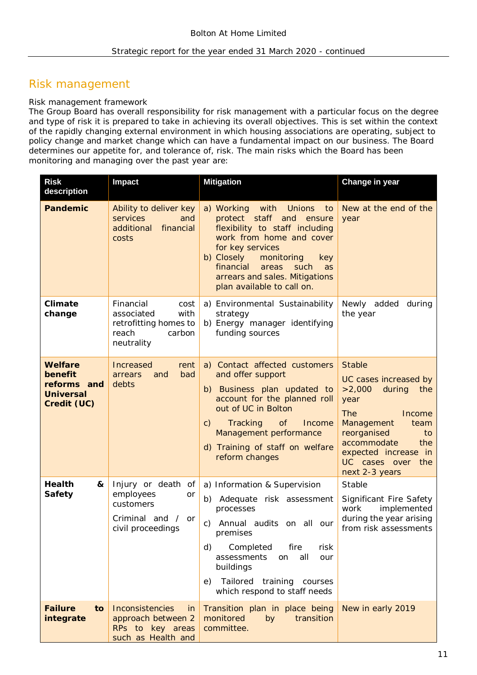## Risk management

#### *Risk management framework*

The Group Board has overall responsibility for risk management with a particular focus on the degree and type of risk it is prepared to take in achieving its overall objectives. This is set within the context of the rapidly changing external environment in which housing associations are operating, subject to policy change and market change which can have a fundamental impact on our business. The Board determines our appetite for, and tolerance of, risk. The main risks which the Board has been monitoring and managing over the past year are:

| <b>Risk</b><br>description                                    | Impact                                                                                            | <b>Mitigation</b>                                                                                                                                                                                                                                                                             | Change in year                                                                                                                                                                                                                    |
|---------------------------------------------------------------|---------------------------------------------------------------------------------------------------|-----------------------------------------------------------------------------------------------------------------------------------------------------------------------------------------------------------------------------------------------------------------------------------------------|-----------------------------------------------------------------------------------------------------------------------------------------------------------------------------------------------------------------------------------|
| Pandemic                                                      | Ability to deliver key<br>services<br>and<br>financial<br>additional<br>costs                     | a) Working<br>with<br>Unions<br>to<br>protect staff<br>and<br>ensure<br>flexibility to staff including<br>work from home and cover<br>for key services<br>b) Closely<br>monitoring<br>key<br>financial<br>areas<br>such<br>as<br>arrears and sales. Mitigations<br>plan available to call on. | New at the end of the<br>year                                                                                                                                                                                                     |
| Climate<br>change                                             | Financial<br>cost<br>with<br>associated<br>retrofitting homes to<br>reach<br>carbon<br>neutrality | a) Environmental Sustainability<br>strategy<br>b) Energy manager identifying<br>funding sources                                                                                                                                                                                               | Newly added during<br>the year                                                                                                                                                                                                    |
| Welfare<br>benefit<br>reforms and<br>Universal<br>Credit (UC) | Increased<br>rent<br>arrears<br>bad<br>and<br>debts                                               | a) Contact affected customers<br>and offer support<br>b) Business plan updated to<br>account for the planned roll<br>out of UC in Bolton<br>$\mathsf{C}$ )<br>Tracking<br><b>of</b><br>Income<br>Management performance<br>d) Training of staff on welfare<br>reform changes                  | <b>Stable</b><br>UC cases increased by<br>>2,000<br>during<br>the<br>year<br><b>The</b><br>Income<br>Management<br>team<br>reorganised<br>to<br>accommodate<br>the<br>expected increase in<br>UC cases over the<br>next 2-3 years |
| Health<br>&<br>Safety                                         | Injury or death of<br>employees<br>or<br>customers<br>Criminal and /<br>or<br>civil proceedings   | a) Information & Supervision<br>b) Adequate risk assessment<br>processes<br>Annual audits on all our<br>C)<br>premises<br>d)<br>Completed<br>fire<br>risk<br>assessments<br>all<br>on<br>our<br>buildings<br>Tailored training courses<br>e)<br>which respond to staff needs                  | Stable<br>Significant Fire Safety<br>implemented<br>work<br>during the year arising<br>from risk assessments                                                                                                                      |
| Failure<br>to<br>integrate                                    | Inconsistencies<br>in<br>approach between 2<br>RPs to key areas<br>such as Health and             | Transition plan in place being<br>monitored<br>by<br>transition<br>committee.                                                                                                                                                                                                                 | New in early 2019                                                                                                                                                                                                                 |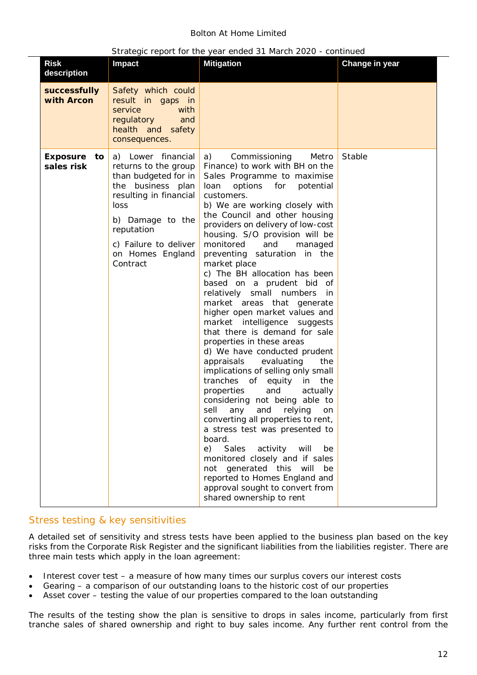### Bolton At Home Limited

|                              |                                                                                                                                                                                                                         | Strategic report for the year ended 31 March 2020 - continued                                                                                                                                                                                                                                                                                                                                                                                                                                                                                                                                                                                                                                                                                                                                                                                                                                                                                                                                                                                                                                                                                                                                     |                |
|------------------------------|-------------------------------------------------------------------------------------------------------------------------------------------------------------------------------------------------------------------------|---------------------------------------------------------------------------------------------------------------------------------------------------------------------------------------------------------------------------------------------------------------------------------------------------------------------------------------------------------------------------------------------------------------------------------------------------------------------------------------------------------------------------------------------------------------------------------------------------------------------------------------------------------------------------------------------------------------------------------------------------------------------------------------------------------------------------------------------------------------------------------------------------------------------------------------------------------------------------------------------------------------------------------------------------------------------------------------------------------------------------------------------------------------------------------------------------|----------------|
| <b>Risk</b><br>description   | Impact                                                                                                                                                                                                                  | <b>Mitigation</b>                                                                                                                                                                                                                                                                                                                                                                                                                                                                                                                                                                                                                                                                                                                                                                                                                                                                                                                                                                                                                                                                                                                                                                                 | Change in year |
| successfully<br>with Arcon   | Safety which could<br>result in gaps in<br>service<br>with<br>regulatory<br>and<br>health and safety<br>consequences.                                                                                                   |                                                                                                                                                                                                                                                                                                                                                                                                                                                                                                                                                                                                                                                                                                                                                                                                                                                                                                                                                                                                                                                                                                                                                                                                   |                |
| Exposure<br>to<br>sales risk | a) Lower financial<br>returns to the group<br>than budgeted for in<br>business plan<br>the<br>resulting in financial<br>loss<br>b) Damage to the<br>reputation<br>c) Failure to deliver<br>on Homes England<br>Contract | Commissioning<br>Metro<br>a)<br>Finance) to work with BH on the<br>Sales Programme to maximise<br>options<br>for<br>potential<br>loan<br>customers.<br>b) We are working closely with<br>the Council and other housing<br>providers on delivery of low-cost<br>housing. S/O provision will be<br>monitored<br>and<br>managed<br>preventing saturation in the<br>market place<br>c) The BH allocation has been<br>based on a prudent bid of<br>relatively small numbers<br>in<br>market areas that generate<br>higher open market values and<br>market intelligence suggests<br>that there is demand for sale<br>properties in these areas<br>d) We have conducted prudent<br>appraisals<br>evaluating<br>the<br>implications of selling only small<br>tranches of equity<br>in the<br>properties<br>and<br>actually<br>considering not being able to<br>any and relying<br>sell<br><sub>on</sub><br>converting all properties to rent,<br>a stress test was presented to<br>board.<br>e)<br>Sales<br>activity<br>will<br>be<br>monitored closely and if sales<br>generated this will<br>not<br>be<br>reported to Homes England and<br>approval sought to convert from<br>shared ownership to rent | Stable         |

#### Strategic report for the year ended 31 March 2020 - continued

## Stress testing & key sensitivities

A detailed set of sensitivity and stress tests have been applied to the business plan based on the key risks from the Corporate Risk Register and the significant liabilities from the liabilities register. There are three main tests which apply in the loan agreement:

- Interest cover test a measure of how many times our surplus covers our interest costs
- Gearing a comparison of our outstanding loans to the historic cost of our properties
- Asset cover testing the value of our properties compared to the loan outstanding

The results of the testing show the plan is sensitive to drops in sales income, particularly from first tranche sales of shared ownership and right to buy sales income. Any further rent control from the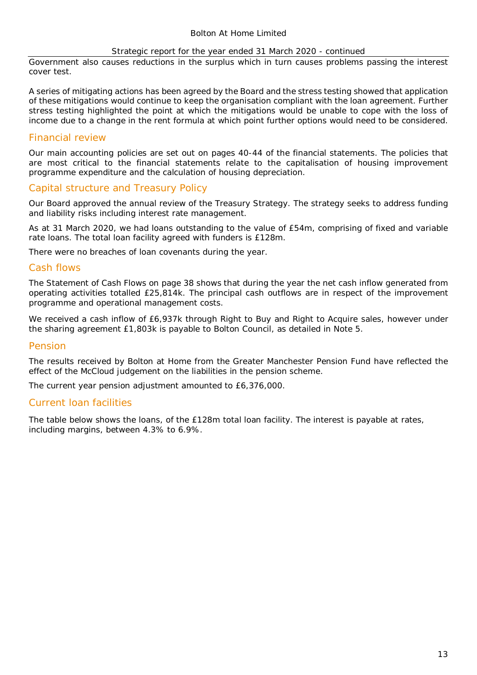Government also causes reductions in the surplus which in turn causes problems passing the interest cover test.

A series of mitigating actions has been agreed by the Board and the stress testing showed that application of these mitigations would continue to keep the organisation compliant with the loan agreement. Further stress testing highlighted the point at which the mitigations would be unable to cope with the loss of income due to a change in the rent formula at which point further options would need to be considered.

### Financial review

Our main accounting policies are set out on pages 40-44 of the financial statements. The policies that are most critical to the financial statements relate to the capitalisation of housing improvement programme expenditure and the calculation of housing depreciation.

#### Capital structure and Treasury Policy

Our Board approved the annual review of the Treasury Strategy. The strategy seeks to address funding and liability risks including interest rate management.

As at 31 March 2020, we had loans outstanding to the value of £54m, comprising of fixed and variable rate loans. The total loan facility agreed with funders is £128m.

There were no breaches of loan covenants during the year.

#### Cash flows

The Statement of Cash Flows on page 38 shows that during the year the net cash inflow generated from operating activities totalled £25,814k. The principal cash outflows are in respect of the improvement programme and operational management costs.

We received a cash inflow of £6,937k through Right to Buy and Right to Acquire sales, however under the sharing agreement £1,803k is payable to Bolton Council, as detailed in Note 5.

#### Pension

The results received by Bolton at Home from the Greater Manchester Pension Fund have reflected the effect of the McCloud judgement on the liabilities in the pension scheme.

The current year pension adjustment amounted to £6,376,000.

#### Current loan facilities

The table below shows the loans, of the £128m total loan facility. The interest is payable at rates, including margins, between 4.3% to 6.9%.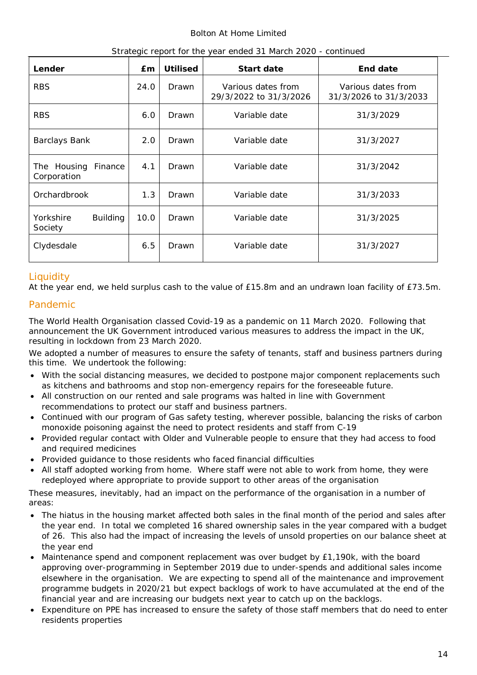#### Bolton At Home Limited

| Lender                                  | £m   | <b>Utilised</b> | Start date                                   | End date                                     |
|-----------------------------------------|------|-----------------|----------------------------------------------|----------------------------------------------|
| <b>RBS</b>                              | 24.0 | Drawn           | Various dates from<br>29/3/2022 to 31/3/2026 | Various dates from<br>31/3/2026 to 31/3/2033 |
| <b>RBS</b>                              | 6.0  | <b>Drawn</b>    | Variable date                                | 31/3/2029                                    |
| Barclays Bank                           | 2.0  | <b>Drawn</b>    | Variable date                                | 31/3/2027                                    |
| The Housing<br>Finance<br>Corporation   | 4.1  | <b>Drawn</b>    | Variable date                                | 31/3/2042                                    |
| Orchardbrook                            | 1.3  | <b>Drawn</b>    | Variable date                                | 31/3/2033                                    |
| Yorkshire<br><b>Building</b><br>Society | 10.0 | <b>Drawn</b>    | Variable date                                | 31/3/2025                                    |
| Clydesdale                              | 6.5  | <b>Drawn</b>    | Variable date                                | 31/3/2027                                    |

| Strategic report for the year ended 31 March 2020 - continued |  |  |  |
|---------------------------------------------------------------|--|--|--|
|                                                               |  |  |  |

## **Liquidity**

At the year end, we held surplus cash to the value of £15.8m and an undrawn loan facility of £73.5m.

## Pandemic

The World Health Organisation classed Covid-19 as a pandemic on 11 March 2020. Following that announcement the UK Government introduced various measures to address the impact in the UK, resulting in lockdown from 23 March 2020.

We adopted a number of measures to ensure the safety of tenants, staff and business partners during this time. We undertook the following:

- · With the social distancing measures, we decided to postpone major component replacements such as kitchens and bathrooms and stop non-emergency repairs for the foreseeable future.
- · All construction on our rented and sale programs was halted in line with Government recommendations to protect our staff and business partners.
- · Continued with our program of Gas safety testing, wherever possible, balancing the risks of carbon monoxide poisoning against the need to protect residents and staff from C-19
- · Provided regular contact with Older and Vulnerable people to ensure that they had access to food and required medicines
- · Provided guidance to those residents who faced financial difficulties
- All staff adopted working from home. Where staff were not able to work from home, they were redeployed where appropriate to provide support to other areas of the organisation

These measures, inevitably, had an impact on the performance of the organisation in a number of areas:

- The hiatus in the housing market affected both sales in the final month of the period and sales after the year end. In total we completed 16 shared ownership sales in the year compared with a budget of 26. This also had the impact of increasing the levels of unsold properties on our balance sheet at the year end
- Maintenance spend and component replacement was over budget by £1,190k, with the board approving over-programming in September 2019 due to under-spends and additional sales income elsewhere in the organisation. We are expecting to spend all of the maintenance and improvement programme budgets in 2020/21 but expect backlogs of work to have accumulated at the end of the financial year and are increasing our budgets next year to catch up on the backlogs.
- Expenditure on PPE has increased to ensure the safety of those staff members that do need to enter residents properties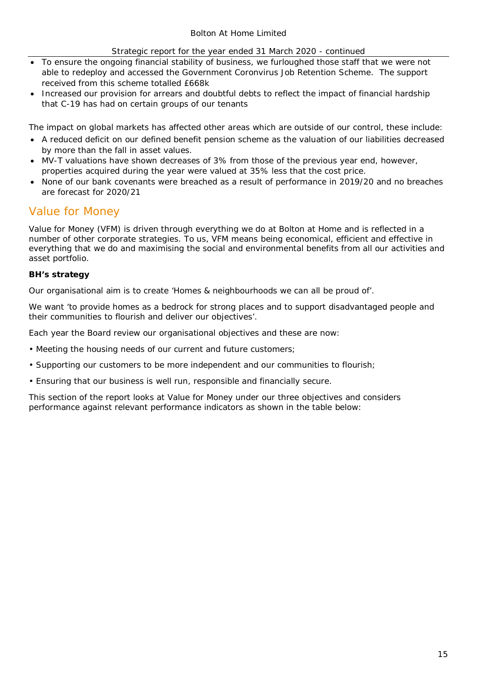- To ensure the ongoing financial stability of business, we furloughed those staff that we were not able to redeploy and accessed the Government Coronvirus Job Retention Scheme. The support received from this scheme totalled £668k
- · Increased our provision for arrears and doubtful debts to reflect the impact of financial hardship that C-19 has had on certain groups of our tenants

The impact on global markets has affected other areas which are outside of our control, these include:

- · A reduced deficit on our defined benefit pension scheme as the valuation of our liabilities decreased by more than the fall in asset values.
- · MV-T valuations have shown decreases of 3% from those of the previous year end, however, properties acquired during the year were valued at 35% less that the cost price.
- · None of our bank covenants were breached as a result of performance in 2019/20 and no breaches are forecast for 2020/21

## Value for Money

Value for Money (VFM) is driven through everything we do at Bolton at Home and is reflected in a number of other corporate strategies. To us, VFM means being economical, efficient and effective in everything that we do and maximising the social and environmental benefits from all our activities and asset portfolio.

### **BH's strategy**

Our organisational aim is to create 'Homes & neighbourhoods we can all be proud of'.

We want 'to provide homes as a bedrock for strong places and to support disadvantaged people and their communities to flourish and deliver our objectives'.

Each year the Board review our organisational objectives and these are now:

- Meeting the housing needs of our current and future customers;
- Supporting our customers to be more independent and our communities to flourish;
- Ensuring that our business is well run, responsible and financially secure.

This section of the report looks at Value for Money under our three objectives and considers performance against relevant performance indicators as shown in the table below: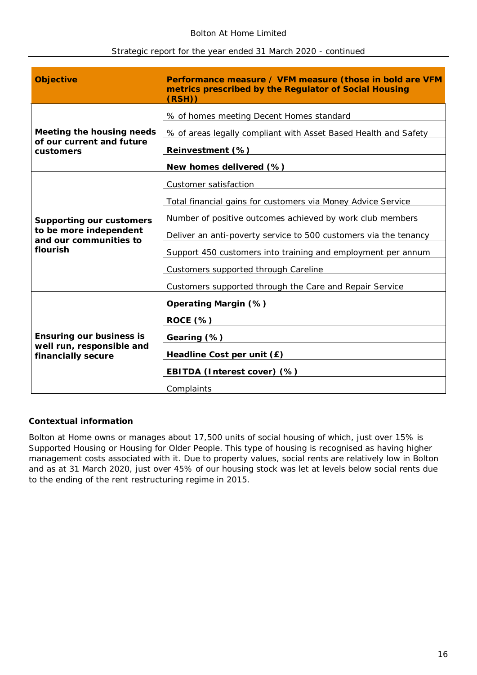| Objective                                                                                | Performance measure / VFM measure (those in bold are VFM<br>metrics prescribed by the Regulator of Social Housing<br>(RSH)                                                                                                                                                                                                                                                                                           |
|------------------------------------------------------------------------------------------|----------------------------------------------------------------------------------------------------------------------------------------------------------------------------------------------------------------------------------------------------------------------------------------------------------------------------------------------------------------------------------------------------------------------|
| Meeting the housing needs<br>of our current and future<br>customers                      | % of homes meeting Decent Homes standard<br>% of areas legally compliant with Asset Based Health and Safety<br>Reinvestment (%)                                                                                                                                                                                                                                                                                      |
| Supporting our customers<br>to be more independent<br>and our communities to<br>flourish | New homes delivered (%)<br>Customer satisfaction<br>Total financial gains for customers via Money Advice Service<br>Number of positive outcomes achieved by work club members<br>Deliver an anti-poverty service to 500 customers via the tenancy<br>Support 450 customers into training and employment per annum<br>Customers supported through Careline<br>Customers supported through the Care and Repair Service |
| Ensuring our business is<br>well run, responsible and<br>financially secure              | Operating Margin (%)<br>ROCE $(\%)$<br>Gearing (%) Search Contract Contract Contract Contract Contract Contract Contract Contract Contract Contract Contract Contract Contract Contract Contract Contract Contract Contract Contract Contract Contract Contract Contr<br>Headline Cost per unit (£)<br>EBITDA (Interest cover) (%)<br>Complaints                                                                     |

#### **Contextual information**

Bolton at Home owns or manages about 17,500 units of social housing of which, just over 15% is Supported Housing or Housing for Older People. This type of housing is recognised as having higher management costs associated with it. Due to property values, social rents are relatively low in Bolton and as at 31 March 2020, just over 45% of our housing stock was let at levels below social rents due to the ending of the rent restructuring regime in 2015.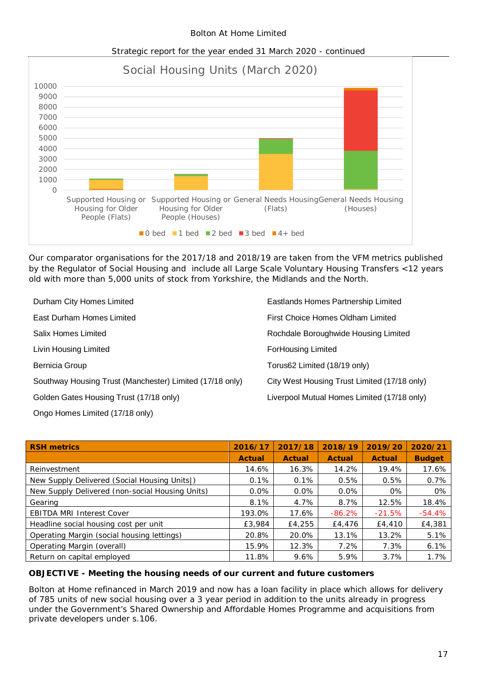#### Bolton At Home Limited



Strategic report for the year ended 31 March 2020 - continued

Our comparator organisations for the 2017/18 and 2018/19 are taken from the VFM metrics published by the Regulator of Social Housing and include all Large Scale Voluntary Housing Transfers <12 years old with more than 5,000 units of stock from Yorkshire, the Midlands and the North.

Durham City Homes Limited Eastlands Homes Partnership Limited East Durham Homes Limited First Choice Homes Oldham Limited Salix Homes Limited **Rochdale Boroughwide Housing Limited** Rochdale Boroughwide Housing Limited Livin Housing Limited **For Example 2018 For Housing Limited** For Housing Limited Bernicia Group **Torus62** Limited (18/19 only) Southway Housing Trust (Manchester) Limited (17/18 only) City West Housing Trust Limited (17/18 only) Golden Gates Housing Trust (17/18 only) Liverpool Mutual Homes Limited (17/18 only) Ongo Homes Limited (17/18 only)

| <b>RSH</b> metrics                              | 2016/17 | 2017/18 | 2018/19   | 2019/20  | 2020/21       |
|-------------------------------------------------|---------|---------|-----------|----------|---------------|
|                                                 | Actual  | Actual  | Actual    | Actual   | <b>Budget</b> |
| Reinvestment                                    | 14.6%   | 16.3%   | 14.2%     | 19.4%    | 17.6%         |
| New Supply Delivered (Social Housing Units))    | 0.1%    | 0.1%    | 0.5%      | 0.5%     | 0.7%          |
| New Supply Delivered (non-social Housing Units) | $0.0\%$ | $0.0\%$ | $0.0\%$   | $0\%$    | 0%            |
| Gearing                                         | 8.1%    | 4.7%    | 8.7%      | 12.5%    | 18.4%         |
| <b>EBITDA MRI Interest Cover</b>                | 193.0%  | 17.6%   | $-86.2\%$ | $-21.5%$ | $-54.4%$      |
| Headline social housing cost per unit           | £3,984  | £4,255  | £4,476    | £4,410   | £4,381        |
| Operating Margin (social housing lettings)      | 20.8%   | 20.0%   | 13.1%     | 13.2%    | 5.1%          |
| Operating Margin (overall)                      | 15.9%   | 12.3%   | 7.2%      | 7.3%     | 6.1%          |
| Return on capital employed                      | 11.8%   | 9.6%    | 5.9%      | 3.7%     | 1.7%          |

**OBJECTIVE - Meeting the housing needs of our current and future customers**

Bolton at Home refinanced in March 2019 and now has a loan facility in place which allows for delivery of 785 units of new social housing over a 3 year period in addition to the units already in progress under the Government's Shared Ownership and Affordable Homes Programme and acquisitions from private developers under s.106.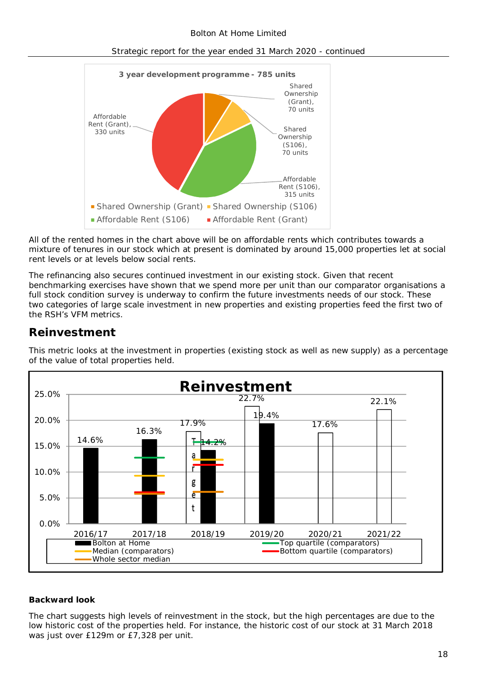

All of the rented homes in the chart above will be on affordable rents which contributes towards a mixture of tenures in our stock which at present is dominated by around 15,000 properties let at social rent levels or at levels below social rents.

The refinancing also secures continued investment in our existing stock. Given that recent benchmarking exercises have shown that we spend more per unit than our comparator organisations a full stock condition survey is underway to confirm the future investments needs of our stock. These two categories of large scale investment in new properties and existing properties feed the first two of the RSH's VFM metrics.

## **Reinvestment**



This metric looks at the investment in properties (existing stock as well as new supply) as a percentage of the value of total properties held.

#### **Backward look**

The chart suggests high levels of reinvestment in the stock, but the high percentages are due to the low historic cost of the properties held. For instance, the historic cost of our stock at 31 March 2018 was just over £129m or £7,328 per unit.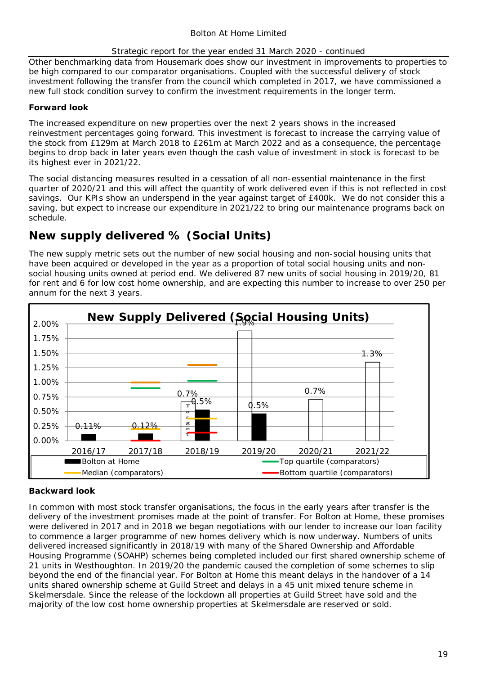Other benchmarking data from Housemark does show our investment in improvements to properties to be high compared to our comparator organisations. Coupled with the successful delivery of stock investment following the transfer from the council which completed in 2017, we have commissioned a new full stock condition survey to confirm the investment requirements in the longer term.

#### **Forward look**

The increased expenditure on new properties over the next 2 years shows in the increased reinvestment percentages going forward. This investment is forecast to increase the carrying value of the stock from £129m at March 2018 to £261m at March 2022 and as a consequence, the percentage begins to drop back in later years even though the cash value of investment in stock is forecast to be its highest ever in 2021/22.

The social distancing measures resulted in a cessation of all non-essential maintenance in the first quarter of 2020/21 and this will affect the quantity of work delivered even if this is not reflected in cost savings. Our KPIs show an underspend in the year against target of £400k. We do not consider this a saving, but expect to increase our expenditure in 2021/22 to bring our maintenance programs back on schedule.

# **New supply delivered % (Social Units)**

The new supply metric sets out the number of new social housing and non-social housing units that have been acquired or developed in the year as a proportion of total social housing units and nonsocial housing units owned at period end. We delivered 87 new units of social housing in 2019/20, 81 for rent and 6 for low cost home ownership, and are expecting this number to increase to over 250 per annum for the next 3 years.



#### **Backward look**

In common with most stock transfer organisations, the focus in the early years after transfer is the delivery of the investment promises made at the point of transfer. For Bolton at Home, these promises were delivered in 2017 and in 2018 we began negotiations with our lender to increase our loan facility to commence a larger programme of new homes delivery which is now underway. Numbers of units delivered increased significantly in 2018/19 with many of the Shared Ownership and Affordable Housing Programme (SOAHP) schemes being completed included our first shared ownership scheme of 21 units in Westhoughton. In 2019/20 the pandemic caused the completion of some schemes to slip beyond the end of the financial year. For Bolton at Home this meant delays in the handover of a 14 units shared ownership scheme at Guild Street and delays in a 45 unit mixed tenure scheme in Skelmersdale. Since the release of the lockdown all properties at Guild Street have sold and the majority of the low cost home ownership properties at Skelmersdale are reserved or sold.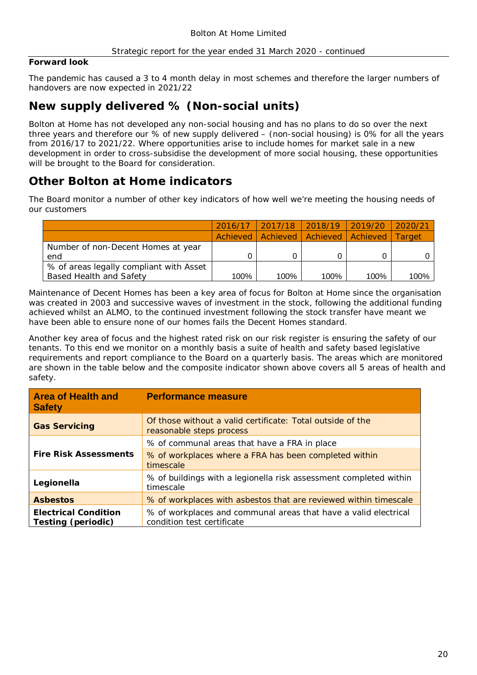#### **Forward look**

The pandemic has caused a 3 to 4 month delay in most schemes and therefore the larger numbers of handovers are now expected in 2021/22

## **New supply delivered % (Non-social units)**

Bolton at Home has not developed any non-social housing and has no plans to do so over the next three years and therefore our % of new supply delivered – (non-social housing) is 0% for all the years from 2016/17 to 2021/22. Where opportunities arise to include homes for market sale in a new development in order to cross-subsidise the development of more social housing, these opportunities will be brought to the Board for consideration.

# **Other Bolton at Home indicators**

The Board monitor a number of other key indicators of how well we're meeting the housing needs of our customers

|                                         |      | 2016/17 2017/18 2018/19 2019/20           |      |      | 2020/21 |
|-----------------------------------------|------|-------------------------------------------|------|------|---------|
|                                         |      | Achieved   Achieved   Achieved   Achieved |      |      | Target  |
| Number of non-Decent Homes at year      |      |                                           |      |      |         |
| end                                     |      |                                           |      |      |         |
| % of areas legally compliant with Asset |      |                                           |      |      |         |
| Based Health and Safety                 | 100% | 100%                                      | 100% | 100% | 100%    |

Maintenance of Decent Homes has been a key area of focus for Bolton at Home since the organisation was created in 2003 and successive waves of investment in the stock, following the additional funding achieved whilst an ALMO, to the continued investment following the stock transfer have meant we have been able to ensure none of our homes fails the Decent Homes standard.

Another key area of focus and the highest rated risk on our risk register is ensuring the safety of our tenants. To this end we monitor on a monthly basis a suite of health and safety based legislative requirements and report compliance to the Board on a quarterly basis. The areas which are monitored are shown in the table below and the composite indicator shown above covers all 5 areas of health and safety.

| <b>Area of Health and</b><br><b>Safety</b> | <b>Performance measure</b>                                                                    |  |  |
|--------------------------------------------|-----------------------------------------------------------------------------------------------|--|--|
| <b>Gas Servicing</b>                       | Of those without a valid certificate: Total outside of the<br>reasonable steps process        |  |  |
|                                            | % of communal areas that have a FRA in place                                                  |  |  |
| Fire Risk Assessments                      | % of workplaces where a FRA has been completed within<br>timescale                            |  |  |
| Legionella                                 | % of buildings with a legionella risk assessment completed within<br>timescale                |  |  |
| Asbestos                                   | % of workplaces with asbestos that are reviewed within timescale                              |  |  |
| Electrical Condition<br>Testing (periodic) | % of workplaces and communal areas that have a valid electrical<br>condition test certificate |  |  |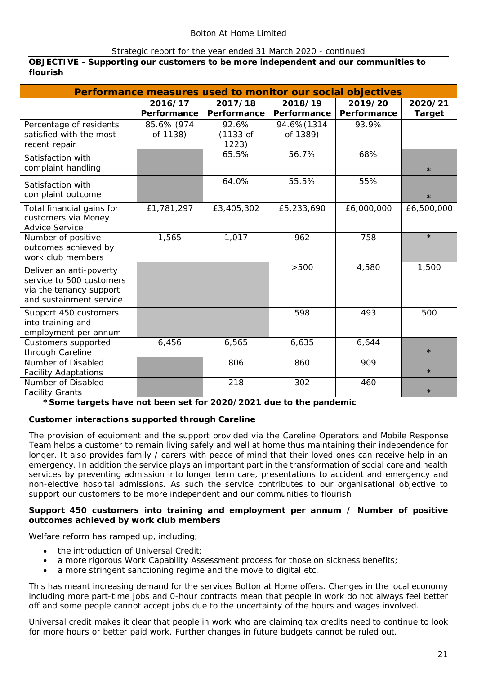**OBJECTIVE - Supporting our customers to be more independent and our communities to flourish**

| Performance measures used to monitor our social objectives                                                |                        |                              |                        |             |            |
|-----------------------------------------------------------------------------------------------------------|------------------------|------------------------------|------------------------|-------------|------------|
|                                                                                                           | 2016/17                | 2017/18                      | 2018/19                | 2019/20     | 2020/21    |
|                                                                                                           | Performance            | Performance                  | Performance            | Performance | Target     |
| Percentage of residents<br>satisfied with the most                                                        | 85.6% (974<br>of 1138) | 92.6%<br>$(1133 \text{ of }$ | 94.6%(1314<br>of 1389) | 93.9%       |            |
| recent repair                                                                                             |                        | 1223)                        |                        |             |            |
| Satisfaction with<br>complaint handling                                                                   |                        | 65.5%                        | 56.7%                  | 68%         | $\star$    |
| Satisfaction with<br>complaint outcome                                                                    |                        | 64.0%                        | 55.5%                  | 55%         | $\star$    |
| Total financial gains for<br>customers via Money<br><b>Advice Service</b>                                 | £1,781,297             | £3,405,302                   | £5,233,690             | £6,000,000  | £6,500,000 |
| Number of positive<br>outcomes achieved by<br>work club members                                           | 1,565                  | 1,017                        | 962                    | 758         | $\star$    |
| Deliver an anti-poverty<br>service to 500 customers<br>via the tenancy support<br>and sustainment service |                        |                              | >500                   | 4,580       | 1,500      |
| Support 450 customers<br>into training and<br>employment per annum                                        |                        |                              | 598                    | 493         | 500        |
| Customers supported<br>through Careline                                                                   | 6,456                  | 6,565                        | 6,635                  | 6,644       | $\star$    |
| Number of Disabled<br><b>Facility Adaptations</b>                                                         |                        | 806                          | 860                    | 909         | $\star$    |
| Number of Disabled<br><b>Facility Grants</b>                                                              |                        | 218                          | 302                    | 460         | $\star$    |

**\*Some targets have not been set for 2020/2021 due to the pandemic**

#### *Customer interactions supported through Careline*

The provision of equipment and the support provided via the Careline Operators and Mobile Response Team helps a customer to remain living safely and well at home thus maintaining their independence for longer. It also provides family / carers with peace of mind that their loved ones can receive help in an emergency. In addition the service plays an important part in the transformation of social care and health services by preventing admission into longer term care, presentations to accident and emergency and non-elective hospital admissions. As such the service contributes to our organisational objective to support our customers to be more independent and our communities to flourish

*Support 450 customers into training and employment per annum / Number of positive outcomes achieved by work club members*

Welfare reform has ramped up, including;

- the introduction of Universal Credit;
- a more rigorous Work Capability Assessment process for those on sickness benefits;
- a more stringent sanctioning regime and the move to digital etc.

This has meant increasing demand for the services Bolton at Home offers. Changes in the local economy including more part-time jobs and 0-hour contracts mean that people in work do not always feel better off and some people cannot accept jobs due to the uncertainty of the hours and wages involved.

Universal credit makes it clear that people in work who are claiming tax credits need to continue to look for more hours or better paid work. Further changes in future budgets cannot be ruled out.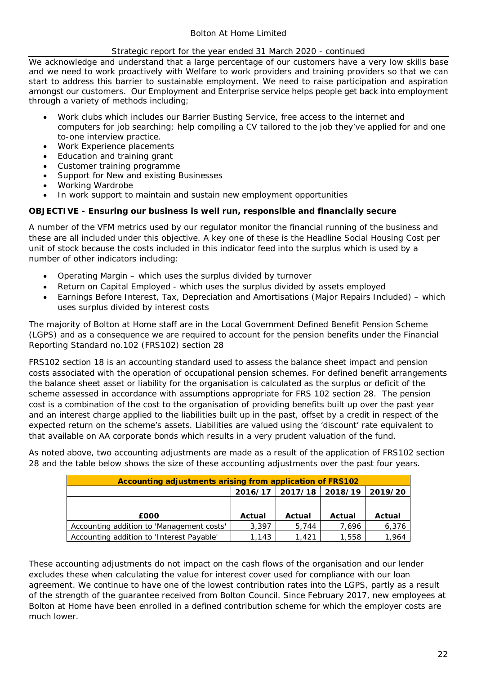#### Bolton At Home Limited

#### Strategic report for the year ended 31 March 2020 - continued

We acknowledge and understand that a large percentage of our customers have a very low skills base and we need to work proactively with Welfare to work providers and training providers so that we can start to address this barrier to sustainable employment. We need to raise participation and aspiration amongst our customers. Our Employment and Enterprise service helps people get back into employment through a variety of methods including;

- · Work clubs which includes our Barrier Busting Service, free access to the internet and computers for job searching; help compiling a CV tailored to the job they've applied for and one to-one interview practice.
- Work Experience placements
- Education and training grant
- Customer training programme
- Support for New and existing Businesses
- Working Wardrobe
- · In work support to maintain and sustain new employment opportunities

**OBJECTIVE - Ensuring our business is well run, responsible and financially secure**

A number of the VFM metrics used by our regulator monitor the financial running of the business and these are all included under this objective. A key one of these is the Headline Social Housing Cost per unit of stock because the costs included in this indicator feed into the surplus which is used by a number of other indicators including:

- · Operating Margin which uses the surplus divided by turnover
- · Return on Capital Employed which uses the surplus divided by assets employed
- · Earnings Before Interest, Tax, Depreciation and Amortisations (Major Repairs Included) which uses surplus divided by interest costs

The majority of Bolton at Home staff are in the Local Government Defined Benefit Pension Scheme (LGPS) and as a consequence we are required to account for the pension benefits under the Financial Reporting Standard no.102 (FRS102) section 28

FRS102 section 18 is an accounting standard used to assess the balance sheet impact and pension costs associated with the operation of occupational pension schemes. For defined benefit arrangements the balance sheet asset or liability for the organisation is calculated as the surplus or deficit of the scheme assessed in accordance with assumptions appropriate for FRS 102 section 28. The pension cost is a combination of the cost to the organisation of providing benefits built up over the past year and an interest charge applied to the liabilities built up in the past, offset by a credit in respect of the expected return on the scheme's assets. Liabilities are valued using the 'discount' rate equivalent to that available on AA corporate bonds which results in a very prudent valuation of the fund.

As noted above, two accounting adjustments are made as a result of the application of FRS102 section 28 and the table below shows the size of these accounting adjustments over the past four years.

| Accounting adjustments arising from application of FRS102 |        |                   |         |         |  |
|-----------------------------------------------------------|--------|-------------------|---------|---------|--|
|                                                           |        | 2016/17   2017/18 | 2018/19 | 2019/20 |  |
|                                                           |        |                   |         |         |  |
| £000                                                      | Actual | Actual            | Actual  | Actual  |  |
| Accounting addition to 'Management costs'                 | 3,397  | 5,744             | 7.696   | 6,376   |  |
| Accounting addition to 'Interest Payable'                 | 1.143  | 1.421             | 1,558   | .964    |  |

These accounting adjustments do not impact on the cash flows of the organisation and our lender excludes these when calculating the value for interest cover used for compliance with our loan agreement. We continue to have one of the lowest contribution rates into the LGPS, partly as a result of the strength of the guarantee received from Bolton Council. Since February 2017, new employees at Bolton at Home have been enrolled in a defined contribution scheme for which the employer costs are much lower.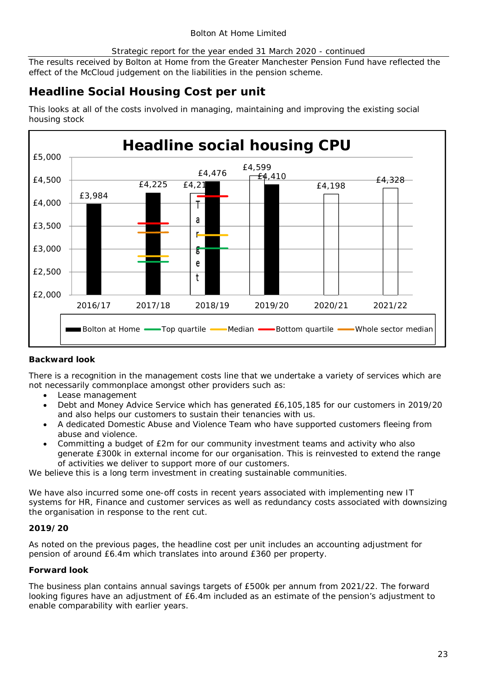The results received by Bolton at Home from the Greater Manchester Pension Fund have reflected the effect of the McCloud judgement on the liabilities in the pension scheme.

# **Headline Social Housing Cost per unit**

This looks at all of the costs involved in managing, maintaining and improving the existing social housing stock



## **Backward look**

There is a recognition in the management costs line that we undertake a variety of services which are not necessarily commonplace amongst other providers such as:

- · Lease management
- · Debt and Money Advice Service which has generated £6,105,185 for our customers in 2019/20 and also helps our customers to sustain their tenancies with us.
- · A dedicated Domestic Abuse and Violence Team who have supported customers fleeing from abuse and violence.
- · Committing a budget of £2m for our community investment teams and activity who also generate £300k in external income for our organisation. This is reinvested to extend the range of activities we deliver to support more of our customers.

We believe this is a long term investment in creating sustainable communities.

We have also incurred some one-off costs in recent years associated with implementing new IT systems for HR, Finance and customer services as well as redundancy costs associated with downsizing the organisation in response to the rent cut.

#### **2019/20**

As noted on the previous pages, the headline cost per unit includes an accounting adjustment for pension of around £6.4m which translates into around £360 per property.

#### **Forward look**

The business plan contains annual savings targets of £500k per annum from 2021/22. The forward looking figures have an adjustment of £6.4m included as an estimate of the pension's adjustment to enable comparability with earlier years.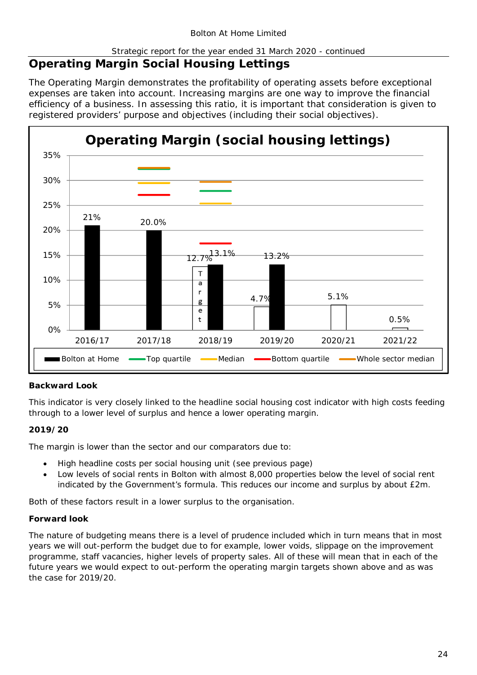# **Operating Margin Social Housing Lettings**

The Operating Margin demonstrates the profitability of operating assets before exceptional expenses are taken into account. Increasing margins are one way to improve the financial efficiency of a business. In assessing this ratio, it is important that consideration is given to registered providers' purpose and objectives (including their social objectives).



## **Backward Look**

This indicator is very closely linked to the headline social housing cost indicator with high costs feeding through to a lower level of surplus and hence a lower operating margin.

## **2019/20**

The margin is lower than the sector and our comparators due to:

- · High headline costs per social housing unit (see previous page)
- Low levels of social rents in Bolton with almost 8,000 properties below the level of social rent indicated by the Government's formula. This reduces our income and surplus by about £2m.

Both of these factors result in a lower surplus to the organisation.

## **Forward look**

The nature of budgeting means there is a level of prudence included which in turn means that in most years we will out-perform the budget due to for example, lower voids, slippage on the improvement programme, staff vacancies, higher levels of property sales. All of these will mean that in each of the future years we would expect to out-perform the operating margin targets shown above and as was the case for 2019/20.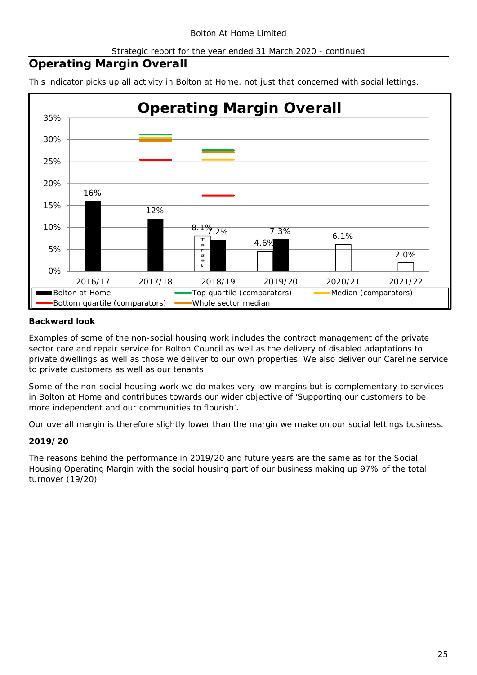# **Operating Margin Overall**

This indicator picks up all activity in Bolton at Home, not just that concerned with social lettings.



#### **Backward look**

Examples of some of the non-social housing work includes the contract management of the private sector care and repair service for Bolton Council as well as the delivery of disabled adaptations to private dwellings as well as those we deliver to our own properties. We also deliver our Careline service to private customers as well as our tenants

Some of the non-social housing work we do makes very low margins but is complementary to services in Bolton at Home and contributes towards our wider objective of '*Supporting our customers to be more independent and our communities to flourish'***.**

Our overall margin is therefore slightly lower than the margin we make on our social lettings business.

## **2019/20**

The reasons behind the performance in 2019/20 and future years are the same as for the Social Housing Operating Margin with the social housing part of our business making up 97% of the total turnover (19/20)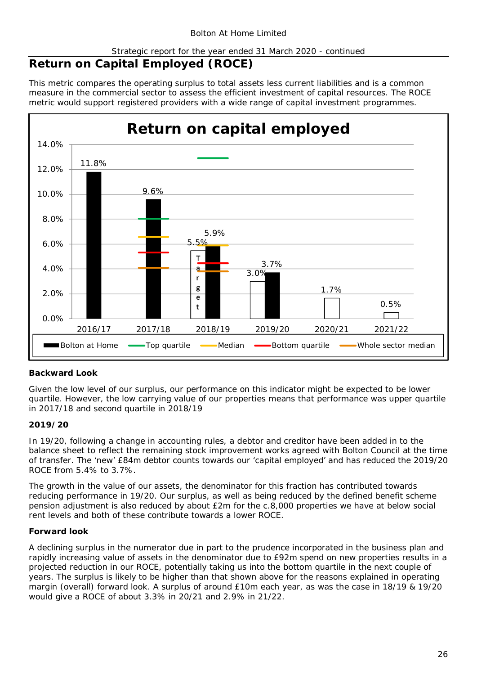## **Return on Capital Employed (ROCE)**

This metric compares the operating surplus to total assets less current liabilities and is a common measure in the commercial sector to assess the efficient investment of capital resources. The ROCE metric would support registered providers with a wide range of capital investment programmes.



## **Backward Look**

Given the low level of our surplus, our performance on this indicator might be expected to be lower quartile. However, the low carrying value of our properties means that performance was upper quartile in 2017/18 and second quartile in 2018/19

#### **2019/20**

In 19/20, following a change in accounting rules, a debtor and creditor have been added in to the balance sheet to reflect the remaining stock improvement works agreed with Bolton Council at the time of transfer. The 'new' £84m debtor counts towards our 'capital employed' and has reduced the 2019/20 ROCE from 5.4% to 3.7%.

The growth in the value of our assets, the denominator for this fraction has contributed towards reducing performance in 19/20. Our surplus, as well as being reduced by the defined benefit scheme pension adjustment is also reduced by about £2m for the c.8,000 properties we have at below social rent levels and both of these contribute towards a lower ROCE.

#### **Forward look**

A declining surplus in the numerator due in part to the prudence incorporated in the business plan and rapidly increasing value of assets in the denominator due to £92m spend on new properties results in a projected reduction in our ROCE, potentially taking us into the bottom quartile in the next couple of years. The surplus is likely to be higher than that shown above for the reasons explained in operating margin (overall) forward look. A surplus of around £10m each year, as was the case in 18/19 & 19/20 would give a ROCE of about 3.3% in 20/21 and 2.9% in 21/22.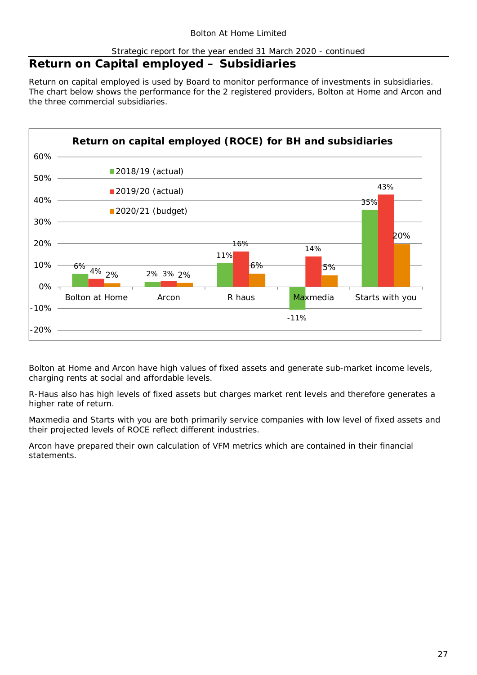## **Return on Capital employed – Subsidiaries**

Return on capital employed is used by Board to monitor performance of investments in subsidiaries. The chart below shows the performance for the 2 registered providers, Bolton at Home and Arcon and the three commercial subsidiaries.



Bolton at Home and Arcon have high values of fixed assets and generate sub-market income levels, charging rents at social and affordable levels.

R-Haus also has high levels of fixed assets but charges market rent levels and therefore generates a higher rate of return.

Maxmedia and Starts with you are both primarily service companies with low level of fixed assets and their projected levels of ROCE reflect different industries.

Arcon have prepared their own calculation of VFM metrics which are contained in their financial statements.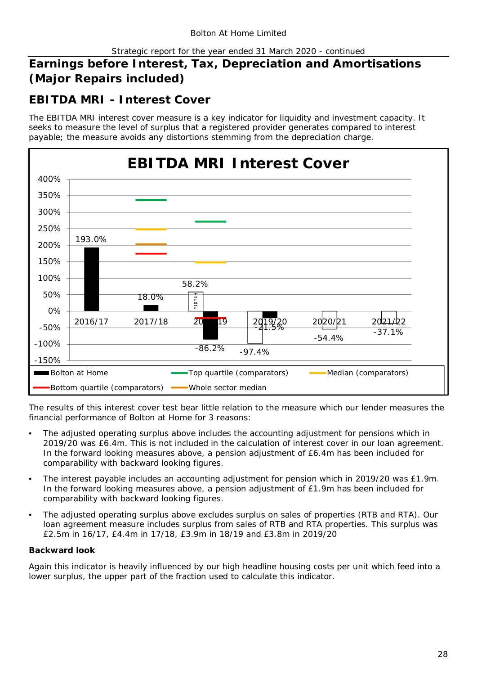# **Earnings before Interest, Tax, Depreciation and Amortisations (Major Repairs included)**

# **EBITDA MRI - Interest Cover**

The EBITDA MRI interest cover measure is a key indicator for liquidity and investment capacity. It seeks to measure the level of surplus that a registered provider generates compared to interest payable; the measure avoids any distortions stemming from the depreciation charge.



The results of this interest cover test bear little relation to the measure which our lender measures the financial performance of Bolton at Home for 3 reasons:

- The adjusted operating surplus above includes the accounting adjustment for pensions which in 2019/20 was £6.4m. This is not included in the calculation of interest cover in our loan agreement. In the forward looking measures above, a pension adjustment of £6.4m has been included for comparability with backward looking figures.
- The interest payable includes an accounting adjustment for pension which in 2019/20 was £1.9m. In the forward looking measures above, a pension adjustment of £1.9m has been included for comparability with backward looking figures.
- The adjusted operating surplus above excludes surplus on sales of properties (RTB and RTA). Our loan agreement measure includes surplus from sales of RTB and RTA properties. This surplus was £2.5m in 16/17, £4.4m in 17/18, £3.9m in 18/19 and £3.8m in 2019/20

#### **Backward look**

Again this indicator is heavily influenced by our high headline housing costs per unit which feed into a lower surplus, the upper part of the fraction used to calculate this indicator.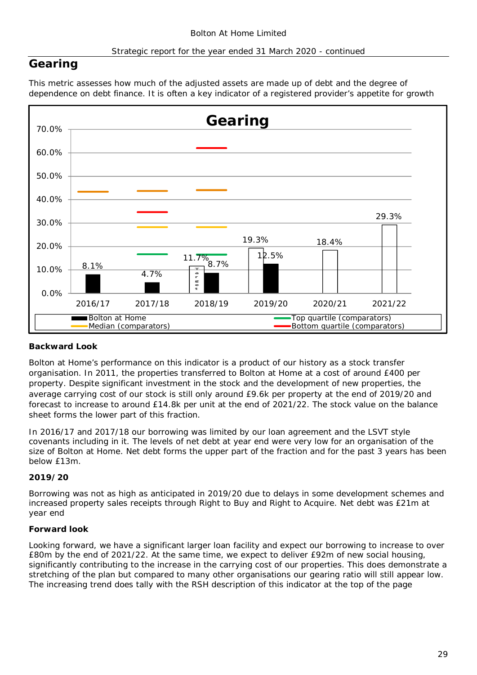# **Gearing**

This metric assesses how much of the adjusted assets are made up of debt and the degree of dependence on debt finance. It is often a key indicator of a registered provider's appetite for growth



## **Backward Look**

Bolton at Home's performance on this indicator is a product of our history as a stock transfer organisation. In 2011, the properties transferred to Bolton at Home at a cost of around £400 per property. Despite significant investment in the stock and the development of new properties, the average carrying cost of our stock is still only around £9.6k per property at the end of 2019/20 and forecast to increase to around £14.8k per unit at the end of 2021/22. The stock value on the balance sheet forms the lower part of this fraction.

In 2016/17 and 2017/18 our borrowing was limited by our loan agreement and the LSVT style covenants including in it. The levels of net debt at year end were very low for an organisation of the size of Bolton at Home. Net debt forms the upper part of the fraction and for the past 3 years has been below £13m.

#### **2019/20**

Borrowing was not as high as anticipated in 2019/20 due to delays in some development schemes and increased property sales receipts through Right to Buy and Right to Acquire. Net debt was £21m at year end

#### **Forward look**

Looking forward, we have a significant larger loan facility and expect our borrowing to increase to over £80m by the end of 2021/22. At the same time, we expect to deliver £92m of new social housing, significantly contributing to the increase in the carrying cost of our properties. This does demonstrate a stretching of the plan but compared to many other organisations our gearing ratio will still appear low. The increasing trend does tally with the RSH description of this indicator at the top of the page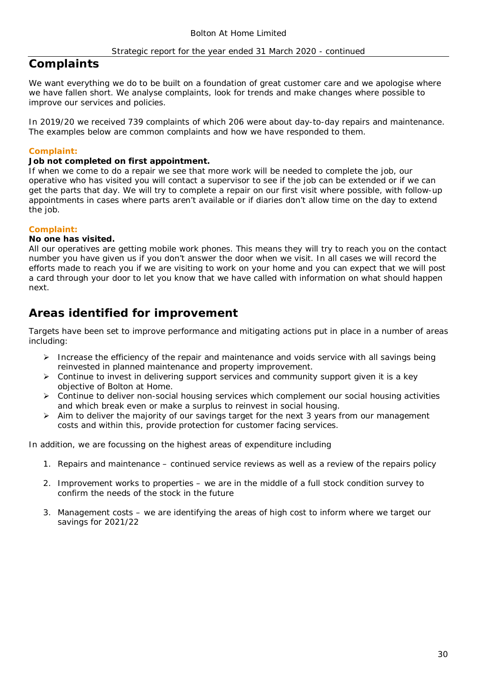## **Complaints**

We want everything we do to be built on a foundation of great customer care and we apologise where we have fallen short. We analyse complaints, look for trends and make changes where possible to improve our services and policies.

In 2019/20 we received 739 complaints of which 206 were about day-to-day repairs and maintenance. The examples below are common complaints and how we have responded to them.

#### **Complaint:**

**Job not completed on first appointment.**

If when we come to do a repair we see that more work will be needed to complete the job, our operative who has visited you will contact a supervisor to see if the job can be extended or if we can get the parts that day. We will try to complete a repair on our first visit where possible, with follow-up appointments in cases where parts aren't available or if diaries don't allow time on the day to extend the job.

### **Complaint:**

**No one has visited.**

All our operatives are getting mobile work phones. This means they will try to reach you on the contact number you have given us if you don't answer the door when we visit. In all cases we will record the efforts made to reach you if we are visiting to work on your home and you can expect that we will post a card through your door to let you know that we have called with information on what should happen next.

# **Areas identified for improvement**

Targets have been set to improve performance and mitigating actions put in place in a number of areas including:

- $\triangleright$  Increase the efficiency of the repair and maintenance and voids service with all savings being reinvested in planned maintenance and property improvement.
- $\triangleright$  Continue to invest in delivering support services and community support given it is a key objective of Bolton at Home.
- $\triangleright$  Continue to deliver non-social housing services which complement our social housing activities and which break even or make a surplus to reinvest in social housing.
- $\triangleright$  Aim to deliver the majority of our savings target for the next 3 years from our management costs and within this, provide protection for customer facing services.

In addition, we are focussing on the highest areas of expenditure including

- 1. Repairs and maintenance continued service reviews as well as a review of the repairs policy
- 2. Improvement works to properties we are in the middle of a full stock condition survey to confirm the needs of the stock in the future
- 3. Management costs we are identifying the areas of high cost to inform where we target our savings for 2021/22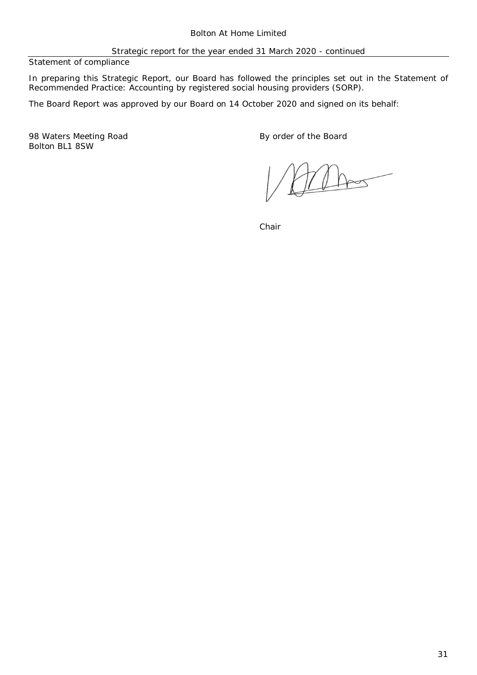#### Statement of compliance

In preparing this Strategic Report, our Board has followed the principles set out in the Statement of Recommended Practice: Accounting by registered social housing providers (SORP).

The Board Report was approved by our Board on 14 October 2020 and signed on its behalf:

98 Waters Meeting Road **By order of the Board** Bolton BL1 8SW

 $\triangle$ AA

Chair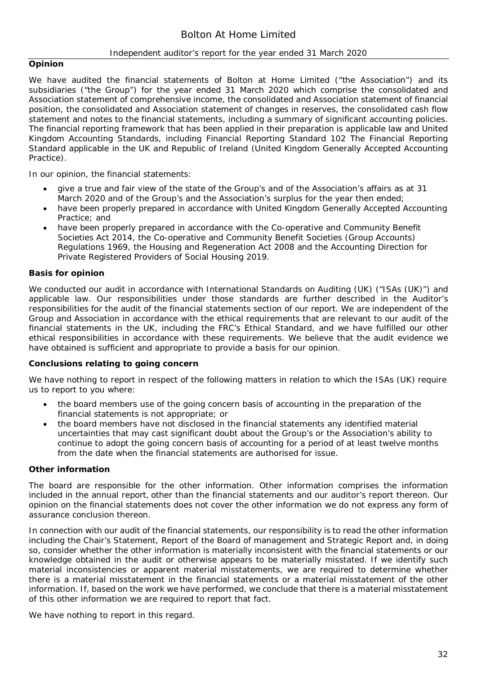#### Independent auditor's report for the year ended 31 March 2020

#### **Opinion**

We have audited the financial statements of Bolton at Home Limited ("the Association") and its subsidiaries ("the Group") for the year ended 31 March 2020 which comprise the consolidated and Association statement of comprehensive income, the consolidated and Association statement of financial position, the consolidated and Association statement of changes in reserves, the consolidated cash flow statement and notes to the financial statements, including a summary of significant accounting policies. The financial reporting framework that has been applied in their preparation is applicable law and United Kingdom Accounting Standards, including Financial Reporting Standard 102 *The Financial Reporting Standard applicable in the UK and Republic of Ireland* (United Kingdom Generally Accepted Accounting Practice).

In our opinion, the financial statements:

- · give a true and fair view of the state of the Group's and of the Association's affairs as at 31 March 2020 and of the Group's and the Association's surplus for the year then ended;
- have been properly prepared in accordance with United Kingdom Generally Accepted Accounting Practice; and
- have been properly prepared in accordance with the Co-operative and Community Benefit Societies Act 2014, the Co-operative and Community Benefit Societies (Group Accounts) Regulations 1969, the Housing and Regeneration Act 2008 and the Accounting Direction for Private Registered Providers of Social Housing 2019.

#### **Basis for opinion**

We conducted our audit in accordance with International Standards on Auditing (UK) ("ISAs (UK)") and applicable law. Our responsibilities under those standards are further described in the Auditor's responsibilities for the audit of the financial statements section of our report. We are independent of the Group and Association in accordance with the ethical requirements that are relevant to our audit of the financial statements in the UK, including the FRC's Ethical Standard, and we have fulfilled our other ethical responsibilities in accordance with these requirements. We believe that the audit evidence we have obtained is sufficient and appropriate to provide a basis for our opinion.

#### **Conclusions relating to going concern**

We have nothing to report in respect of the following matters in relation to which the ISAs (UK) require us to report to you where:

- · the board members use of the going concern basis of accounting in the preparation of the financial statements is not appropriate; or
- · the board members have not disclosed in the financial statements any identified material uncertainties that may cast significant doubt about the Group's or the Association's ability to continue to adopt the going concern basis of accounting for a period of at least twelve months from the date when the financial statements are authorised for issue.

#### **Other information**

The board are responsible for the other information. Other information comprises the information included in the annual report, other than the financial statements and our auditor's report thereon. Our opinion on the financial statements does not cover the other information we do not express any form of assurance conclusion thereon.

In connection with our audit of the financial statements, our responsibility is to read the other information including the Chair's Statement, Report of the Board of management and Strategic Report and, in doing so, consider whether the other information is materially inconsistent with the financial statements or our knowledge obtained in the audit or otherwise appears to be materially misstated. If we identify such material inconsistencies or apparent material misstatements, we are required to determine whether there is a material misstatement in the financial statements or a material misstatement of the other information. If, based on the work we have performed, we conclude that there is a material misstatement of this other information we are required to report that fact.

We have nothing to report in this regard.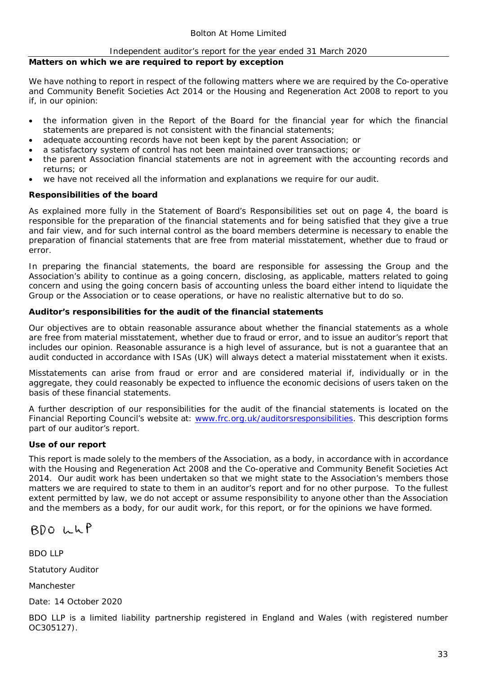#### Independent auditor's report for the year ended 31 March 2020

#### **Matters on which we are required to report by exception**

We have nothing to report in respect of the following matters where we are required by the Co-operative and Community Benefit Societies Act 2014 or the Housing and Regeneration Act 2008 to report to you if, in our opinion:

- · the information given in the Report of the Board for the financial year for which the financial statements are prepared is not consistent with the financial statements;
- adequate accounting records have not been kept by the parent Association; or
- · a satisfactory system of control has not been maintained over transactions; or
- · the parent Association financial statements are not in agreement with the accounting records and returns; or
- we have not received all the information and explanations we require for our audit.

#### **Responsibilities of the board**

As explained more fully in the Statement of Board's Responsibilities set out on page 4, the board is responsible for the preparation of the financial statements and for being satisfied that they give a true and fair view, and for such internal control as the board members determine is necessary to enable the preparation of financial statements that are free from material misstatement, whether due to fraud or error.

In preparing the financial statements, the board are responsible for assessing the Group and the Association's ability to continue as a going concern, disclosing, as applicable, matters related to going concern and using the going concern basis of accounting unless the board either intend to liquidate the Group or the Association or to cease operations, or have no realistic alternative but to do so.

**Auditor's responsibilities for the audit of the financial statements**

Our objectives are to obtain reasonable assurance about whether the financial statements as a whole are free from material misstatement, whether due to fraud or error, and to issue an auditor's report that includes our opinion. Reasonable assurance is a high level of assurance, but is not a guarantee that an audit conducted in accordance with ISAs (UK) will always detect a material misstatement when it exists.

Misstatements can arise from fraud or error and are considered material if, individually or in the aggregate, they could reasonably be expected to influence the economic decisions of users taken on the basis of these financial statements.

A further description of our responsibilities for the audit of the financial statements is located on the Financial Reporting Council's website at: www.frc.org.uk/auditorsresponsibilities. This description forms part of our auditor's report.

#### **Use of our report**

This report is made solely to the members of the Association, as a body, in accordance with in accordance with the Housing and Regeneration Act 2008 and the Co-operative and Community Benefit Societies Act 2014. Our audit work has been undertaken so that we might state to the Association's members those matters we are required to state to them in an auditor's report and for no other purpose. To the fullest extent permitted by law, we do not accept or assume responsibility to anyone other than the Association and the members as a body, for our audit work, for this report, or for the opinions we have formed.

# BDO Whp

BDO LLP

Statutory Auditor

**Manchester** 

Date: 14 October 2020

BDO LLP is a limited liability partnership registered in England and Wales (with registered number OC305127).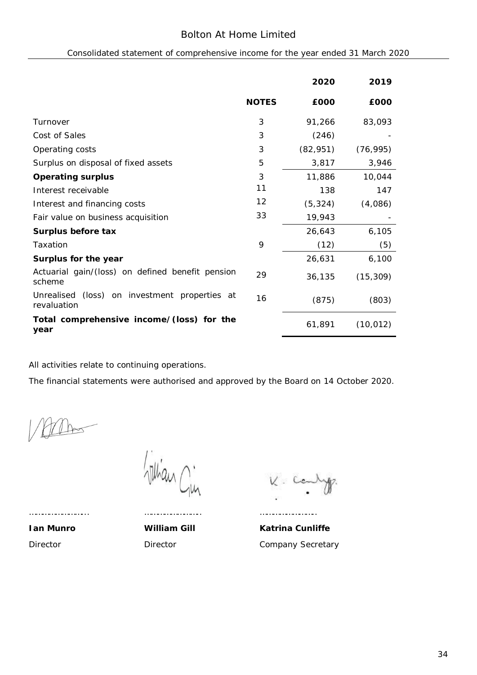## Bolton At Home Limited

| Consolidated statement of comprehensive income for the year ended 31 March 2020 |  |  |  |  |
|---------------------------------------------------------------------------------|--|--|--|--|
|---------------------------------------------------------------------------------|--|--|--|--|

|                                                                 |              | 2020      | 2019      |
|-----------------------------------------------------------------|--------------|-----------|-----------|
|                                                                 | <b>NOTES</b> | £000      | £000      |
| Turnover                                                        | 3            | 91,266    | 83,093    |
| Cost of Sales                                                   | 3            | (246)     |           |
| Operating costs                                                 | 3            | (82, 951) | (76, 995) |
| Surplus on disposal of fixed assets                             | 5            | 3,817     | 3,946     |
| Operating surplus                                               | 3            | 11,886    | 10,044    |
| Interest receivable                                             | 11           | 138       | 147       |
| Interest and financing costs                                    | 12           | (5, 324)  | (4,086)   |
| Fair value on business acquisition                              | 33           | 19,943    |           |
| Surplus before tax                                              |              | 26,643    | 6,105     |
| Taxation                                                        | 9            | (12)      | (5)       |
| Surplus for the year                                            |              | 26,631    | 6,100     |
| Actuarial gain/(loss) on defined benefit pension<br>scheme      | 29           | 36,135    | (15, 309) |
| (loss) on investment properties at<br>Unrealised<br>revaluation | 16           | (875)     | (803)     |
| Total comprehensive income/(loss) for the<br>year               |              | 61,891    | (10, 012) |

All activities relate to continuing operations.

The financial statements were authorised and approved by the Board on 14 October 2020.

Jillian Cin

……………………... …………………….. ……………………..

 $V.$  Ce

**Ian Munro William Gill Katrina Cunliffe** Director **Director** Director Company Secretary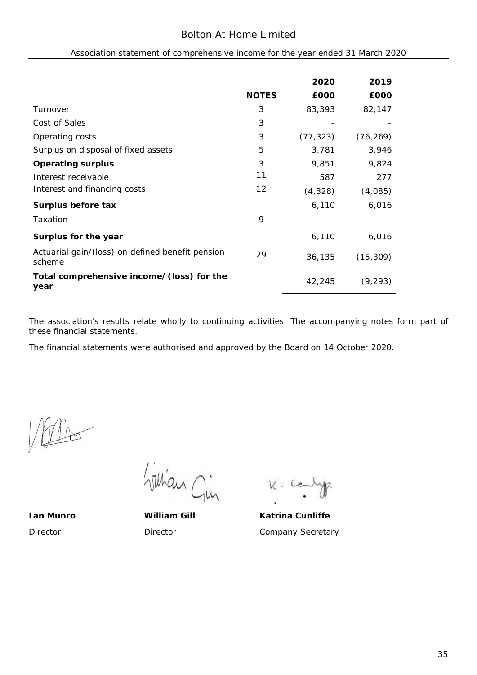## Bolton At Home Limited

|                                                            |              | 2020      | 2019      |
|------------------------------------------------------------|--------------|-----------|-----------|
|                                                            | <b>NOTES</b> | £000      | £000      |
| Turnover                                                   | 3            | 83,393    | 82,147    |
| Cost of Sales                                              | 3            |           |           |
| Operating costs                                            | 3            | (77, 323) | (76, 269) |
| Surplus on disposal of fixed assets                        | 5            | 3,781     | 3,946     |
| Operating surplus                                          | 3            | 9,851     | 9,824     |
| Interest receivable                                        | 11           | 587       | 277       |
| Interest and financing costs                               | 12           | (4, 328)  | (4,085)   |
| Surplus before tax                                         |              | 6,110     | 6,016     |
| Taxation                                                   | 9            |           |           |
| Surplus for the year                                       |              | 6,110     | 6,016     |
| Actuarial gain/(loss) on defined benefit pension<br>scheme | 29           | 36,135    | (15, 309) |
| Total comprehensive income/(loss) for the<br>year          |              | 42,245    | (9, 293)  |

#### Association statement of comprehensive income for the year ended 31 March 2020

The association's results relate wholly to continuing activities. The accompanying notes form part of these financial statements.

The financial statements were authorised and approved by the Board on 14 October 2020.

Julian Gin

V. .

**Ian Munro William Gill Katrina Cunliffe** Director **Director** Director Company Secretary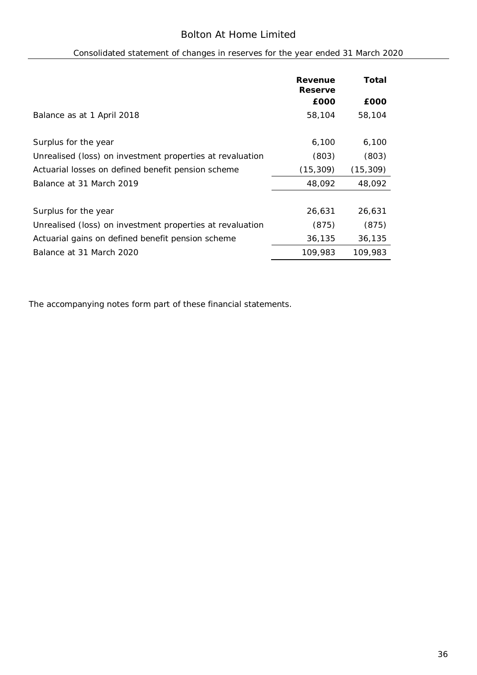# Consolidated statement of changes in reserves for the year ended 31 March 2020

|                                                           | Revenue<br>Reserve | Total     |
|-----------------------------------------------------------|--------------------|-----------|
|                                                           | £000               | £000      |
| Balance as at 1 April 2018                                | 58,104             | 58,104    |
|                                                           |                    |           |
| Surplus for the year                                      | 6,100              | 6,100     |
| Unrealised (loss) on investment properties at revaluation | (803)              | (803)     |
| Actuarial losses on defined benefit pension scheme        | (15, 309)          | (15, 309) |
| Balance at 31 March 2019                                  | 48,092             | 48,092    |
|                                                           |                    |           |
| Surplus for the year                                      | 26,631             | 26,631    |
| Unrealised (loss) on investment properties at revaluation | (875)              | (875)     |
| Actuarial gains on defined benefit pension scheme         | 36,135             | 36,135    |
| Balance at 31 March 2020                                  | 109,983            | 109,983   |

The accompanying notes form part of these financial statements.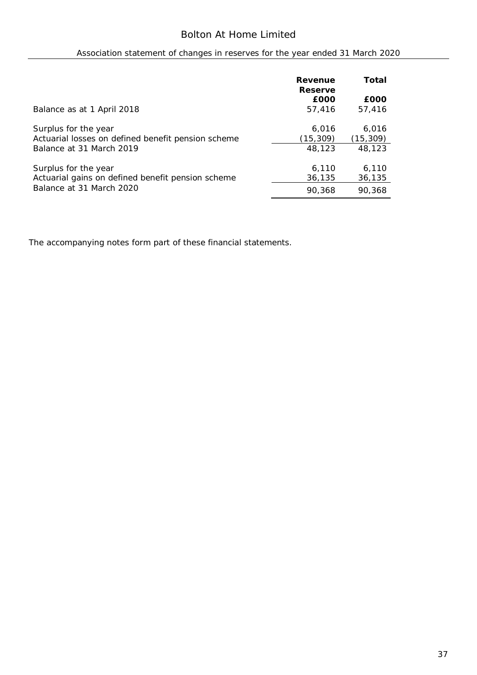# Association statement of changes in reserves for the year ended 31 March 2020

|                                                    | Revenue<br>Reserve | Total     |
|----------------------------------------------------|--------------------|-----------|
|                                                    | £000               | £000      |
| Balance as at 1 April 2018                         | 57,416             | 57,416    |
| Surplus for the year                               | 6,016              | 6.016     |
| Actuarial losses on defined benefit pension scheme | (15,309)           | (15, 309) |
| Balance at 31 March 2019                           | 48,123             | 48,123    |
| Surplus for the year                               | 6,110              | 6,110     |
| Actuarial gains on defined benefit pension scheme  | 36,135             | 36,135    |
| Balance at 31 March 2020                           | 90,368             | 90.368    |

The accompanying notes form part of these financial statements.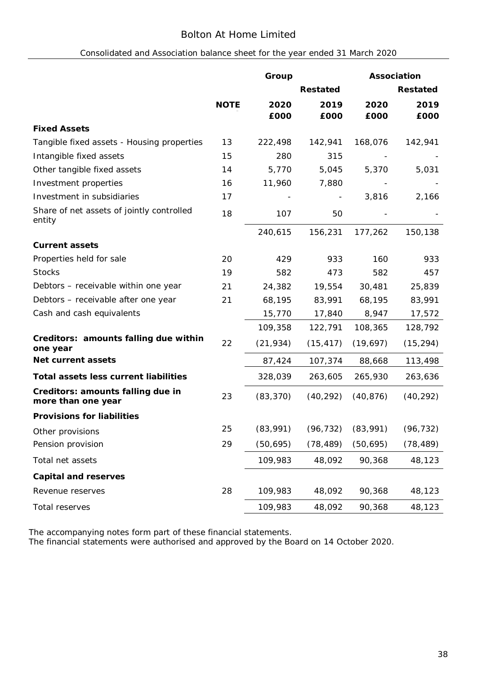## Bolton At Home Limited

## Consolidated and Association balance sheet for the year ended 31 March 2020

|                                                         |             | Group     |           |           | Association |
|---------------------------------------------------------|-------------|-----------|-----------|-----------|-------------|
|                                                         |             |           | Restated  |           | Restated    |
|                                                         | <b>NOTE</b> | 2020      | 2019      | 2020      | 2019        |
|                                                         |             | £000      | £000      | £000      | £000        |
| <b>Fixed Assets</b>                                     |             |           |           |           |             |
| Tangible fixed assets - Housing properties              | 13          | 222,498   | 142,941   | 168,076   | 142,941     |
| Intangible fixed assets                                 | 15          | 280       | 315       |           |             |
| Other tangible fixed assets                             | 14          | 5,770     | 5,045     | 5,370     | 5,031       |
| Investment properties                                   | 16          | 11,960    | 7,880     |           |             |
| Investment in subsidiaries                              | 17          |           |           | 3,816     | 2,166       |
| Share of net assets of jointly controlled<br>entity     | 18          | 107       | 50        |           |             |
|                                                         |             | 240,615   | 156,231   | 177,262   | 150,138     |
| Current assets                                          |             |           |           |           |             |
| Properties held for sale                                | 20          | 429       | 933       | 160       | 933         |
| <b>Stocks</b>                                           | 19          | 582       | 473       | 582       | 457         |
| Debtors - receivable within one year                    | 21          | 24,382    | 19,554    | 30,481    | 25,839      |
| Debtors - receivable after one year                     | 21          | 68,195    | 83,991    | 68,195    | 83,991      |
| Cash and cash equivalents                               |             | 15,770    | 17,840    | 8,947     | 17,572      |
|                                                         |             | 109,358   | 122,791   | 108,365   | 128,792     |
| Creditors: amounts falling due within<br>one year       | 22          | (21, 934) | (15, 417) | (19,697)  | (15, 294)   |
| Net current assets                                      |             | 87,424    | 107,374   | 88,668    | 113,498     |
| Total assets less current liabilities                   |             | 328,039   | 263,605   | 265,930   | 263,636     |
| Creditors: amounts falling due in<br>more than one year | 23          | (83, 370) | (40, 292) | (40, 876) | (40, 292)   |
| Provisions for liabilities                              |             |           |           |           |             |
| Other provisions                                        | 25          | (83,991)  | (96, 732) | (83,991)  | (96, 732)   |
| Pension provision                                       | 29          | (50, 695) | (78, 489) | (50, 695) | (78, 489)   |
| Total net assets                                        |             | 109,983   | 48,092    | 90,368    | 48,123      |
| Capital and reserves                                    |             |           |           |           |             |
| Revenue reserves                                        | 28          | 109,983   | 48,092    | 90,368    | 48,123      |
| Total reserves                                          |             | 109,983   | 48,092    | 90,368    | 48,123      |

The accompanying notes form part of these financial statements.

The financial statements were authorised and approved by the Board on 14 October 2020.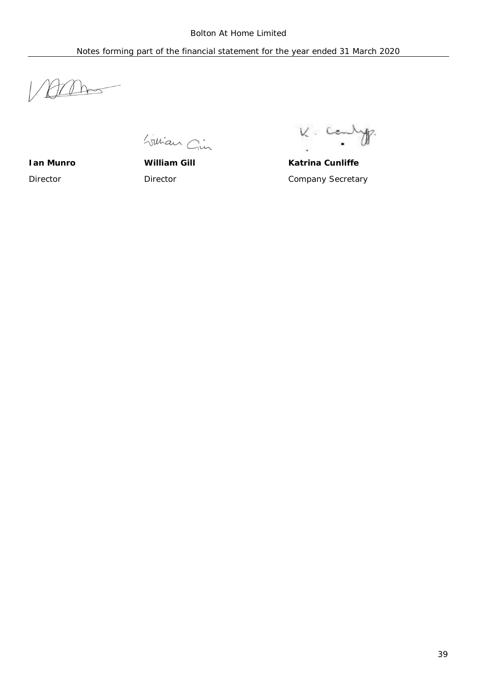$\sim$ 

Julian Gin

 $V$ . Co.

**Ian Munro William Gill Katrina Cunliffe** Director **Director** Director **Company Secretary**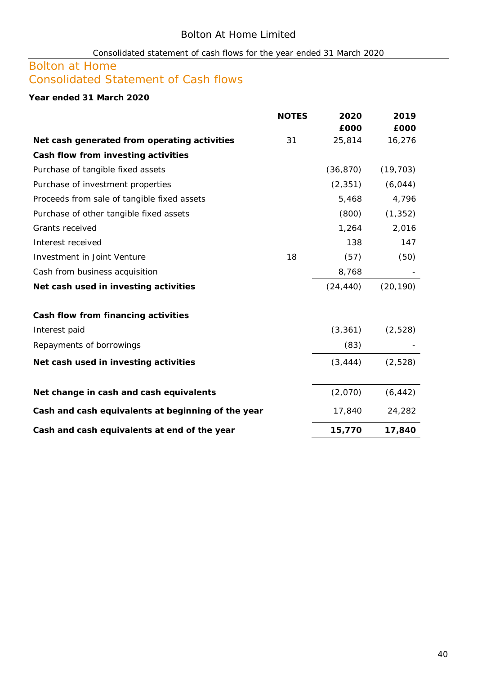# Consolidated statement of cash flows for the year ended 31 March 2020

# Bolton at Home

# Consolidated Statement of Cash flows

**Year ended 31 March 2020**

|                                                    | <b>NOTES</b> | 2020      | 2019      |
|----------------------------------------------------|--------------|-----------|-----------|
|                                                    |              | £000      | £000      |
| Net cash generated from operating activities       | 31           | 25,814    | 16,276    |
| Cash flow from investing activities                |              |           |           |
| Purchase of tangible fixed assets                  |              | (36, 870) | (19, 703) |
| Purchase of investment properties                  |              | (2, 351)  | (6, 044)  |
| Proceeds from sale of tangible fixed assets        |              | 5,468     | 4,796     |
| Purchase of other tangible fixed assets            |              | (800)     | (1, 352)  |
| Grants received                                    |              | 1,264     | 2,016     |
| Interest received                                  |              | 138       | 147       |
| Investment in Joint Venture                        | 18           | (57)      | (50)      |
| Cash from business acquisition                     |              | 8,768     |           |
| Net cash used in investing activities              |              | (24, 440) | (20, 190) |
| Cash flow from financing activities                |              |           |           |
| Interest paid                                      |              | (3, 361)  | (2, 528)  |
| Repayments of borrowings                           |              | (83)      |           |
| Net cash used in investing activities              |              | (3, 444)  | (2, 528)  |
| Net change in cash and cash equivalents            |              | (2,070)   | (6, 442)  |
| Cash and cash equivalents at beginning of the year |              | 17,840    | 24,282    |
| Cash and cash equivalents at end of the year       |              | 15,770    | 17,840    |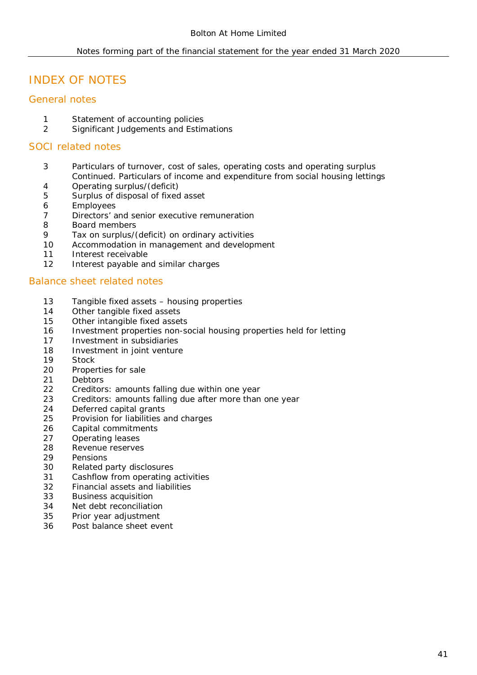# INDEX OF NOTES

## General notes

- Statement of accounting policies
- Significant Judgements and Estimations

## SOCI related notes

- Particulars of turnover, cost of sales, operating costs and operating surplus Continued. Particulars of income and expenditure from social housing lettings
- Operating surplus/(deficit)
- Surplus of disposal of fixed asset
- Employees
- Directors' and senior executive remuneration
- Board members
- Tax on surplus/(deficit) on ordinary activities
- Accommodation in management and development
- Interest receivable
- Interest payable and similar charges

## Balance sheet related notes

- Tangible fixed assets housing properties
- 14 Other tangible fixed assets
- Other intangible fixed assets
- Investment properties non-social housing properties held for letting
- Investment in subsidiaries
- Investment in joint venture
- Stock
- Properties for sale
- Debtors
- Creditors: amounts falling due within one year
- Creditors: amounts falling due after more than one year
- Deferred capital grants
- Provision for liabilities and charges
- Capital commitments
- Operating leases
- Revenue reserves
- Pensions
- Related party disclosures
- Cashflow from operating activities
- Financial assets and liabilities
- Business acquisition
- Net debt reconciliation
- Prior year adjustment
- Post balance sheet event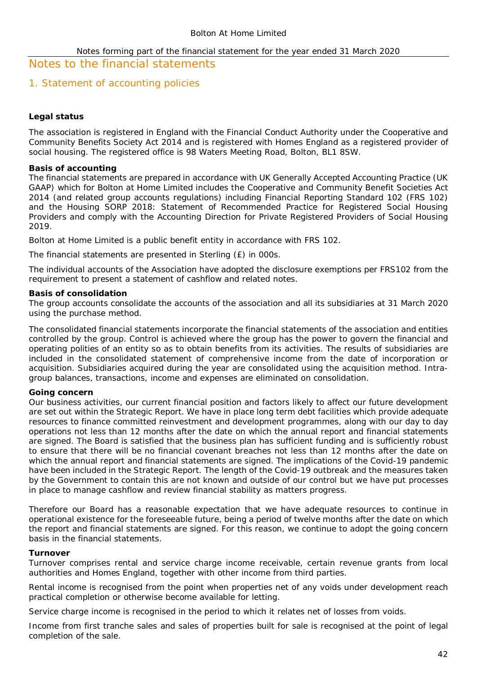## Notes to the financial statements

## 1. Statement of accounting policies

## **Legal status**

The association is registered in England with the Financial Conduct Authority under the Cooperative and Community Benefits Society Act 2014 and is registered with Homes England as a registered provider of social housing. The registered office is 98 Waters Meeting Road, Bolton, BL1 8SW.

### **Basis of accounting**

The financial statements are prepared in accordance with UK Generally Accepted Accounting Practice (UK GAAP) which for Bolton at Home Limited includes the Cooperative and Community Benefit Societies Act 2014 (and related group accounts regulations) including Financial Reporting Standard 102 (FRS 102) and the Housing SORP 2018: Statement of Recommended Practice for Registered Social Housing Providers and comply with the Accounting Direction for Private Registered Providers of Social Housing 2019.

Bolton at Home Limited is a public benefit entity in accordance with FRS 102.

The financial statements are presented in Sterling (£) in 000s.

The individual accounts of the Association have adopted the disclosure exemptions per FRS102 from the requirement to present a statement of cashflow and related notes.

#### **Basis of consolidation**

The group accounts consolidate the accounts of the association and all its subsidiaries at 31 March 2020 using the purchase method.

The consolidated financial statements incorporate the financial statements of the association and entities controlled by the group. Control is achieved where the group has the power to govern the financial and operating polities of an entity so as to obtain benefits from its activities. The results of subsidiaries are included in the consolidated statement of comprehensive income from the date of incorporation or acquisition. Subsidiaries acquired during the year are consolidated using the acquisition method. Intragroup balances, transactions, income and expenses are eliminated on consolidation.

#### **Going concern**

Our business activities, our current financial position and factors likely to affect our future development are set out within the Strategic Report. We have in place long term debt facilities which provide adequate resources to finance committed reinvestment and development programmes, along with our day to day operations not less than 12 months after the date on which the annual report and financial statements are signed. The Board is satisfied that the business plan has sufficient funding and is sufficiently robust to ensure that there will be no financial covenant breaches not less than 12 months after the date on which the annual report and financial statements are signed. The implications of the Covid-19 pandemic have been included in the Strategic Report. The length of the Covid-19 outbreak and the measures taken by the Government to contain this are not known and outside of our control but we have put processes in place to manage cashflow and review financial stability as matters progress.

Therefore our Board has a reasonable expectation that we have adequate resources to continue in operational existence for the foreseeable future, being a period of twelve months after the date on which the report and financial statements are signed. For this reason, we continue to adopt the going concern basis in the financial statements.

#### **Turnover**

Turnover comprises rental and service charge income receivable, certain revenue grants from local authorities and Homes England, together with other income from third parties.

Rental income is recognised from the point when properties net of any voids under development reach practical completion or otherwise become available for letting.

Service charge income is recognised in the period to which it relates net of losses from voids.

Income from first tranche sales and sales of properties built for sale is recognised at the point of legal completion of the sale.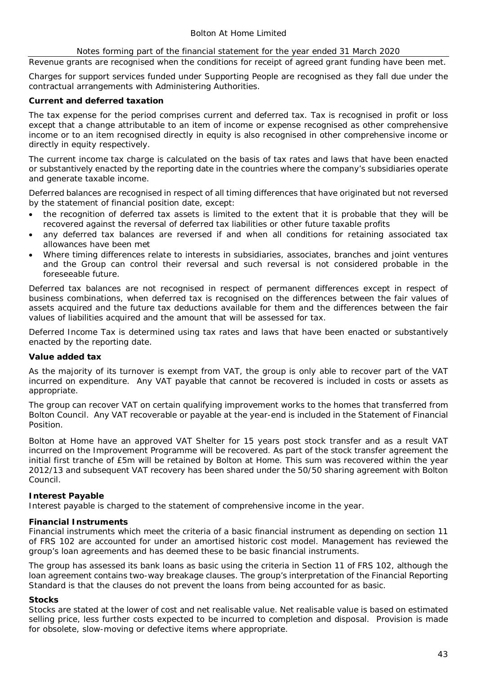Revenue grants are recognised when the conditions for receipt of agreed grant funding have been met.

Charges for support services funded under Supporting People are recognised as they fall due under the contractual arrangements with Administering Authorities.

## **Current and deferred taxation**

The tax expense for the period comprises current and deferred tax. Tax is recognised in profit or loss except that a change attributable to an item of income or expense recognised as other comprehensive income or to an item recognised directly in equity is also recognised in other comprehensive income or directly in equity respectively.

The current income tax charge is calculated on the basis of tax rates and laws that have been enacted or substantively enacted by the reporting date in the countries where the company's subsidiaries operate and generate taxable income.

Deferred balances are recognised in respect of all timing differences that have originated but not reversed by the statement of financial position date, except:

- the recognition of deferred tax assets is limited to the extent that it is probable that they will be recovered against the reversal of deferred tax liabilities or other future taxable profits
- any deferred tax balances are reversed if and when all conditions for retaining associated tax allowances have been met
- · Where timing differences relate to interests in subsidiaries, associates, branches and joint ventures and the Group can control their reversal and such reversal is not considered probable in the foreseeable future.

Deferred tax balances are not recognised in respect of permanent differences except in respect of business combinations, when deferred tax is recognised on the differences between the fair values of assets acquired and the future tax deductions available for them and the differences between the fair values of liabilities acquired and the amount that will be assessed for tax.

Deferred Income Tax is determined using tax rates and laws that have been enacted or substantively enacted by the reporting date.

## **Value added tax**

As the majority of its turnover is exempt from VAT, the group is only able to recover part of the VAT incurred on expenditure. Any VAT payable that cannot be recovered is included in costs or assets as appropriate.

The group can recover VAT on certain qualifying improvement works to the homes that transferred from Bolton Council. Any VAT recoverable or payable at the year-end is included in the Statement of Financial Position.

Bolton at Home have an approved VAT Shelter for 15 years post stock transfer and as a result VAT incurred on the Improvement Programme will be recovered. As part of the stock transfer agreement the initial first tranche of £5m will be retained by Bolton at Home. This sum was recovered within the year 2012/13 and subsequent VAT recovery has been shared under the 50/50 sharing agreement with Bolton Council.

## **Interest Payable**

Interest payable is charged to the statement of comprehensive income in the year.

## **Financial Instruments**

Financial instruments which meet the criteria of a basic financial instrument as depending on section 11 of FRS 102 are accounted for under an amortised historic cost model. Management has reviewed the group's loan agreements and has deemed these to be basic financial instruments.

The group has assessed its bank loans as basic using the criteria in Section 11 of FRS 102, although the loan agreement contains two-way breakage clauses. The group's interpretation of the Financial Reporting Standard is that the clauses do not prevent the loans from being accounted for as basic.

#### **Stocks**

Stocks are stated at the lower of cost and net realisable value. Net realisable value is based on estimated selling price, less further costs expected to be incurred to completion and disposal. Provision is made for obsolete, slow-moving or defective items where appropriate.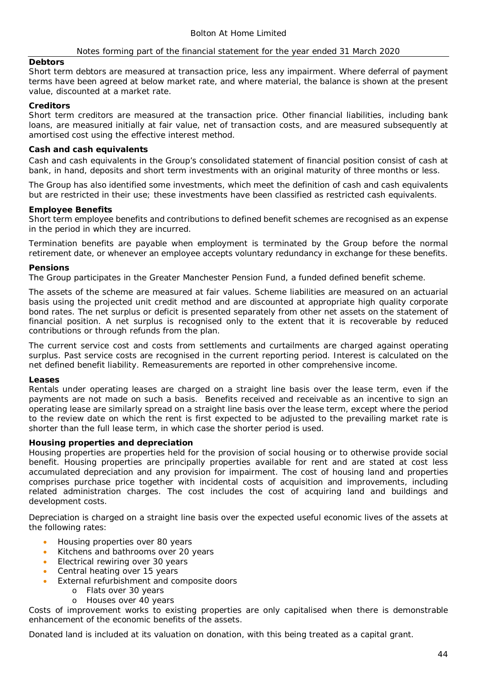### **Debtors**

Short term debtors are measured at transaction price, less any impairment. Where deferral of payment terms have been agreed at below market rate, and where material, the balance is shown at the present value, discounted at a market rate.

### **Creditors**

Short term creditors are measured at the transaction price. Other financial liabilities, including bank loans, are measured initially at fair value, net of transaction costs, and are measured subsequently at amortised cost using the effective interest method.

### **Cash and cash equivalents**

Cash and cash equivalents in the Group's consolidated statement of financial position consist of cash at bank, in hand, deposits and short term investments with an original maturity of three months or less.

The Group has also identified some investments, which meet the definition of cash and cash equivalents but are restricted in their use; these investments have been classified as restricted cash equivalents.

#### **Employee Benefits**

Short term employee benefits and contributions to defined benefit schemes are recognised as an expense in the period in which they are incurred.

Termination benefits are payable when employment is terminated by the Group before the normal retirement date, or whenever an employee accepts voluntary redundancy in exchange for these benefits.

#### **Pensions**

The Group participates in the Greater Manchester Pension Fund, a funded defined benefit scheme.

The assets of the scheme are measured at fair values. Scheme liabilities are measured on an actuarial basis using the projected unit credit method and are discounted at appropriate high quality corporate bond rates. The net surplus or deficit is presented separately from other net assets on the statement of financial position. A net surplus is recognised only to the extent that it is recoverable by reduced contributions or through refunds from the plan.

The current service cost and costs from settlements and curtailments are charged against operating surplus. Past service costs are recognised in the current reporting period. Interest is calculated on the net defined benefit liability. Remeasurements are reported in other comprehensive income.

#### **Leases**

Rentals under operating leases are charged on a straight line basis over the lease term, even if the payments are not made on such a basis. Benefits received and receivable as an incentive to sign an operating lease are similarly spread on a straight line basis over the lease term, except where the period to the review date on which the rent is first expected to be adjusted to the prevailing market rate is shorter than the full lease term, in which case the shorter period is used.

#### **Housing properties and depreciation**

Housing properties are properties held for the provision of social housing or to otherwise provide social benefit. Housing properties are principally properties available for rent and are stated at cost less accumulated depreciation and any provision for impairment. The cost of housing land and properties comprises purchase price together with incidental costs of acquisition and improvements, including related administration charges. The cost includes the cost of acquiring land and buildings and development costs.

Depreciation is charged on a straight line basis over the expected useful economic lives of the assets at the following rates:

- · Housing properties over 80 years
- · Kitchens and bathrooms over 20 years
- Electrical rewiring over 30 years
- Central heating over 15 years
- External refurbishment and composite doors
	- o Flats over 30 years
	- o Houses over 40 years

Costs of improvement works to existing properties are only capitalised when there is demonstrable enhancement of the economic benefits of the assets.

Donated land is included at its valuation on donation, with this being treated as a capital grant.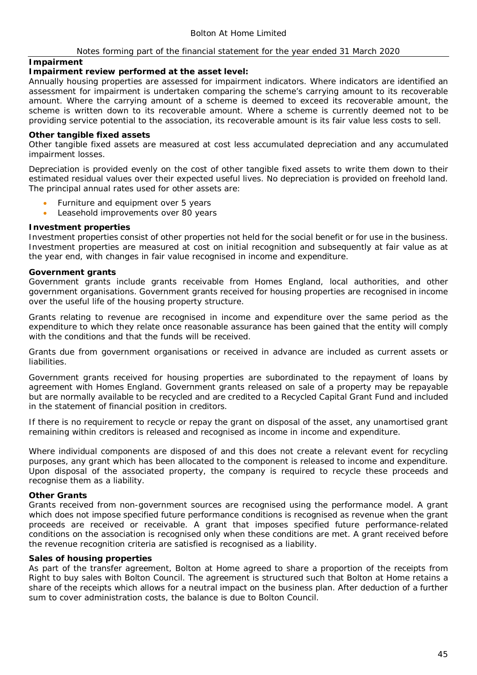## **Impairment**

*Impairment review performed at the asset level:*

Annually housing properties are assessed for impairment indicators. Where indicators are identified an assessment for impairment is undertaken comparing the scheme's carrying amount to its recoverable amount. Where the carrying amount of a scheme is deemed to exceed its recoverable amount, the scheme is written down to its recoverable amount. Where a scheme is currently deemed not to be providing service potential to the association, its recoverable amount is its fair value less costs to sell.

### **Other tangible fixed assets**

Other tangible fixed assets are measured at cost less accumulated depreciation and any accumulated impairment losses.

Depreciation is provided evenly on the cost of other tangible fixed assets to write them down to their estimated residual values over their expected useful lives. No depreciation is provided on freehold land. The principal annual rates used for other assets are:

- Furniture and equipment over 5 years
- Leasehold improvements over 80 years

## **Investment properties**

Investment properties consist of other properties not held for the social benefit or for use in the business. Investment properties are measured at cost on initial recognition and subsequently at fair value as at the year end, with changes in fair value recognised in income and expenditure.

## **Government grants**

Government grants include grants receivable from Homes England, local authorities, and other government organisations. Government grants received for housing properties are recognised in income over the useful life of the housing property structure.

Grants relating to revenue are recognised in income and expenditure over the same period as the expenditure to which they relate once reasonable assurance has been gained that the entity will comply with the conditions and that the funds will be received.

Grants due from government organisations or received in advance are included as current assets or liabilities.

Government grants received for housing properties are subordinated to the repayment of loans by agreement with Homes England. Government grants released on sale of a property may be repayable but are normally available to be recycled and are credited to a Recycled Capital Grant Fund and included in the statement of financial position in creditors.

If there is no requirement to recycle or repay the grant on disposal of the asset, any unamortised grant remaining within creditors is released and recognised as income in income and expenditure.

Where individual components are disposed of and this does not create a relevant event for recycling purposes, any grant which has been allocated to the component is released to income and expenditure. Upon disposal of the associated property, the company is required to recycle these proceeds and recognise them as a liability.

#### **Other Grants**

Grants received from non-government sources are recognised using the performance model. A grant which does not impose specified future performance conditions is recognised as revenue when the grant proceeds are received or receivable. A grant that imposes specified future performance-related conditions on the association is recognised only when these conditions are met. A grant received before the revenue recognition criteria are satisfied is recognised as a liability.

#### **Sales of housing properties**

As part of the transfer agreement, Bolton at Home agreed to share a proportion of the receipts from Right to buy sales with Bolton Council. The agreement is structured such that Bolton at Home retains a share of the receipts which allows for a neutral impact on the business plan. After deduction of a further sum to cover administration costs, the balance is due to Bolton Council.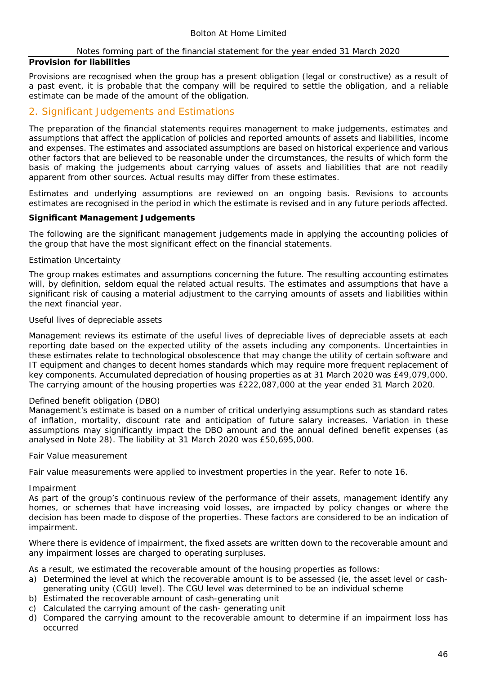### **Provision for liabilities**

Provisions are recognised when the group has a present obligation (legal or constructive) as a result of a past event, it is probable that the company will be required to settle the obligation, and a reliable estimate can be made of the amount of the obligation.

## 2. Significant Judgements and Estimations

The preparation of the financial statements requires management to make judgements, estimates and assumptions that affect the application of policies and reported amounts of assets and liabilities, income and expenses. The estimates and associated assumptions are based on historical experience and various other factors that are believed to be reasonable under the circumstances, the results of which form the basis of making the judgements about carrying values of assets and liabilities that are not readily apparent from other sources. Actual results may differ from these estimates.

Estimates and underlying assumptions are reviewed on an ongoing basis. Revisions to accounts estimates are recognised in the period in which the estimate is revised and in any future periods affected.

#### **Significant Management Judgements**

The following are the significant management judgements made in applying the accounting policies of the group that have the most significant effect on the financial statements.

#### Estimation Uncertainty

The group makes estimates and assumptions concerning the future. The resulting accounting estimates will, by definition, seldom equal the related actual results. The estimates and assumptions that have a significant risk of causing a material adjustment to the carrying amounts of assets and liabilities within the next financial year.

#### Useful lives of depreciable assets

Management reviews its estimate of the useful lives of depreciable lives of depreciable assets at each reporting date based on the expected utility of the assets including any components. Uncertainties in these estimates relate to technological obsolescence that may change the utility of certain software and IT equipment and changes to decent homes standards which may require more frequent replacement of key components. Accumulated depreciation of housing properties as at 31 March 2020 was £49,079,000. The carrying amount of the housing properties was £222,087,000 at the year ended 31 March 2020.

#### Defined benefit obligation (DBO)

Management's estimate is based on a number of critical underlying assumptions such as standard rates of inflation, mortality, discount rate and anticipation of future salary increases. Variation in these assumptions may significantly impact the DBO amount and the annual defined benefit expenses (as analysed in Note 28). The liability at 31 March 2020 was £50,695,000.

#### Fair Value measurement

Fair value measurements were applied to investment properties in the year. Refer to note 16.

#### Impairment

As part of the group's continuous review of the performance of their assets, management identify any homes, or schemes that have increasing void losses, are impacted by policy changes or where the decision has been made to dispose of the properties. These factors are considered to be an indication of impairment.

Where there is evidence of impairment, the fixed assets are written down to the recoverable amount and any impairment losses are charged to operating surpluses.

As a result, we estimated the recoverable amount of the housing properties as follows:

- a) Determined the level at which the recoverable amount is to be assessed (ie, the asset level or cashgenerating unity (CGU) level). The CGU level was determined to be an individual scheme
- b) Estimated the recoverable amount of cash-generating unit
- c) Calculated the carrying amount of the cash- generating unit
- d) Compared the carrying amount to the recoverable amount to determine if an impairment loss has occurred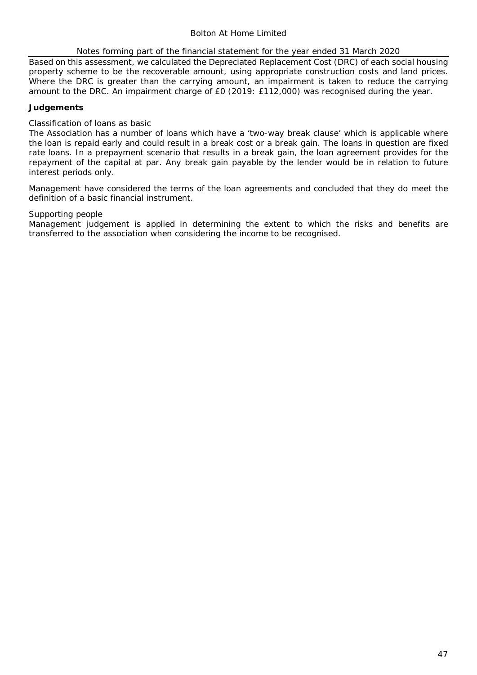### Bolton At Home Limited

#### Notes forming part of the financial statement for the year ended 31 March 2020

Based on this assessment, we calculated the Depreciated Replacement Cost (DRC) of each social housing property scheme to be the recoverable amount, using appropriate construction costs and land prices. Where the DRC is greater than the carrying amount, an impairment is taken to reduce the carrying amount to the DRC. An impairment charge of £0 (2019: £112,000) was recognised during the year.

#### **Judgements**

#### Classification of loans as basic

The Association has a number of loans which have a 'two-way break clause' which is applicable where the loan is repaid early and could result in a break cost or a break gain. The loans in question are fixed rate loans. In a prepayment scenario that results in a break gain, the loan agreement provides for the repayment of the capital at par. Any break gain payable by the lender would be in relation to future interest periods only.

Management have considered the terms of the loan agreements and concluded that they do meet the definition of a basic financial instrument.

#### Supporting people

Management judgement is applied in determining the extent to which the risks and benefits are transferred to the association when considering the income to be recognised.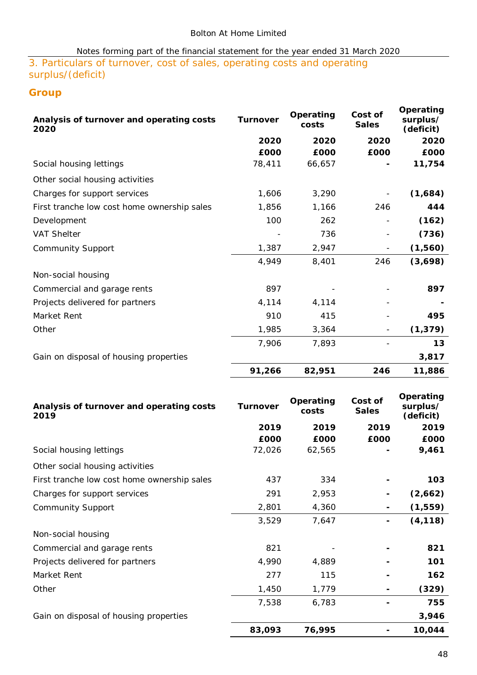3. Particulars of turnover, cost of sales, operating costs and operating surplus/(deficit)

# **Group**

| Analysis of turnover and operating costs<br>2020 | Turnover | Operating<br>costs | Cost of<br>Sales         | Operating<br>surplus/<br>(deficit) |
|--------------------------------------------------|----------|--------------------|--------------------------|------------------------------------|
|                                                  | 2020     | 2020               | 2020                     | 2020                               |
|                                                  | £000     | £000               | £000                     | £000                               |
| Social housing lettings                          | 78,411   | 66,657             |                          | 11,754                             |
| Other social housing activities                  |          |                    |                          |                                    |
| Charges for support services                     | 1,606    | 3,290              | $\overline{\phantom{a}}$ | (1,684)                            |
| First tranche low cost home ownership sales      | 1,856    | 1,166              | 246                      | 444                                |
| Development                                      | 100      | 262                |                          | (162)                              |
| <b>VAT Shelter</b>                               |          | 736                |                          | (736)                              |
| Community Support                                | 1,387    | 2,947              |                          | (1,560)                            |
|                                                  | 4,949    | 8,401              | 246                      | (3,698)                            |
| Non-social housing                               |          |                    |                          |                                    |
| Commercial and garage rents                      | 897      |                    |                          | 897                                |
| Projects delivered for partners                  | 4,114    | 4,114              |                          |                                    |
| Market Rent                                      | 910      | 415                |                          | 495                                |
| Other                                            | 1,985    | 3,364              |                          | (1, 379)                           |
|                                                  | 7,906    | 7,893              |                          | 13                                 |
| Gain on disposal of housing properties           |          |                    |                          | 3,817                              |
|                                                  | 91,266   | 82,951             | 246                      | 11,886                             |
| Analysis of turnover and operating costs<br>2019 | Turnover | Operating<br>costs | Cost of<br>Sales         | Operating<br>surplus/<br>(deficit) |
|                                                  | 2019     | 2019               | 2019                     | 2019                               |
|                                                  | £000     | £000               | £000                     | £000                               |
| Social housing lettings                          | 72,026   | 62,565             |                          | 9,461                              |
| Other social housing activities                  |          |                    |                          |                                    |
| First tranche low cost home ownership sales      | 437      | 334                |                          | 103                                |
| Charges for support services                     | 291      | 2,953              |                          | (2,662)                            |
| <b>Community Support</b>                         | 2,801    | 4,360              |                          | (1, 559)                           |
|                                                  | 3,529    | 7,647              |                          | (4, 118)                           |
| Non-social housing                               |          |                    |                          |                                    |
| Commercial and garage rents                      | 821      |                    |                          | 821                                |
| Projects delivered for partners                  | 4,990    | 4,889              |                          | 101                                |
| Market Rent                                      | 277      | 115                |                          | 162                                |
| Other                                            | 1,450    | 1,779              |                          | (329)                              |
|                                                  | 7,538    | 6,783              |                          | 755                                |
| Gain on disposal of housing properties           |          |                    |                          | 3,946                              |
|                                                  | 83,093   | 76,995             | $\overline{\phantom{a}}$ | 10,044                             |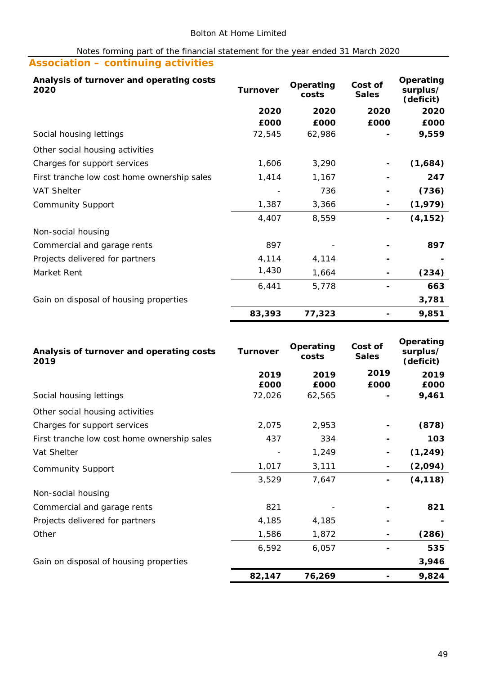# **Association – continuing activities**

| Analysis of turnover and operating costs<br>2020 | Turnover | Operating<br>costs | Cost of<br>Sales | Operating<br>surplus/<br>(deficit) |
|--------------------------------------------------|----------|--------------------|------------------|------------------------------------|
|                                                  | 2020     | 2020               | 2020             | 2020                               |
|                                                  | £000     | £000               | £000             | £000                               |
| Social housing lettings                          | 72,545   | 62,986             |                  | 9,559                              |
| Other social housing activities                  |          |                    |                  |                                    |
| Charges for support services                     | 1,606    | 3,290              |                  | (1,684)                            |
| First tranche low cost home ownership sales      | 1,414    | 1,167              |                  | 247                                |
| <b>VAT Shelter</b>                               |          | 736                |                  | (736)                              |
| <b>Community Support</b>                         | 1,387    | 3,366              |                  | (1, 979)                           |
|                                                  | 4,407    | 8,559              |                  | (4, 152)                           |
| Non-social housing                               |          |                    |                  |                                    |
| Commercial and garage rents                      | 897      |                    |                  | 897                                |
| Projects delivered for partners                  | 4,114    | 4,114              |                  |                                    |
| Market Rent                                      | 1,430    | 1,664              |                  | (234)                              |
|                                                  | 6,441    | 5,778              |                  | 663                                |
| Gain on disposal of housing properties           |          |                    |                  | 3,781                              |
|                                                  | 83,393   | 77,323             |                  | 9,851                              |

| Analysis of turnover and operating costs<br>2019 | Turnover | Operating<br>costs | Cost of<br>Sales | Operating<br>surplus/<br>(deficit) |
|--------------------------------------------------|----------|--------------------|------------------|------------------------------------|
|                                                  | 2019     | 2019               | 2019             | 2019                               |
|                                                  | £000     | £000               | £000             | £000                               |
| Social housing lettings                          | 72,026   | 62,565             |                  | 9,461                              |
| Other social housing activities                  |          |                    |                  |                                    |
| Charges for support services                     | 2,075    | 2,953              |                  | (878)                              |
| First tranche low cost home ownership sales      | 437      | 334                |                  | 103                                |
| Vat Shelter                                      |          | 1,249              |                  | (1, 249)                           |
| Community Support                                | 1,017    | 3,111              |                  | (2,094)                            |
|                                                  | 3,529    | 7,647              |                  | (4, 118)                           |
| Non-social housing                               |          |                    |                  |                                    |
| Commercial and garage rents                      | 821      |                    |                  | 821                                |
| Projects delivered for partners                  | 4,185    | 4,185              |                  |                                    |
| Other                                            | 1,586    | 1,872              |                  | (286)                              |
|                                                  | 6,592    | 6,057              |                  | 535                                |
| Gain on disposal of housing properties           |          |                    |                  | 3,946                              |
|                                                  | 82,147   | 76,269             |                  | 9,824                              |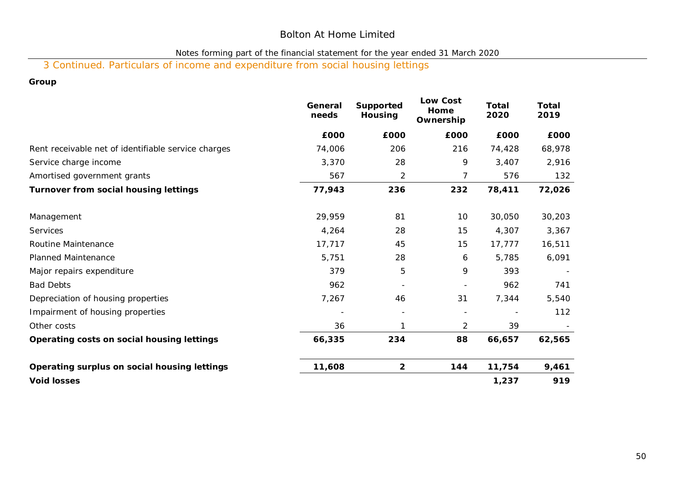# Bolton At Home Limited

## Notes forming part of the financial statement for the year ended 31 March 2020

# 3 Continued. Particulars of income and expenditure from social housing lettings

**Group**

|                                                     | General<br>needs | Supported<br>Housing | Low Cost<br>Home<br>Ownership | Total<br>2020 | Total<br>2019 |
|-----------------------------------------------------|------------------|----------------------|-------------------------------|---------------|---------------|
|                                                     | £000             | £000                 | £000                          | £000          | £000          |
| Rent receivable net of identifiable service charges | 74,006           | 206                  | 216                           | 74,428        | 68,978        |
| Service charge income                               | 3,370            | 28                   | 9                             | 3,407         | 2,916         |
| Amortised government grants                         | 567              | 2                    | 7                             | 576           | 132           |
| Turnover from social housing lettings               | 77,943           | 236                  | 232                           | 78,411        | 72,026        |
| Management                                          | 29,959           | 81                   | 10                            | 30,050        | 30,203        |
| Services                                            | 4,264            | 28                   | 15                            | 4,307         | 3,367         |
| Routine Maintenance                                 | 17,717           | 45                   | 15                            | 17,777        | 16,511        |
| <b>Planned Maintenance</b>                          | 5,751            | 28                   | 6                             | 5,785         | 6,091         |
| Major repairs expenditure                           | 379              | 5                    | 9                             | 393           |               |
| <b>Bad Debts</b>                                    | 962              |                      |                               | 962           | 741           |
| Depreciation of housing properties                  | 7,267            | 46                   | 31                            | 7,344         | 5,540         |
| Impairment of housing properties                    |                  |                      |                               |               | 112           |
| Other costs                                         | 36               |                      | 2                             | 39            |               |
| Operating costs on social housing lettings          | 66,335           | 234                  | 88                            | 66,657        | 62,565        |
| Operating surplus on social housing lettings        | 11,608           | $\overline{2}$       | 144                           | 11,754        | 9,461         |
| Void losses                                         |                  |                      |                               | 1,237         | 919           |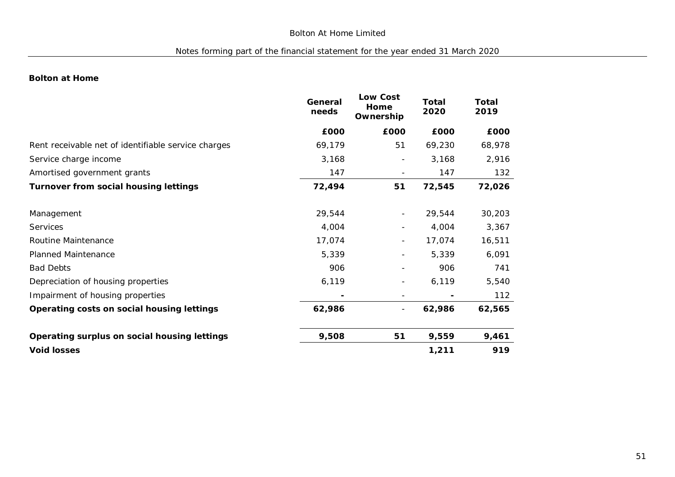## **Bolton at Home**

|                                                     | General<br>needs | Low Cost<br>Home<br>Ownership | Total<br>2020 | Total<br>2019 |
|-----------------------------------------------------|------------------|-------------------------------|---------------|---------------|
|                                                     | £000             | £000                          | £000          | £000          |
| Rent receivable net of identifiable service charges | 69,179           | 51                            | 69,230        | 68,978        |
| Service charge income                               | 3,168            |                               | 3,168         | 2,916         |
| Amortised government grants                         | 147              |                               | 147           | 132           |
| Turnover from social housing lettings               | 72,494           | 51                            | 72,545        | 72,026        |
| Management                                          | 29,544           | $\overline{\phantom{a}}$      | 29,544        | 30,203        |
| Services                                            | 4,004            |                               | 4,004         | 3,367         |
| Routine Maintenance                                 | 17,074           |                               | 17,074        | 16,511        |
| Planned Maintenance                                 | 5,339            |                               | 5,339         | 6,091         |
| <b>Bad Debts</b>                                    | 906              |                               | 906           | 741           |
| Depreciation of housing properties                  | 6,119            |                               | 6,119         | 5,540         |
| Impairment of housing properties                    |                  |                               |               | 112           |
| Operating costs on social housing lettings          | 62,986           | $\overline{\phantom{a}}$      | 62,986        | 62,565        |
| Operating surplus on social housing lettings        | 9,508            | 51                            | 9,559         | 9,461         |
| Void losses                                         |                  |                               | 1,211         | 919           |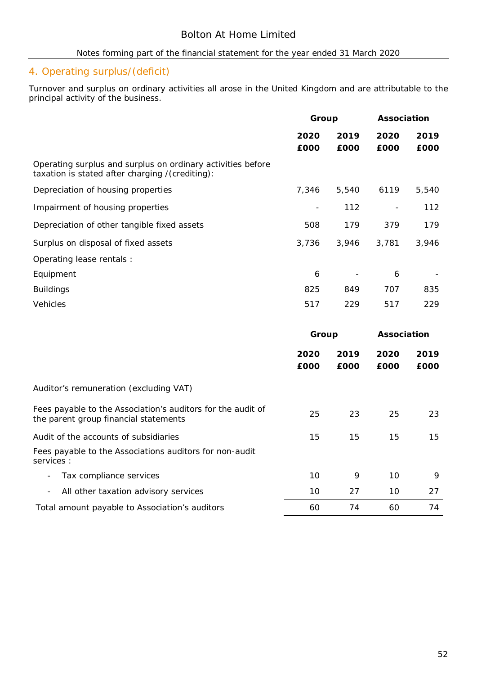# 4. Operating surplus/(deficit)

Turnover and surplus on ordinary activities all arose in the United Kingdom and are attributable to the principal activity of the business.

|                                                                                                                | Group                    |       | Association              |       |
|----------------------------------------------------------------------------------------------------------------|--------------------------|-------|--------------------------|-------|
|                                                                                                                | 2020                     | 2019  | 2020                     | 2019  |
|                                                                                                                | £000                     | £000  | £000                     | £000  |
| Operating surplus and surplus on ordinary activities before<br>taxation is stated after charging /(crediting): |                          |       |                          |       |
| Depreciation of housing properties                                                                             | 7,346                    | 5,540 | 6119                     | 5,540 |
| Impairment of housing properties                                                                               | $\overline{\phantom{a}}$ | 112   | $\overline{\phantom{a}}$ | 112   |
| Depreciation of other tangible fixed assets                                                                    | 508                      | 179   | 379                      | 179   |
| Surplus on disposal of fixed assets                                                                            | 3,736                    | 3,946 | 3,781                    | 3,946 |
| Operating lease rentals :                                                                                      |                          |       |                          |       |
| Equipment                                                                                                      | 6                        |       | 6                        |       |
| <b>Buildings</b>                                                                                               | 825                      | 849   | 707                      | 835   |
| Vehicles                                                                                                       | 517                      | 229   | 517                      | 229   |
|                                                                                                                |                          |       |                          |       |
|                                                                                                                | Group                    |       | Association              |       |
|                                                                                                                | 2020                     | 2019  | 2020                     | 2019  |
|                                                                                                                | £000                     | £000  | £000                     | £000  |

Auditor's remuneration (excluding VAT)

| Fees payable to the Association's auditors for the audit of<br>the parent group financial statements | 25 | 23 | 25 | 23 |
|------------------------------------------------------------------------------------------------------|----|----|----|----|
| Audit of the accounts of subsidiaries                                                                | 15 | 15 | 15 | 15 |
| Fees payable to the Associations auditors for non-audit<br>services :                                |    |    |    |    |
| Tax compliance services                                                                              | 10 | 9  | 10 | 9  |
| All other taxation advisory services<br>$ \,$                                                        | 10 | 27 | 10 | 27 |
| Total amount payable to Association's auditors                                                       | 60 | 74 | 60 | 74 |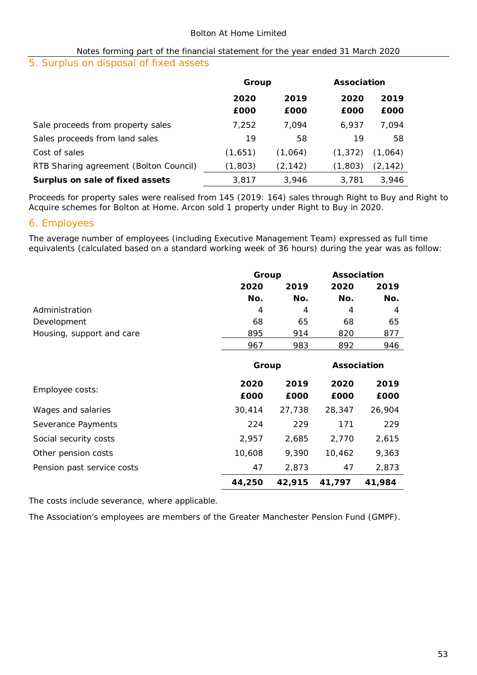## 5. Surplus on disposal of fixed assets

|                                        | Group   |          | Association |          |  |
|----------------------------------------|---------|----------|-------------|----------|--|
|                                        | 2020    | 2019     |             | 2019     |  |
|                                        | £000    | £000     | £000        | £000     |  |
| Sale proceeds from property sales      | 7,252   | 7,094    | 6,937       | 7,094    |  |
| Sales proceeds from land sales         | 19      | 58       | 19          | 58       |  |
| Cost of sales                          | (1,651) | (1,064)  | (1, 372)    | (1,064)  |  |
| RTB Sharing agreement (Bolton Council) | (1,803) | (2, 142) | (1,803)     | (2, 142) |  |
| Surplus on sale of fixed assets        | 3,817   | 3,946    | 3,781       | 3,946    |  |

Proceeds for property sales were realised from 145 (2019: 164) sales through Right to Buy and Right to Acquire schemes for Bolton at Home. Arcon sold 1 property under Right to Buy in 2020.

## 6. Employees

The average number of employees (including Executive Management Team) expressed as full time equivalents (calculated based on a standard working week of 36 hours) during the year was as follow:

|                            | Group  |        | Association |        |  |
|----------------------------|--------|--------|-------------|--------|--|
|                            | 2020   | 2019   | 2020        | 2019   |  |
|                            | No.    | No.    | No.         | No.    |  |
| Administration             | 4      | 4      | 4           | 4      |  |
| Development                | 68     | 65     | 68          | 65     |  |
| Housing, support and care  | 895    | 914    | 820         | 877    |  |
|                            | 967    | 983    | 892         | 946    |  |
|                            | Group  |        | Association |        |  |
|                            | 2020   | 2019   | 2020        | 2019   |  |
| Employee costs:            | £000   | £000   | £000        | £000   |  |
| Wages and salaries         | 30,414 | 27,738 | 28,347      | 26,904 |  |
| Severance Payments         | 224    | 229    | 171         | 229    |  |
| Social security costs      | 2,957  | 2,685  | 2,770       | 2,615  |  |
| Other pension costs        | 10,608 | 9,390  | 10,462      | 9,363  |  |
| Pension past service costs | 47     | 2,873  | 47          | 2,873  |  |
|                            | 44,250 | 42,915 | 41,797      | 41,984 |  |

The costs include severance, where applicable.

The Association's employees are members of the Greater Manchester Pension Fund (GMPF).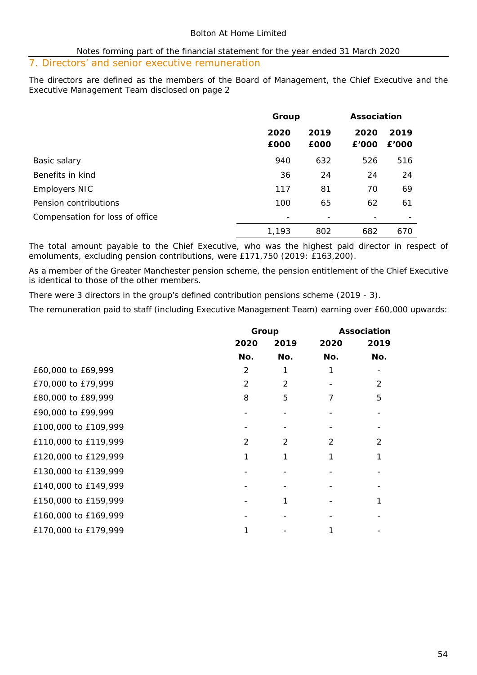## 7. Directors' and senior executive remuneration

The directors are defined as the members of the Board of Management, the Chief Executive and the Executive Management Team disclosed on page 2

|                                 | Group        | Association  |               |               |
|---------------------------------|--------------|--------------|---------------|---------------|
|                                 | 2020<br>£000 | 2019<br>£000 | 2020<br>£'000 | 2019<br>£'000 |
| Basic salary                    | 940          | 632          | 526           | 516           |
| Benefits in kind                | 36           | 24           | 24            | 24            |
| Employers NIC                   | 117          | 81           | 70            | 69            |
| Pension contributions           | 100          | 65           | 62            | 61            |
| Compensation for loss of office |              |              |               |               |
|                                 | 1,193        | 802          | 682           | 670           |

The total amount payable to the Chief Executive, who was the highest paid director in respect of emoluments, excluding pension contributions, were £171,750 (2019: £163,200).

As a member of the Greater Manchester pension scheme, the pension entitlement of the Chief Executive is identical to those of the other members.

There were 3 directors in the group's defined contribution pensions scheme (2019 - 3).

The remuneration paid to staff (including Executive Management Team) earning over £60,000 upwards:

|                      |      | Group | Association |      |  |
|----------------------|------|-------|-------------|------|--|
|                      | 2020 | 2019  | 2020        | 2019 |  |
|                      | No.  | No.   | No.         | No.  |  |
| £60,000 to £69,999   | 2    |       |             |      |  |
| £70,000 to £79,999   | 2    | 2     |             | 2    |  |
| £80,000 to £89,999   | 8    | 5     | 7           | 5    |  |
| £90,000 to £99,999   |      |       |             |      |  |
| £100,000 to £109,999 |      |       |             |      |  |
| £110,000 to £119,999 | 2    | 2     | 2           | 2    |  |
| £120,000 to £129,999 | 1    |       |             | 1    |  |
| £130,000 to £139,999 |      |       |             |      |  |
| £140,000 to £149,999 |      |       |             |      |  |
| £150,000 to £159,999 |      |       |             |      |  |
| £160,000 to £169,999 |      |       |             |      |  |
| £170,000 to £179,999 |      |       |             |      |  |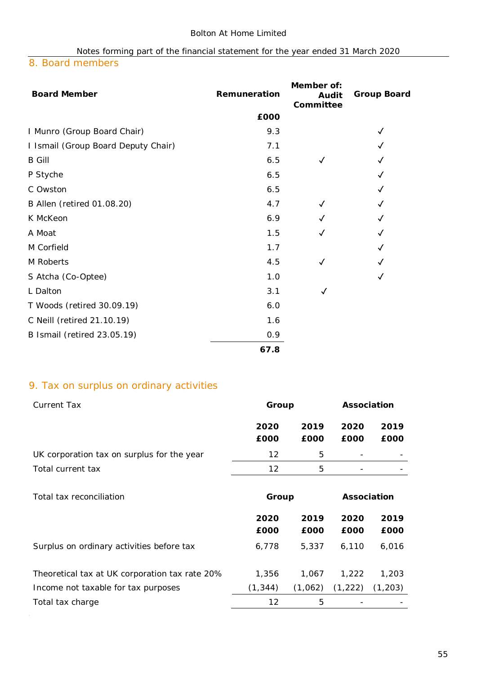## 8. Board members

| <b>Board Member</b>                 | Remuneration | Member of:<br>Audit<br>Committee | Group Board  |
|-------------------------------------|--------------|----------------------------------|--------------|
|                                     | £000         |                                  |              |
| I Munro (Group Board Chair)         | 9.3          |                                  | $\checkmark$ |
| I Ismail (Group Board Deputy Chair) | 7.1          |                                  |              |
| <b>B</b> Gill                       | 6.5          | ✓                                |              |
| P Styche                            | 6.5          |                                  | $\checkmark$ |
| C Owston                            | 6.5          |                                  | $\checkmark$ |
| B Allen (retired 01.08.20)          | 4.7          | ✓                                |              |
| K McKeon                            | 6.9          |                                  | $\checkmark$ |
| A Moat                              | 1.5          |                                  | $\checkmark$ |
| M Corfield                          | 1.7          |                                  | ✓            |
| M Roberts                           | 4.5          | ✓                                |              |
| S Atcha (Co-Optee)                  | 1.0          |                                  | $\checkmark$ |
| L Dalton                            | 3.1          | $\checkmark$                     |              |
| T Woods (retired 30.09.19)          | 6.0          |                                  |              |
| C Neill (retired 21.10.19)          | 1.6          |                                  |              |
| B Ismail (retired 23.05.19)         | 0.9          |                                  |              |
|                                     | 67.8         |                                  |              |

# 9. Tax on surplus on ordinary activities

| <b>Current Tax</b>                             | Group    |         | Association |          |
|------------------------------------------------|----------|---------|-------------|----------|
|                                                | 2020     | 2019    | 2020        | 2019     |
|                                                | £000     | £000    | £000        | £000     |
| UK corporation tax on surplus for the year     | 12       | 5       |             |          |
| Total current tax                              | 12       | 5       |             |          |
|                                                |          |         |             |          |
| Total tax reconciliation                       | Group    |         | Association |          |
|                                                | 2020     | 2019    | 2020        | 2019     |
|                                                | £000     | £000    | £000        | £000     |
| Surplus on ordinary activities before tax      | 6,778    | 5,337   | 6,110       | 6,016    |
|                                                |          |         |             |          |
| Theoretical tax at UK corporation tax rate 20% | 1,356    | 1,067   | 1,222       | 1,203    |
| Income not taxable for tax purposes            | (1, 344) | (1,062) | (1, 222)    | (1, 203) |
| Total tax charge                               | 12       | 5       |             |          |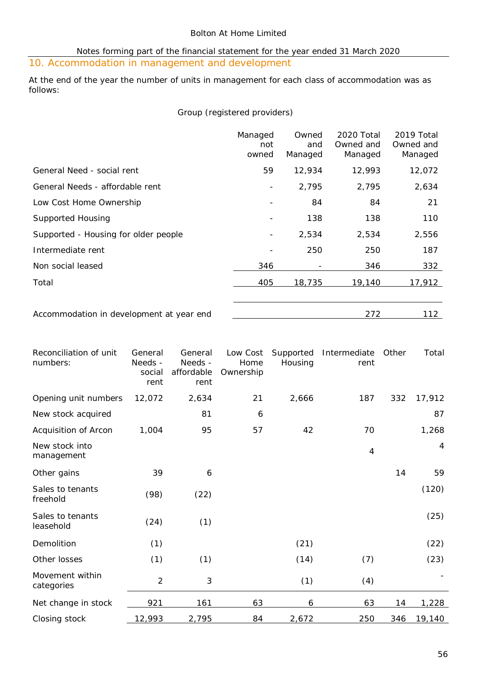## Bolton At Home Limited

## Notes forming part of the financial statement for the year ended 31 March 2020

# 10. Accommodation in management and development

At the end of the year the number of units in management for each class of accommodation was as follows:

## Group (registered providers)

|                                      | Managed<br>not<br>owned | Owned<br>and<br>Managed | 2020 Total<br>Owned and<br>Managed | 2019 Total<br>Owned and<br>Managed |
|--------------------------------------|-------------------------|-------------------------|------------------------------------|------------------------------------|
| General Need - social rent           | 59                      | 12,934                  | 12,993                             | 12,072                             |
| General Needs - affordable rent      |                         | 2,795                   | 2,795                              | 2,634                              |
| Low Cost Home Ownership              |                         | 84                      | 84                                 | 21                                 |
| <b>Supported Housing</b>             |                         | 138                     | 138                                | 110                                |
| Supported - Housing for older people |                         | 2,534                   | 2,534                              | 2,556                              |
| Intermediate rent                    |                         | 250                     | 250                                | 187                                |
| Non social leased                    | 346                     |                         | 346                                | 332                                |
| Total                                | 405                     | 18,735                  | 19,140                             | 17,912                             |
|                                      |                         |                         |                                    |                                    |

Accommodation in development at year end
<br>
272
112

| Reconciliation of unit<br>numbers: | General<br>Needs -<br>social<br>rent | General<br>Needs -<br>affordable<br>rent | Low Cost<br>Home<br>Ownership | Supported<br>Housing | Intermediate<br>rent | Other | Total          |
|------------------------------------|--------------------------------------|------------------------------------------|-------------------------------|----------------------|----------------------|-------|----------------|
| Opening unit numbers               | 12,072                               | 2,634                                    | 21                            | 2,666                | 187                  | 332   | 17,912         |
| New stock acquired                 |                                      | 81                                       | 6                             |                      |                      |       | 87             |
| Acquisition of Arcon               | 1,004                                | 95                                       | 57                            | 42                   | 70                   |       | 1,268          |
| New stock into<br>management       |                                      |                                          |                               |                      | $\overline{4}$       |       | $\overline{4}$ |
| Other gains                        | 39                                   | 6                                        |                               |                      |                      | 14    | 59             |
| Sales to tenants<br>freehold       | (98)                                 | (22)                                     |                               |                      |                      |       | (120)          |
| Sales to tenants<br>leasehold      | (24)                                 | (1)                                      |                               |                      |                      |       | (25)           |
| Demolition                         | (1)                                  |                                          |                               | (21)                 |                      |       | (22)           |
| Other losses                       | (1)                                  | (1)                                      |                               | (14)                 | (7)                  |       | (23)           |
| Movement within<br>categories      | $\overline{2}$                       | 3                                        |                               | (1)                  | (4)                  |       |                |
| Net change in stock                | 921                                  | 161                                      | 63                            | 6                    | 63                   | 14    | 1,228          |
| Closing stock                      | 12,993                               | 2,795                                    | 84                            | 2,672                | 250                  | 346   | 19,140         |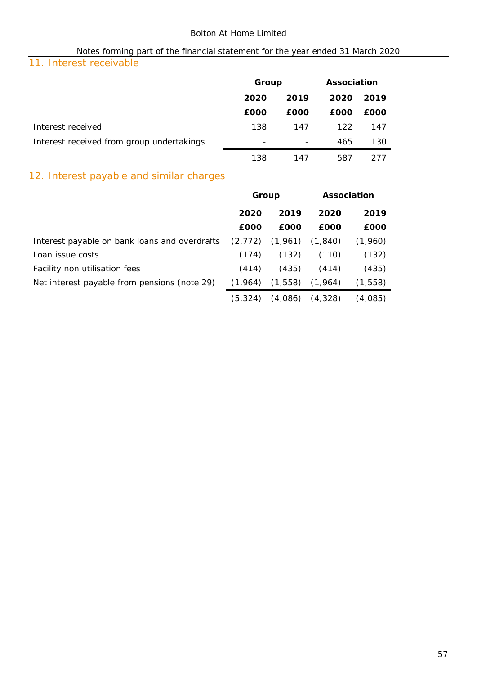# 11. Interest receivable

|                                           | Group                    |                          | Association |      |
|-------------------------------------------|--------------------------|--------------------------|-------------|------|
|                                           | 2020                     | 2019                     | 2020        | 2019 |
|                                           | £000                     | £000                     | £000        | £000 |
| Interest received                         | 138                      | 147                      | 122         | 147  |
| Interest received from group undertakings | $\overline{\phantom{a}}$ | $\overline{\phantom{a}}$ | 465         | 130  |
|                                           | 138                      | 147                      | 587         | 277  |

# 12. Interest payable and similar charges

|                                               | Group    |          |          | Association |
|-----------------------------------------------|----------|----------|----------|-------------|
|                                               | 2020     | 2019     | 2020     | 2019        |
|                                               | £000     | £000     | £000     | £000        |
| Interest payable on bank loans and overdrafts | (2, 772) | (1,961)  | (1, 840) | (1,960)     |
| Loan issue costs                              | (174)    | (132)    | (110)    | (132)       |
| Facility non utilisation fees                 | (414)    | (435)    | (414)    | (435)       |
| Net interest payable from pensions (note 29)  | (1,964)  | (1, 558) | (1,964)  | (1,558)     |
|                                               | (5, 324) | (4,086)  | (4,328)  | (4,085)     |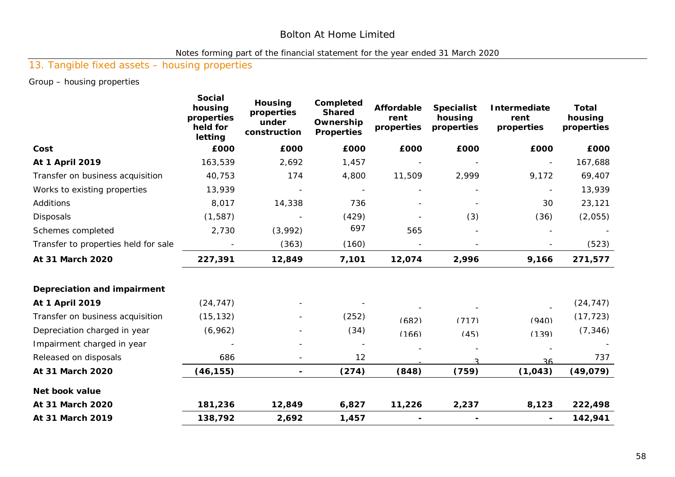## Bolton At Home Limited

## Notes forming part of the financial statement for the year ended 31 March 2020

# 13. Tangible fixed assets – housing properties

## Group – housing properties

|                                      | Social<br>housing<br>properties<br>held for<br>letting | Housing<br>properties<br>under<br>construction | Completed<br>Shared<br>Ownership<br>Properties | Affordable<br>rent<br>properties | Specialist<br>housing<br>properties | Intermediate<br>rent<br>properties | Total<br>housing<br>properties |
|--------------------------------------|--------------------------------------------------------|------------------------------------------------|------------------------------------------------|----------------------------------|-------------------------------------|------------------------------------|--------------------------------|
| Cost                                 | £000                                                   | £000                                           | £000                                           | £000                             | £000                                | £000                               | £000                           |
| At 1 April 2019                      | 163,539                                                | 2,692                                          | 1,457                                          |                                  |                                     |                                    | 167,688                        |
| Transfer on business acquisition     | 40,753                                                 | 174                                            | 4,800                                          | 11,509                           | 2,999                               | 9,172                              | 69,407                         |
| Works to existing properties         | 13,939                                                 |                                                |                                                |                                  |                                     |                                    | 13,939                         |
| Additions                            | 8,017                                                  | 14,338                                         | 736                                            |                                  |                                     | 30                                 | 23,121                         |
| Disposals                            | (1, 587)                                               |                                                | (429)                                          |                                  | (3)                                 | (36)                               | (2,055)                        |
| Schemes completed                    | 2,730                                                  | (3,992)                                        | 697                                            | 565                              |                                     |                                    |                                |
| Transfer to properties held for sale |                                                        | (363)                                          | (160)                                          |                                  |                                     |                                    | (523)                          |
| At 31 March 2020                     | 227,391                                                | 12,849                                         | 7,101                                          | 12,074                           | 2,996                               | 9,166                              | 271,577                        |
| Depreciation and impairment          |                                                        |                                                |                                                |                                  |                                     |                                    |                                |
| At 1 April 2019                      | (24, 747)                                              |                                                |                                                |                                  |                                     |                                    | (24, 747)                      |
| Transfer on business acquisition     | (15, 132)                                              |                                                | (252)                                          | (682)                            | (717)                               | (940)                              | (17, 723)                      |
| Depreciation charged in year         | (6,962)                                                |                                                | (34)                                           | (166)                            | (45)                                | (139)                              | (7, 346)                       |
| Impairment charged in year           |                                                        |                                                |                                                |                                  |                                     |                                    |                                |
| Released on disposals                | 686                                                    |                                                | 12                                             |                                  | S.                                  | 36                                 | 737                            |
| At 31 March 2020                     | (46, 155)                                              | $\blacksquare$                                 | (274)                                          | (848)                            | (759)                               | (1,043)                            | (49, 079)                      |
| Net book value                       |                                                        |                                                |                                                |                                  |                                     |                                    |                                |
| At 31 March 2020                     | 181,236                                                | 12,849                                         | 6,827                                          | 11,226                           | 2,237                               | 8,123                              | 222,498                        |
| At 31 March 2019                     | 138,792                                                | 2,692                                          | 1,457                                          |                                  |                                     |                                    | 142,941                        |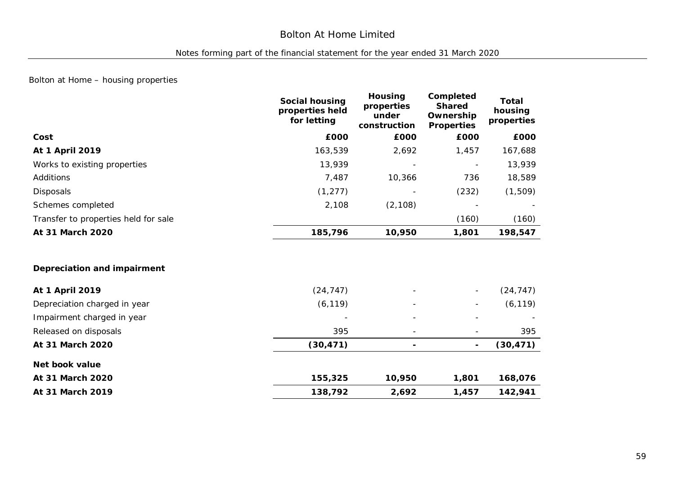## Bolton at Home – housing properties

|                                      | Social housing<br>properties held<br>for letting | Housing<br>properties<br>under<br>construction | Completed<br>Shared<br>Ownership<br>Properties | Total<br>housing<br>properties |
|--------------------------------------|--------------------------------------------------|------------------------------------------------|------------------------------------------------|--------------------------------|
| Cost                                 | £000                                             | £000                                           | £000                                           | £000                           |
| At 1 April 2019                      | 163,539                                          | 2,692                                          | 1,457                                          | 167,688                        |
| Works to existing properties         | 13,939                                           |                                                |                                                | 13,939                         |
| Additions                            | 7,487                                            | 10,366                                         | 736                                            | 18,589                         |
| Disposals                            | (1, 277)                                         |                                                | (232)                                          | (1, 509)                       |
| Schemes completed                    | 2,108                                            | (2, 108)                                       |                                                |                                |
| Transfer to properties held for sale |                                                  |                                                | (160)                                          | (160)                          |
| At 31 March 2020                     | 185,796                                          | 10,950                                         | 1,801                                          | 198,547                        |
| Depreciation and impairment          |                                                  |                                                |                                                |                                |
| At 1 April 2019                      | (24, 747)                                        |                                                |                                                | (24, 747)                      |
| Depreciation charged in year         | (6, 119)                                         |                                                |                                                | (6, 119)                       |
| Impairment charged in year           |                                                  |                                                |                                                |                                |
| Released on disposals                | 395                                              |                                                |                                                | 395                            |
| At 31 March 2020                     | (30, 471)                                        |                                                | $\overline{\phantom{a}}$                       | (30, 471)                      |
| Net book value                       |                                                  |                                                |                                                |                                |
| At 31 March 2020                     | 155,325                                          | 10,950                                         | 1,801                                          | 168,076                        |
| At 31 March 2019                     | 138,792                                          | 2,692                                          | 1,457                                          | 142,941                        |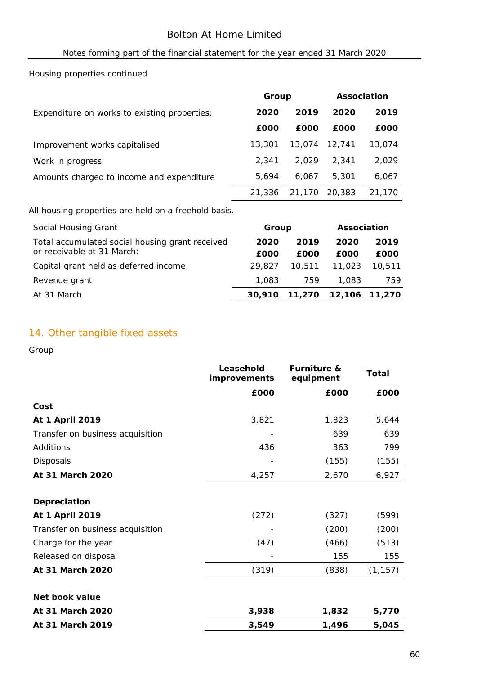## Housing properties continued

|                                              | Group  |        | Association |        |
|----------------------------------------------|--------|--------|-------------|--------|
| Expenditure on works to existing properties: | 2020   | 2019   | 2020        | 2019   |
|                                              | £000   | £000   | £000        | £000   |
| Improvement works capitalised                | 13,301 | 13,074 | 12,741      | 13,074 |
| Work in progress                             | 2.341  | 2.029  | 2.341       | 2,029  |
| Amounts charged to income and expenditure    | 5.694  | 6.067  | 5,301       | 6,067  |
|                                              | 21,336 | 21,170 | 20,383      | 21,170 |

All housing properties are held on a freehold basis.

| Social Housing Grant                            | Group  |               | Association   |        |
|-------------------------------------------------|--------|---------------|---------------|--------|
| Total accumulated social housing grant received | 2020   | 2019          | 2020          | 2019   |
| or receivable at 31 March:                      | FOOO   | FOOO          | FOOO          | £000   |
| Capital grant held as deferred income           | 29.827 | 10,511        | 11.023        | 10.511 |
| Revenue grant                                   | 1.083  | 759           | 1.083         | 759    |
| At 31 March                                     |        | 30.910 11.270 | 12,106 11,270 |        |

# 14. Other tangible fixed assets

Group

|                                  | Leasehold<br>improvements | Furniture &<br>equipment | Total    |
|----------------------------------|---------------------------|--------------------------|----------|
|                                  | £000                      | £000                     | £000     |
| Cost                             |                           |                          |          |
| At 1 April 2019                  | 3,821                     | 1,823                    | 5,644    |
| Transfer on business acquisition |                           | 639                      | 639      |
| Additions                        | 436                       | 363                      | 799      |
| Disposals                        |                           | (155)                    | (155)    |
| At 31 March 2020                 | 4,257                     | 2,670                    | 6,927    |
|                                  |                           |                          |          |
| Depreciation                     |                           |                          |          |
| At 1 April 2019                  | (272)                     | (327)                    | (599)    |
| Transfer on business acquisition |                           | (200)                    | (200)    |
| Charge for the year              | (47)                      | (466)                    | (513)    |
| Released on disposal             |                           | 155                      | 155      |
| At 31 March 2020                 | (319)                     | (838)                    | (1, 157) |
|                                  |                           |                          |          |
| Net book value                   |                           |                          |          |
| At 31 March 2020                 | 3,938                     | 1,832                    | 5,770    |
| At 31 March 2019                 | 3,549                     | 1,496                    | 5,045    |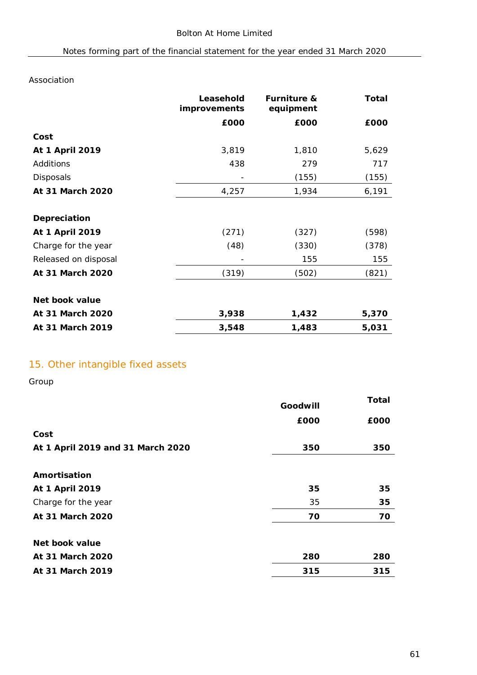## Association

|                      | Leasehold<br>improvements | Furniture &<br>equipment | Total |
|----------------------|---------------------------|--------------------------|-------|
|                      | £000                      | £000                     | £000  |
| Cost                 |                           |                          |       |
| At 1 April 2019      | 3,819                     | 1,810                    | 5,629 |
| Additions            | 438                       | 279                      | 717   |
| Disposals            |                           | (155)                    | (155) |
| At 31 March 2020     | 4,257                     | 1,934                    | 6,191 |
|                      |                           |                          |       |
| Depreciation         |                           |                          |       |
| At 1 April 2019      | (271)                     | (327)                    | (598) |
| Charge for the year  | (48)                      | (330)                    | (378) |
| Released on disposal |                           | 155                      | 155   |
| At 31 March 2020     | (319)                     | (502)                    | (821) |
|                      |                           |                          |       |
| Net book value       |                           |                          |       |
| At 31 March 2020     | 3,938                     | 1,432                    | 5,370 |
| At 31 March 2019     | 3,548                     | 1,483                    | 5,031 |

# 15. Other intangible fixed assets

Group

|                                   | Goodwill | Total |
|-----------------------------------|----------|-------|
|                                   | £000     | £000  |
| Cost                              |          |       |
| At 1 April 2019 and 31 March 2020 | 350      | 350   |
|                                   |          |       |
| Amortisation                      |          |       |
| At 1 April 2019                   | 35       | 35    |
| Charge for the year               | 35       | 35    |
| At 31 March 2020                  | 70       | 70    |
|                                   |          |       |
| Net book value                    |          |       |
| At 31 March 2020                  | 280      | 280   |
| At 31 March 2019                  | 315      | 315   |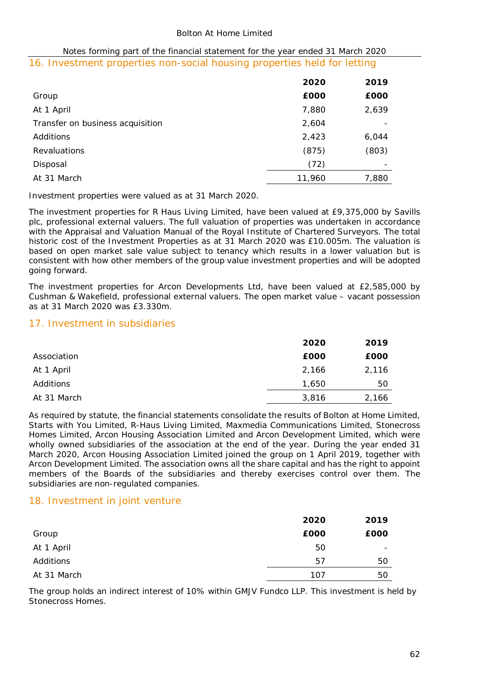| Notes forming part of the financial statement for the year ended 31 March 2020 |  |
|--------------------------------------------------------------------------------|--|
| 16. Investment properties non-social housing properties held for letting       |  |

|                                  | 2020   | 2019  |
|----------------------------------|--------|-------|
| Group                            | £000   | £000  |
| At 1 April                       | 7,880  | 2,639 |
| Transfer on business acquisition | 2,604  |       |
| Additions                        | 2,423  | 6,044 |
| <b>Revaluations</b>              | (875)  | (803) |
| Disposal                         | (72)   |       |
| At 31 March                      | 11,960 | 7,880 |

Investment properties were valued as at 31 March 2020.

The investment properties for R Haus Living Limited, have been valued at £9,375,000 by Savills plc, professional external valuers. The full valuation of properties was undertaken in accordance with the Appraisal and Valuation Manual of the Royal Institute of Chartered Surveyors. The total historic cost of the Investment Properties as at 31 March 2020 was £10.005m. The valuation is based on open market sale value subject to tenancy which results in a lower valuation but is consistent with how other members of the group value investment properties and will be adopted going forward.

The investment properties for Arcon Developments Ltd, have been valued at £2,585,000 by Cushman & Wakefield, professional external valuers. The open market value – vacant possession as at 31 March 2020 was £3.330m.

# 17. Investment in subsidiaries

|             | 2020  | 2019  |
|-------------|-------|-------|
| Association | £000  | £000  |
| At 1 April  | 2,166 | 2,116 |
| Additions   | 1,650 | 50    |
| At 31 March | 3,816 | 2,166 |

As required by statute, the financial statements consolidate the results of Bolton at Home Limited, Starts with You Limited, R-Haus Living Limited, Maxmedia Communications Limited, Stonecross Homes Limited, Arcon Housing Association Limited and Arcon Development Limited, which were wholly owned subsidiaries of the association at the end of the year. During the year ended 31 March 2020, Arcon Housing Association Limited joined the group on 1 April 2019, together with Arcon Development Limited. The association owns all the share capital and has the right to appoint members of the Boards of the subsidiaries and thereby exercises control over them. The subsidiaries are non-regulated companies.

# 18. Investment in joint venture

|             | 2020 | 2019 |
|-------------|------|------|
| Group       | £000 | £000 |
| At 1 April  | 50   | -    |
| Additions   | 57   | 50   |
| At 31 March | 107  | 50   |

The group holds an indirect interest of 10% within GMJV Fundco LLP. This investment is held by Stonecross Homes.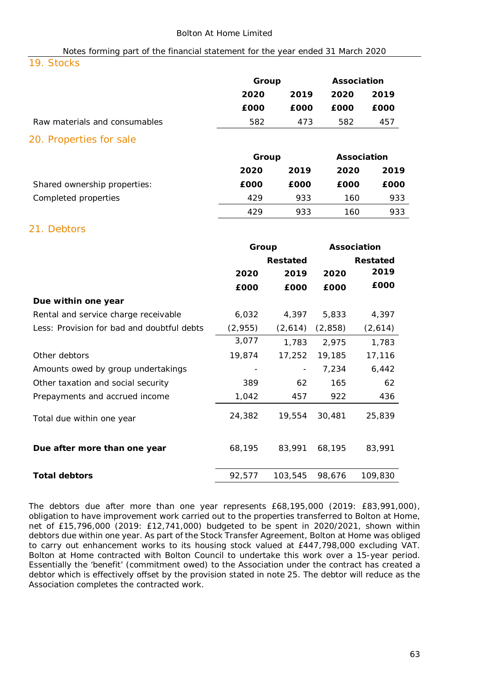### 19. Stocks

|                                            |          | Group    |         | Association |  |  |
|--------------------------------------------|----------|----------|---------|-------------|--|--|
|                                            | 2020     | 2019     | 2020    | 2019        |  |  |
|                                            | £000     | £000     | £000    | £000        |  |  |
| Raw materials and consumables              | 582      | 473      | 582     | 457         |  |  |
| 20. Properties for sale                    |          |          |         |             |  |  |
|                                            |          | Group    |         | Association |  |  |
|                                            | 2020     | 2019     | 2020    | 2019        |  |  |
| Shared ownership properties:               | £000     | £000     | £000    | £000        |  |  |
| Completed properties                       | 429      | 933      | 160     | 933         |  |  |
|                                            | 429      | 933      | 160     | 933         |  |  |
| 21. Debtors                                |          |          |         |             |  |  |
|                                            | Group    |          |         | Association |  |  |
|                                            |          | Restated |         | Restated    |  |  |
|                                            | 2020     | 2019     | 2020    | 2019        |  |  |
|                                            | £000     | £000     | £000    | £000        |  |  |
| Due within one year                        |          |          |         |             |  |  |
| Rental and service charge receivable       | 6,032    | 4,397    | 5,833   | 4,397       |  |  |
| Less: Provision for bad and doubtful debts | (2, 955) | (2,614)  | (2,858) | (2,614)     |  |  |
|                                            | 3,077    | 1,783    | 2,975   | 1,783       |  |  |
| Other debtors                              | 19,874   | 17,252   | 19,185  | 17,116      |  |  |
| Amounts owed by group undertakings         |          |          | 7,234   | 6,442       |  |  |
| Other taxation and social security         | 389      | 62       | 165     | 62          |  |  |
| Prepayments and accrued income             | 1,042    | 457      | 922     | 436         |  |  |
| Total due within one year                  | 24,382   | 19,554   | 30,481  | 25,839      |  |  |
| Due after more than one year               | 68,195   | 83,991   | 68,195  | 83,991      |  |  |
| Total debtors                              | 92,577   | 103,545  | 98,676  | 109,830     |  |  |

The debtors due after more than one year represents £68,195,000 (2019: £83,991,000), obligation to have improvement work carried out to the properties transferred to Bolton at Home, net of £15,796,000 (2019: £12,741,000) budgeted to be spent in 2020/2021, shown within debtors due within one year. As part of the Stock Transfer Agreement, Bolton at Home was obliged to carry out enhancement works to its housing stock valued at £447,798,000 excluding VAT. Bolton at Home contracted with Bolton Council to undertake this work over a 15-year period. Essentially the 'benefit' (commitment owed) to the Association under the contract has created a debtor which is effectively offset by the provision stated in note 25. The debtor will reduce as the Association completes the contracted work.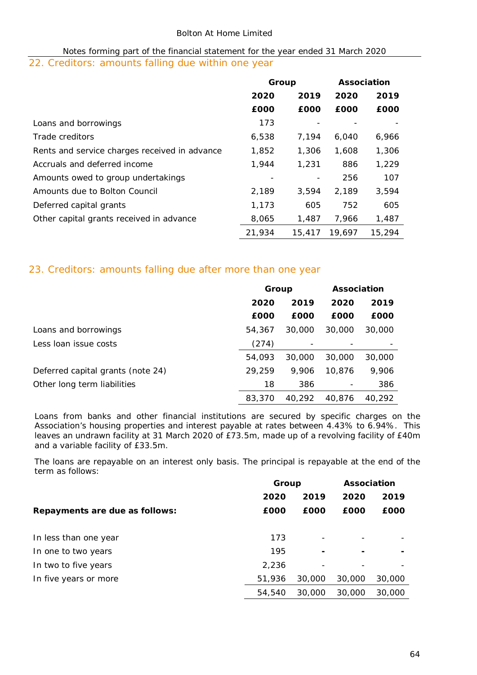22. Creditors: amounts falling due within one year

|                                               | Group        |        | Association |        |
|-----------------------------------------------|--------------|--------|-------------|--------|
|                                               | 2020<br>2019 |        | 2020        | 2019   |
|                                               | £000         | £000   | £000        | £000   |
| Loans and borrowings                          | 173          |        |             |        |
| Trade creditors                               | 6,538        | 7,194  | 6,040       | 6,966  |
| Rents and service charges received in advance | 1,852        | 1,306  | 1,608       | 1,306  |
| Accruals and deferred income                  | 1,944        | 1,231  | 886         | 1,229  |
| Amounts owed to group undertakings            |              |        | 256         | 107    |
| Amounts due to Bolton Council                 | 2,189        | 3.594  | 2,189       | 3,594  |
| Deferred capital grants                       | 1,173        | 605    | 752         | 605    |
| Other capital grants received in advance      | 8,065        | 1,487  | 7,966       | 1,487  |
|                                               | 21,934       | 15,417 | 19,697      | 15,294 |

# 23. Creditors: amounts falling due after more than one year

|                                   | Group        |        | Association |        |
|-----------------------------------|--------------|--------|-------------|--------|
|                                   | 2020<br>2019 |        | 2020        | 2019   |
|                                   | £000         | £000   | £000        | £000   |
| Loans and borrowings              | 54,367       | 30,000 | 30,000      | 30,000 |
| Less Ioan issue costs             | (274)        |        |             |        |
|                                   | 54,093       | 30,000 | 30,000      | 30,000 |
| Deferred capital grants (note 24) | 29,259       | 9,906  | 10,876      | 9,906  |
| Other long term liabilities       | 18           | 386    |             | 386    |
|                                   | 83,370       | 40,292 | 40.876      | 40,292 |

Loans from banks and other financial institutions are secured by specific charges on the Association's housing properties and interest payable at rates between 4.43% to 6.94%. This leaves an undrawn facility at 31 March 2020 of £73.5m, made up of a revolving facility of £40m and a variable facility of £33.5m.

The loans are repayable on an interest only basis. The principal is repayable at the end of the term as follows:

|                                | Group<br>2020<br>2019 |                          | Association |        |
|--------------------------------|-----------------------|--------------------------|-------------|--------|
|                                |                       |                          | 2020        | 2019   |
| Repayments are due as follows: | £000                  | £000                     | £000        | £000   |
|                                |                       |                          |             |        |
| In less than one year          | 173                   | $\overline{\phantom{a}}$ | -           |        |
| In one to two years            | 195                   |                          |             |        |
| In two to five years           | 2,236                 |                          |             |        |
| In five years or more          | 51,936                | 30,000                   | 30,000      | 30,000 |
|                                | 54,540                | 30,000                   | 30,000      | 30,000 |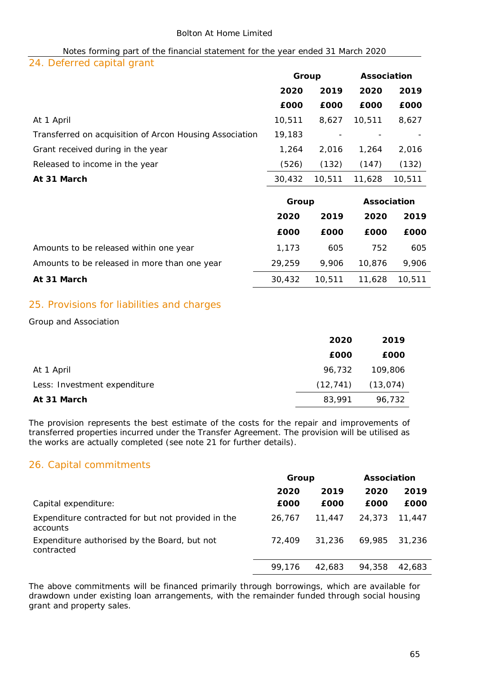| Notes forming part of the financial statement for the year ended 31 March 2020 |  |  |  |
|--------------------------------------------------------------------------------|--|--|--|
| 24 Deferred capital grant                                                      |  |  |  |

| zh. Doron eu caprtar grant                              |        |        |             |             |  |
|---------------------------------------------------------|--------|--------|-------------|-------------|--|
|                                                         |        | Group  |             | Association |  |
|                                                         | 2020   | 2019   | 2020        | 2019        |  |
|                                                         | £000   | £000   | £000        | £000        |  |
| At 1 April                                              | 10,511 | 8,627  | 10,511      | 8,627       |  |
| Transferred on acquisition of Arcon Housing Association | 19,183 |        |             |             |  |
| Grant received during in the year                       | 1,264  | 2,016  | 1,264       | 2,016       |  |
| Released to income in the year                          | (526)  | (132)  | (147)       | (132)       |  |
| At 31 March                                             | 30,432 | 10,511 | 11,628      | 10,511      |  |
|                                                         | Group  |        | Association |             |  |
|                                                         | 2020   | 2019   | 2020        | 2019        |  |
|                                                         | £000   | £000   | £000        | £000        |  |
| Amounts to be released within one year                  | 1,173  | 605    | 752         | 605         |  |
| Amounts to be released in more than one year            | 29,259 | 9,906  | 10,876      | 9,906       |  |
| At 31 March                                             | 30,432 | 10,511 | 11,628      | 10,511      |  |
|                                                         |        |        |             |             |  |

## 25. Provisions for liabilities and charges

Group and Association

|                              | 2020                    | 2019    |
|------------------------------|-------------------------|---------|
|                              | £000                    | £000    |
| At 1 April                   | 96.732                  | 109,806 |
| Less: Investment expenditure | $(12, 741)$ $(13, 074)$ |         |
| At 31 March                  | 83,991                  | 96.732  |

The provision represents the best estimate of the costs for the repair and improvements of transferred properties incurred under the Transfer Agreement. The provision will be utilised as the works are actually completed (see note 21 for further details).

# 26. Capital commitments

|                                                                | Group  |        | Association |        |
|----------------------------------------------------------------|--------|--------|-------------|--------|
|                                                                | 2020   | 2019   | 2020        | 2019   |
| Capital expenditure:                                           | £000   | £000   | £000        | £000   |
| Expenditure contracted for but not provided in the<br>accounts | 26.767 | 11,447 | 24,373      | 11.447 |
| Expenditure authorised by the Board, but not<br>contracted     | 72.409 | 31.236 | 69.985      | 31,236 |
|                                                                | 99.176 | 42,683 | 94,358      | 42,683 |

The above commitments will be financed primarily through borrowings, which are available for drawdown under existing loan arrangements, with the remainder funded through social housing grant and property sales.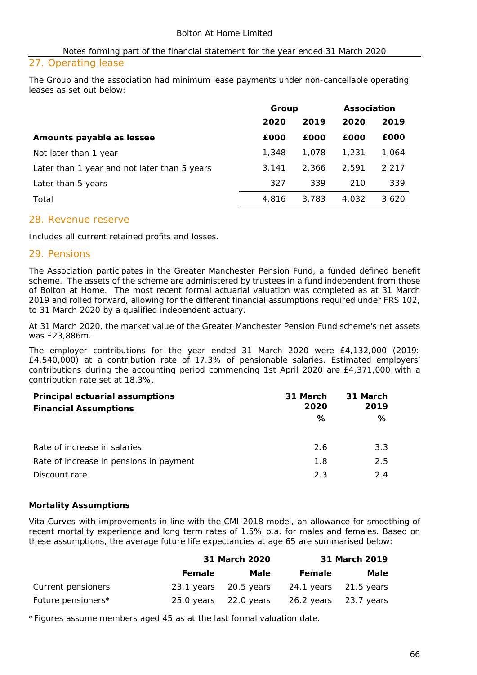#### 27. Operating lease

The Group and the association had minimum lease payments under non-cancellable operating leases as set out below:

|                                              | Group |       |       | Association |  |
|----------------------------------------------|-------|-------|-------|-------------|--|
|                                              | 2020  | 2019  | 2020  | 2019        |  |
| Amounts payable as lessee                    | £000  | £000  | £000  | £000        |  |
| Not later than 1 year                        | 1,348 | 1.078 | 1,231 | 1,064       |  |
| Later than 1 year and not later than 5 years | 3.141 | 2.366 | 2.591 | 2,217       |  |
| Later than 5 years                           | 327   | 339   | 210   | 339         |  |
| Total                                        | 4,816 | 3,783 | 4.032 | 3,620       |  |

## 28. Revenue reserve

Includes all current retained profits and losses.

## 29. Pensions

The Association participates in the Greater Manchester Pension Fund, a funded defined benefit scheme. The assets of the scheme are administered by trustees in a fund independent from those of Bolton at Home. The most recent formal actuarial valuation was completed as at 31 March 2019 and rolled forward, allowing for the different financial assumptions required under FRS 102, to 31 March 2020 by a qualified independent actuary.

At 31 March 2020, the market value of the Greater Manchester Pension Fund scheme's net assets was £23,886m.

The employer contributions for the year ended 31 March 2020 were £4,132,000 (2019: £4,540,000) at a contribution rate of 17.3% of pensionable salaries. Estimated employers' contributions during the accounting period commencing 1st April 2020 are £4,371,000 with a contribution rate set at 18.3%.

| Principal actuarial assumptions         | 31 March | 31 March |
|-----------------------------------------|----------|----------|
| <b>Financial Assumptions</b>            | 2020     | 2019     |
|                                         | $\%$     | $\%$     |
| Rate of increase in salaries            | 2.6      | 3.3      |
| Rate of increase in pensions in payment | 1.8      | 2.5      |
| Discount rate                           | 2.3      | 24       |

#### **Mortality Assumptions**

Vita Curves with improvements in line with the CMI 2018 model, an allowance for smoothing of recent mortality experience and long term rates of 1.5% p.a. for males and females. Based on these assumptions, the average future life expectancies at age 65 are summarised below:

|                    | 31 March 2020 |                           |                       | 31 March 2019 |
|--------------------|---------------|---------------------------|-----------------------|---------------|
|                    | Female        | Male                      | Female                | Male          |
| Current pensioners |               | 23.1 years 20.5 years     | 24.1 years 21.5 years |               |
| Future pensioners* |               | $25.0$ years $22.0$ years | 26.2 years 23.7 years |               |

\*Figures assume members aged 45 as at the last formal valuation date.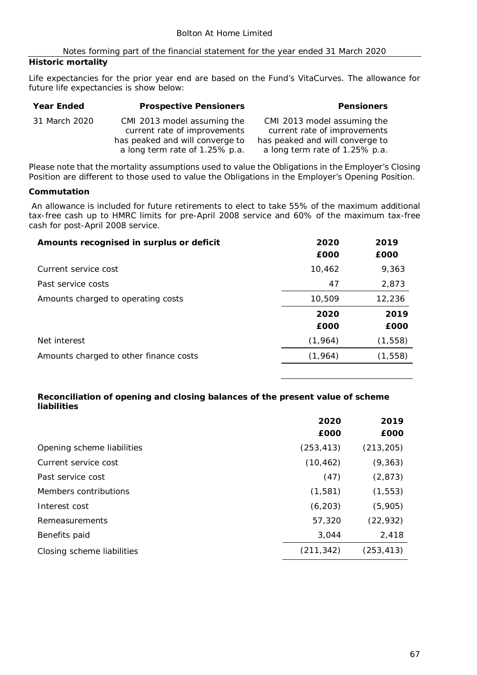## **Historic mortality**

Life expectancies for the prior year end are based on the Fund's VitaCurves. The allowance for future life expectancies is show below:

| Year Ended    | Prospective Pensioners                                            | <b>Pensioners</b>                                                 |
|---------------|-------------------------------------------------------------------|-------------------------------------------------------------------|
| 31 March 2020 | CMI 2013 model assuming the<br>current rate of improvements       | CMI 2013 model assuming the<br>current rate of improvements       |
|               | has peaked and will converge to<br>a long term rate of 1.25% p.a. | has peaked and will converge to<br>a long term rate of 1.25% p.a. |

Please note that the mortality assumptions used to value the Obligations in the Employer's Closing Position are different to those used to value the Obligations in the Employer's Opening Position.

#### **Commutation**

 An allowance is included for future retirements to elect to take 55% of the maximum additional tax-free cash up to HMRC limits for pre-April 2008 service and 60% of the maximum tax-free cash for post-April 2008 service.

| Amounts recognised in surplus or deficit | 2020    | 2019     |
|------------------------------------------|---------|----------|
|                                          | £000    | £000     |
| Current service cost                     | 10,462  | 9,363    |
| Past service costs                       | 47      | 2,873    |
| Amounts charged to operating costs       | 10,509  | 12,236   |
|                                          | 2020    | 2019     |
|                                          | £000    | £000     |
| Net interest                             | (1,964) | (1, 558) |
| Amounts charged to other finance costs   | (1,964) | (1, 558) |
|                                          |         |          |

**Reconciliation of opening and closing balances of the present value of scheme liabilities**

|                            | 2020       | 2019       |
|----------------------------|------------|------------|
|                            | £000       | £000       |
| Opening scheme liabilities | (253, 413) | (213, 205) |
| Current service cost       | (10, 462)  | (9, 363)   |
| Past service cost          | (47)       | (2, 873)   |
| Members contributions      | (1,581)    | (1, 553)   |
| Interest cost              | (6, 203)   | (5,905)    |
| <b>Remeasurements</b>      | 57,320     | (22, 932)  |
| Benefits paid              | 3,044      | 2,418      |
| Closing scheme liabilities | (211, 342) | (253, 413) |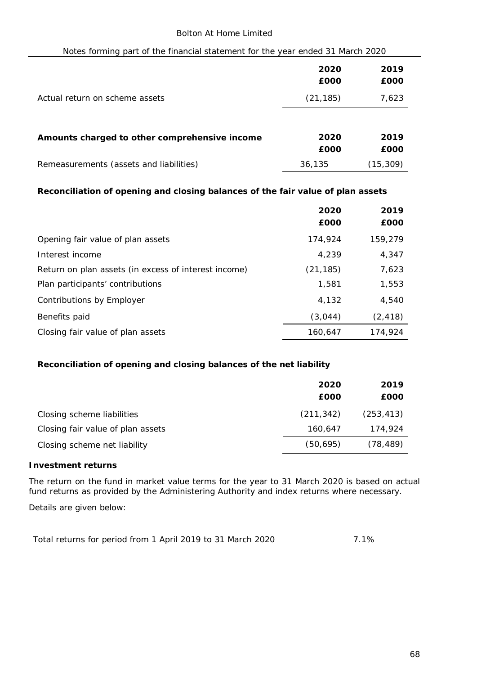## Bolton At Home Limited

| Notes forming part of the financial statement for the year ended 31 March 2020 |              |              |  |
|--------------------------------------------------------------------------------|--------------|--------------|--|
|                                                                                | 2020<br>£000 | 2019<br>£000 |  |
| Actual return on scheme assets                                                 | (21, 185)    | 7,623        |  |
|                                                                                |              |              |  |
| Amounts charged to other comprehensive income                                  | 2020<br>£000 | 2019<br>£000 |  |
| Remeasurements (assets and liabilities)                                        | 36,135       | (15, 309)    |  |

**Reconciliation of opening and closing balances of the fair value of plan assets**

|                                                      | 2020      | 2019     |
|------------------------------------------------------|-----------|----------|
|                                                      | £000      | £000     |
| Opening fair value of plan assets                    | 174,924   | 159,279  |
| Interest income                                      | 4,239     | 4,347    |
| Return on plan assets (in excess of interest income) | (21, 185) | 7,623    |
| Plan participants' contributions                     | 1,581     | 1,553    |
| Contributions by Employer                            | 4,132     | 4,540    |
| Benefits paid                                        | (3,044)   | (2, 418) |
| Closing fair value of plan assets                    | 160.647   | 174,924  |

**Reconciliation of opening and closing balances of the net liability**

|                                   | 2020<br>£000 | 2019<br>£000 |
|-----------------------------------|--------------|--------------|
| Closing scheme liabilities        | (211, 342)   | (253, 413)   |
| Closing fair value of plan assets | 160,647      | 174,924      |
| Closing scheme net liability      | (50, 695)    | (78, 489)    |

#### **Investment returns**

The return on the fund in market value terms for the year to 31 March 2020 is based on actual fund returns as provided by the Administering Authority and index returns where necessary.

Details are given below:

Total returns for period from 1 April 2019 to 31 March 2020 7.1%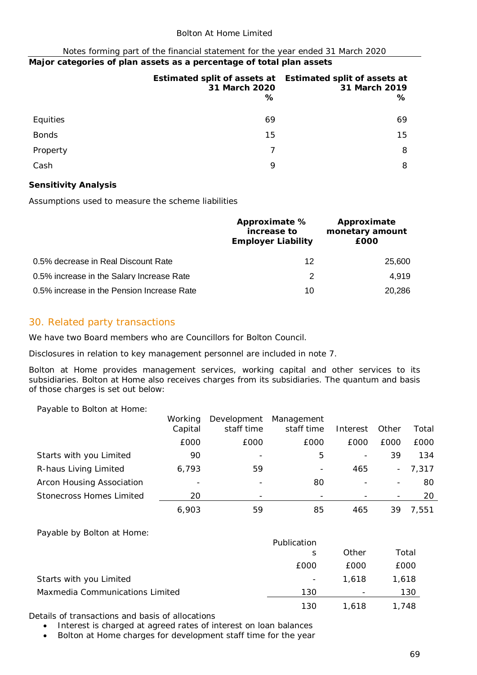## Bolton At Home Limited

### Notes forming part of the financial statement for the year ended 31 March 2020 **Major categories of plan assets as a percentage of total plan assets**

|              | 31 March 2020<br>% | Estimated split of assets at Estimated split of assets at<br>31 March 2019<br>% |
|--------------|--------------------|---------------------------------------------------------------------------------|
| Equities     | 69                 | 69                                                                              |
| <b>Bonds</b> | 15                 | 15                                                                              |
| Property     |                    | 8                                                                               |
| Cash         | 9                  | 8                                                                               |

## **Sensitivity Analysis**

Assumptions used to measure the scheme liabilities

|                                            | Approximate %<br>increase to<br><b>Employer Liability</b> | Approximate<br>monetary amount<br>£000 |  |
|--------------------------------------------|-----------------------------------------------------------|----------------------------------------|--|
| 0.5% decrease in Real Discount Rate        | 12                                                        | 25,600                                 |  |
| 0.5% increase in the Salary Increase Rate  | 2                                                         | 4.919                                  |  |
| 0.5% increase in the Pension Increase Rate | 10                                                        | 20,286                                 |  |

## 30. Related party transactions

We have two Board members who are Councillors for Bolton Council.

Disclosures in relation to key management personnel are included in note 7.

Bolton at Home provides management services, working capital and other services to its subsidiaries. Bolton at Home also receives charges from its subsidiaries. The quantum and basis of those charges is set out below:

Payable to Bolton at Home:

|                           | Working<br>Capital | Development<br>staff time | Management<br>staff time | Interest                 | Other  | Total |
|---------------------------|--------------------|---------------------------|--------------------------|--------------------------|--------|-------|
|                           | £000               | £000                      | £000                     | £000                     | £000   | £000  |
| Starts with you Limited   | 90                 |                           | 5                        | $\overline{\phantom{a}}$ | 39     | 134   |
| R-haus Living Limited     | 6,793              | 59                        | $\overline{\phantom{a}}$ | 465                      | $\sim$ | 7.317 |
| Arcon Housing Association |                    |                           | 80                       |                          |        | 80    |
| Stonecross Homes Limited  | 20                 |                           |                          |                          |        | 20    |
|                           | 6,903              | 59                        | 85                       | 465                      | 39     | 7.551 |

Payable by Bolton at Home:

|                                 | Publication |       |       |
|---------------------------------|-------------|-------|-------|
|                                 | S           | Other | Total |
|                                 | £000        | £000  | £000  |
| Starts with you Limited         |             | 1.618 | 1,618 |
| Maxmedia Communications Limited | 130         |       | 130   |
|                                 | 130         | 1,618 | 1,748 |

Details of transactions and basis of allocations

- Interest is charged at agreed rates of interest on loan balances
- Bolton at Home charges for development staff time for the year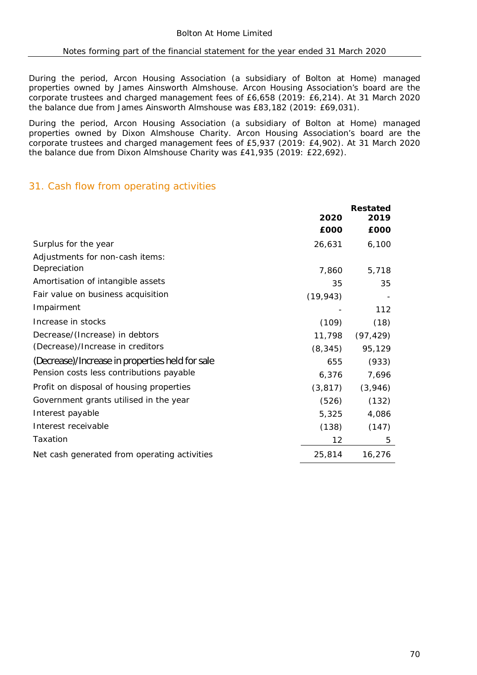During the period, Arcon Housing Association (a subsidiary of Bolton at Home) managed properties owned by James Ainsworth Almshouse. Arcon Housing Association's board are the corporate trustees and charged management fees of £6,658 (2019: £6,214). At 31 March 2020 the balance due from James Ainsworth Almshouse was £83,182 (2019: £69,031).

During the period, Arcon Housing Association (a subsidiary of Bolton at Home) managed properties owned by Dixon Almshouse Charity. Arcon Housing Association's board are the corporate trustees and charged management fees of £5,937 (2019: £4,902). At 31 March 2020 the balance due from Dixon Almshouse Charity was £41,935 (2019: £22,692).

## 31. Cash flow from operating activities

|                                                 |           | Restated  |
|-------------------------------------------------|-----------|-----------|
|                                                 | 2020      | 2019      |
|                                                 | £000      | £000      |
| Surplus for the year                            | 26,631    | 6,100     |
| Adjustments for non-cash items:                 |           |           |
| Depreciation                                    | 7,860     | 5,718     |
| Amortisation of intangible assets               | 35        | 35        |
| Fair value on business acquisition              | (19, 943) |           |
| Impairment                                      |           | 112       |
| Increase in stocks                              | (109)     | (18)      |
| Decrease/(Increase) in debtors                  | 11,798    | (97, 429) |
| (Decrease)/Increase in creditors                | (8, 345)  | 95,129    |
| (Decrease)/Increase in properties held for sale | 655       | (933)     |
| Pension costs less contributions payable        | 6,376     | 7,696     |
| Profit on disposal of housing properties        | (3, 817)  | (3,946)   |
| Government grants utilised in the year          | (526)     | (132)     |
| Interest payable                                | 5,325     | 4,086     |
| Interest receivable                             | (138)     | (147)     |
| Taxation                                        | 12        | 5         |
| Net cash generated from operating activities    | 25,814    | 16,276    |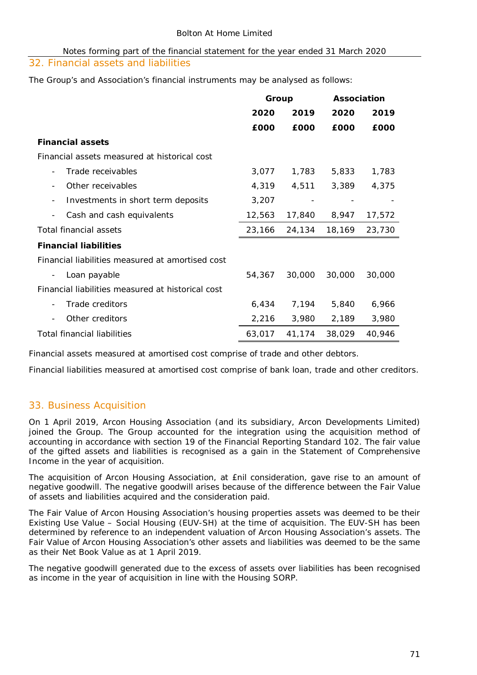## 32. Financial assets and liabilities

The Group's and Association's financial instruments may be analysed as follows:

|                                                                | Group  |        | Association |        |
|----------------------------------------------------------------|--------|--------|-------------|--------|
|                                                                | 2020   | 2019   | 2020        | 2019   |
|                                                                | £000   | £000   | £000        | £000   |
| <b>Financial assets</b>                                        |        |        |             |        |
| Financial assets measured at historical cost                   |        |        |             |        |
| Trade receivables<br>$\overline{\phantom{0}}$                  | 3,077  | 1,783  | 5,833       | 1,783  |
| Other receivables<br>$\overline{\phantom{0}}$                  | 4,319  | 4,511  | 3,389       | 4,375  |
| Investments in short term deposits<br>$\overline{\phantom{0}}$ | 3,207  |        |             |        |
| Cash and cash equivalents                                      | 12,563 | 17,840 | 8,947       | 17,572 |
| Total financial assets                                         | 23,166 | 24,134 | 18,169      | 23,730 |
| <b>Financial liabilities</b>                                   |        |        |             |        |
| Financial liabilities measured at amortised cost               |        |        |             |        |
| Loan payable                                                   | 54,367 | 30,000 | 30,000      | 30,000 |
| Financial liabilities measured at historical cost              |        |        |             |        |
| Trade creditors                                                | 6,434  | 7,194  | 5,840       | 6,966  |
| Other creditors                                                | 2,216  | 3,980  | 2,189       | 3,980  |
| Total financial liabilities                                    | 63,017 | 41,174 | 38,029      | 40,946 |

Financial assets measured at amortised cost comprise of trade and other debtors.

Financial liabilities measured at amortised cost comprise of bank loan, trade and other creditors.

# 33. Business Acquisition

On 1 April 2019, Arcon Housing Association (and its subsidiary, Arcon Developments Limited) joined the Group. The Group accounted for the integration using the acquisition method of accounting in accordance with section 19 of the Financial Reporting Standard 102. The fair value of the gifted assets and liabilities is recognised as a gain in the Statement of Comprehensive Income in the year of acquisition.

The acquisition of Arcon Housing Association, at £nil consideration, gave rise to an amount of negative goodwill. The negative goodwill arises because of the difference between the Fair Value of assets and liabilities acquired and the consideration paid.

The Fair Value of Arcon Housing Association's housing properties assets was deemed to be their Existing Use Value – Social Housing (EUV-SH) at the time of acquisition. The EUV-SH has been determined by reference to an independent valuation of Arcon Housing Association's assets. The Fair Value of Arcon Housing Association's other assets and liabilities was deemed to be the same as their Net Book Value as at 1 April 2019.

The negative goodwill generated due to the excess of assets over liabilities has been recognised as income in the year of acquisition in line with the Housing SORP.